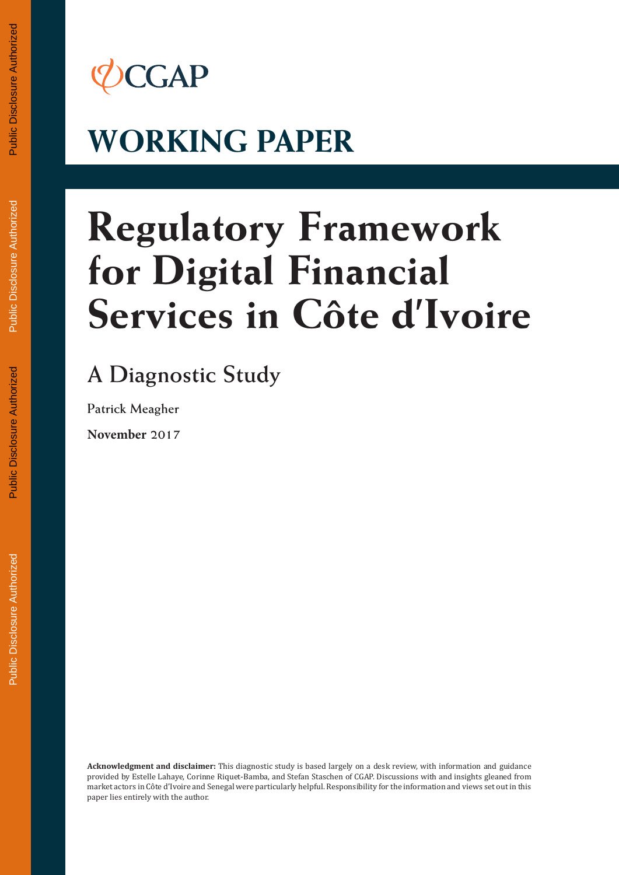## *CCGAP*

# **WORKING PAPER**

# **Regulatory Framework for Digital Financial Services in Côte d'Ivoire**

## **A Diagnostic Study**

**Patrick Meagher**

**November 2017**

**Acknowledgment and disclaimer:** This diagnostic study is based largely on a desk review, with information and guidance provided by Estelle Lahaye, Corinne Riquet-Bamba, and Stefan Staschen of CGAP. Discussions with and insights gleaned from market actors in Côte d'Ivoire and Senegal were particularly helpful. Responsibility for the information and views set out in this paper lies entirely with the author.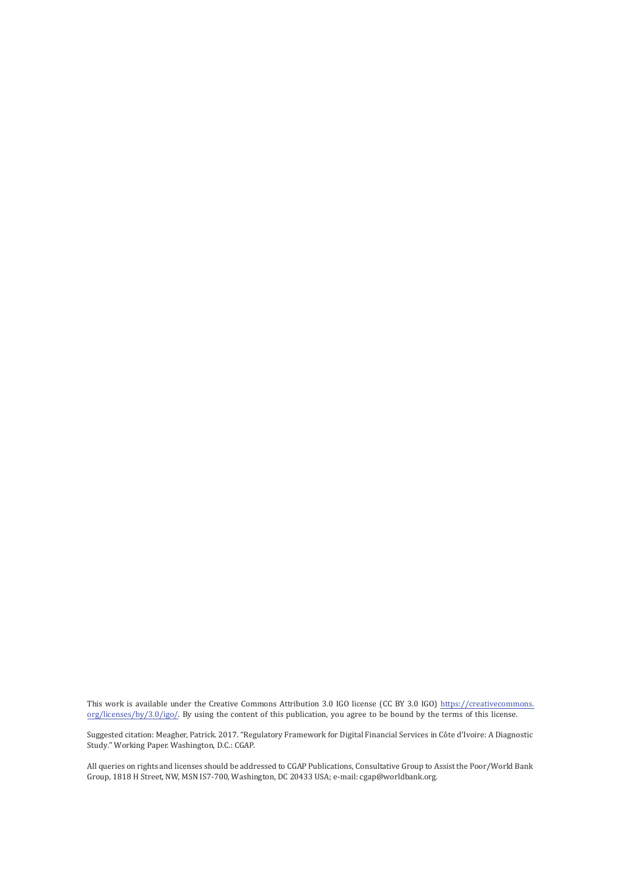This work is available under the Creative Commons Attribution 3.0 IGO license (CC BY 3.0 IGO) [https://creativecommons](https://creativecommons.org/licenses/by/3.0/igo/). [org/licenses/by/3.0/igo/](https://creativecommons.org/licenses/by/3.0/igo/). By using the content of this publication, you agree to be bound by the te[rms of this license.](https://www.adb.org/terms-use#openaccess) 

[Suggested citation: Mea](https://www.adb.org/terms-use#openaccess)gher, Patrick. 2017. "Regulatory Framework for Digital Financial Services in Côte d'Ivoire: A Diagnostic Study." Working Paper. Washington, D.C.: CGAP.

All queries on rights and licenses should be addressed to CGAP Publications, Consultative Group to Assist the Poor/World Bank Group, 1818 H Street, NW, MSN IS7-700, Washington, DC 20433 USA; e-mail: cgap@worldbank.org.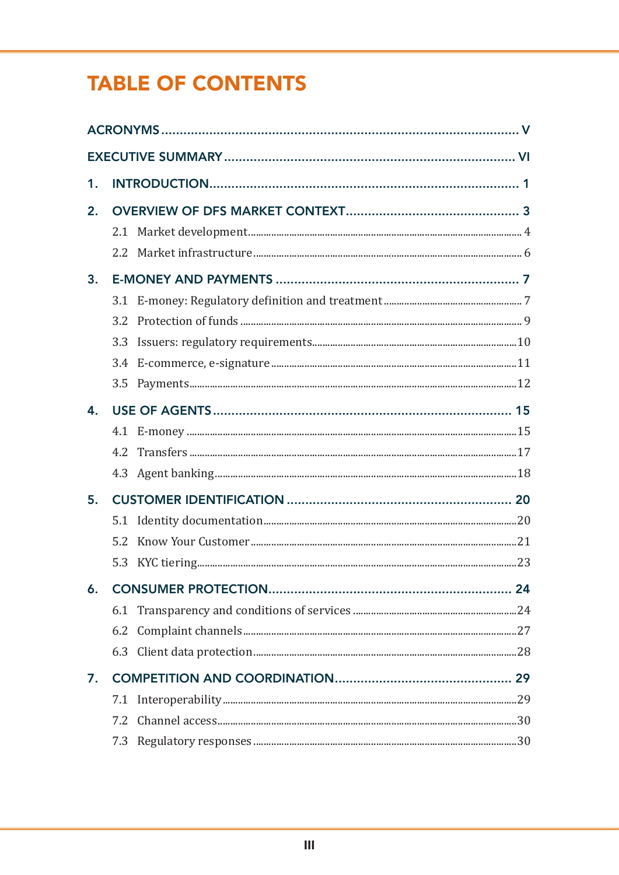## **TABLE OF CONTENTS**

| 1. |                  |  |
|----|------------------|--|
| 2. |                  |  |
|    |                  |  |
|    |                  |  |
| 3. |                  |  |
|    |                  |  |
|    | 3.2 <sub>2</sub> |  |
|    |                  |  |
|    | 3.4              |  |
|    | 3.5              |  |
| 4. |                  |  |
|    |                  |  |
|    |                  |  |
|    |                  |  |
| 5. |                  |  |
|    |                  |  |
|    |                  |  |
|    |                  |  |
|    |                  |  |
|    |                  |  |
|    | 6.2              |  |
|    |                  |  |
| 7. |                  |  |
|    | 7.1              |  |
|    | 7.2              |  |
|    | 7.3              |  |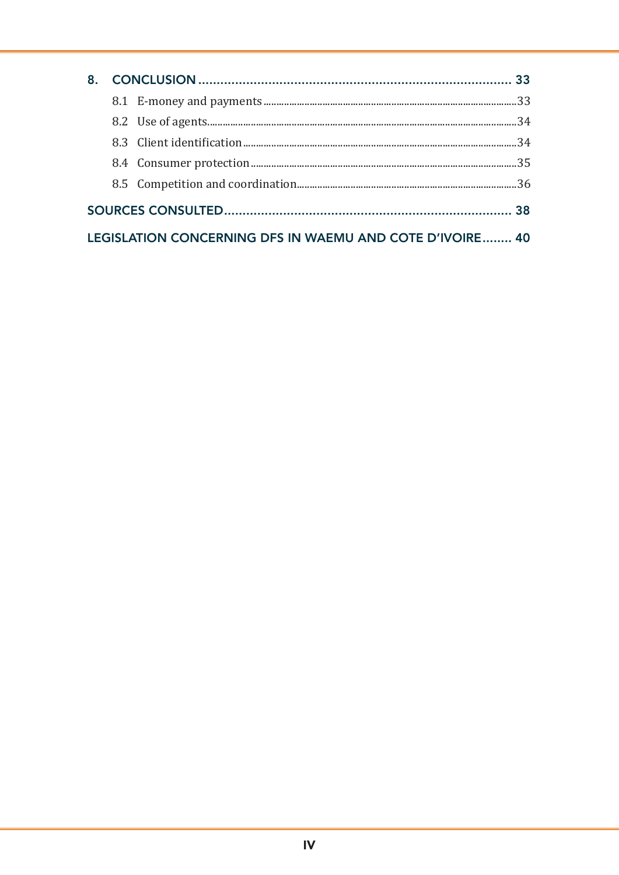|  | LEGISLATION CONCERNING DFS IN WAEMU AND COTE D'IVOIRE 40 |  |
|--|----------------------------------------------------------|--|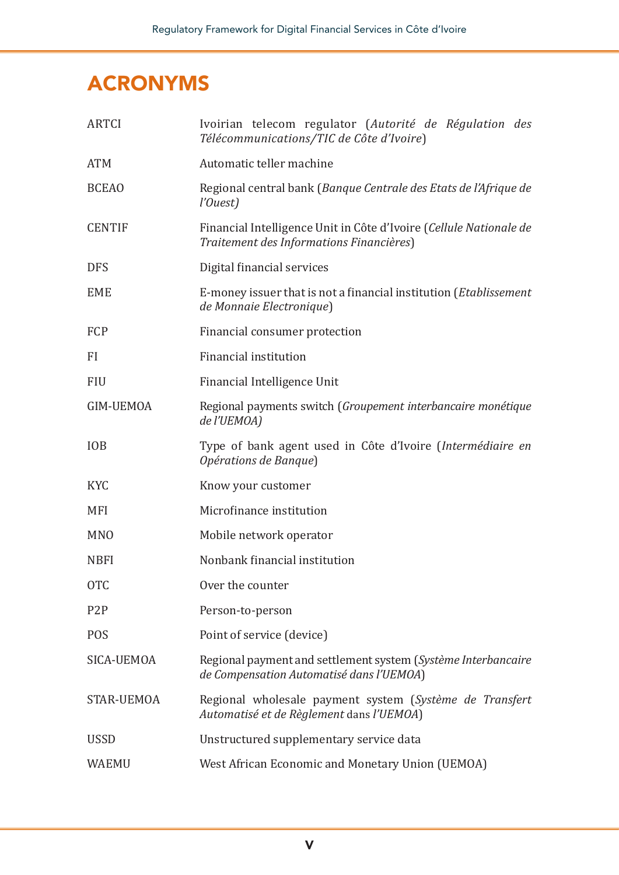### ACRONYMS

| <b>ARTCI</b>     | Ivoirian telecom regulator (Autorité de Régulation des<br>Télécommunications/TIC de Côte d'Ivoire)             |
|------------------|----------------------------------------------------------------------------------------------------------------|
| <b>ATM</b>       | Automatic teller machine                                                                                       |
| <b>BCEAO</b>     | Regional central bank (Banque Centrale des Etats de l'Afrique de<br>l'Ouest)                                   |
| <b>CENTIF</b>    | Financial Intelligence Unit in Côte d'Ivoire (Cellule Nationale de<br>Traitement des Informations Financières) |
| <b>DFS</b>       | Digital financial services                                                                                     |
| <b>EME</b>       | E-money issuer that is not a financial institution ( <i>Etablissement</i> )<br>de Monnaie Electronique)        |
| FCP              | Financial consumer protection                                                                                  |
| <b>FI</b>        | Financial institution                                                                                          |
| <b>FIU</b>       | Financial Intelligence Unit                                                                                    |
| <b>GIM-UEMOA</b> | Regional payments switch (Groupement interbancaire monétique<br>de l'UEMOA)                                    |
| <b>IOB</b>       | Type of bank agent used in Côte d'Ivoire (Intermédiaire en<br>Opérations de Banque)                            |
| <b>KYC</b>       | Know your customer                                                                                             |
| <b>MFI</b>       | Microfinance institution                                                                                       |
| <b>MNO</b>       | Mobile network operator                                                                                        |
| <b>NBFI</b>      | Nonbank financial institution                                                                                  |
| <b>OTC</b>       | Over the counter                                                                                               |
| P <sub>2</sub> P | Person-to-person                                                                                               |
| <b>POS</b>       | Point of service (device)                                                                                      |
| SICA-UEMOA       | Regional payment and settlement system (Système Interbancaire<br>de Compensation Automatisé dans l'UEMOA)      |
| STAR-UEMOA       | Regional wholesale payment system (Système de Transfert<br>Automatisé et de Règlement dans l'UEMOA)            |
| <b>USSD</b>      | Unstructured supplementary service data                                                                        |
| <b>WAEMU</b>     | West African Economic and Monetary Union (UEMOA)                                                               |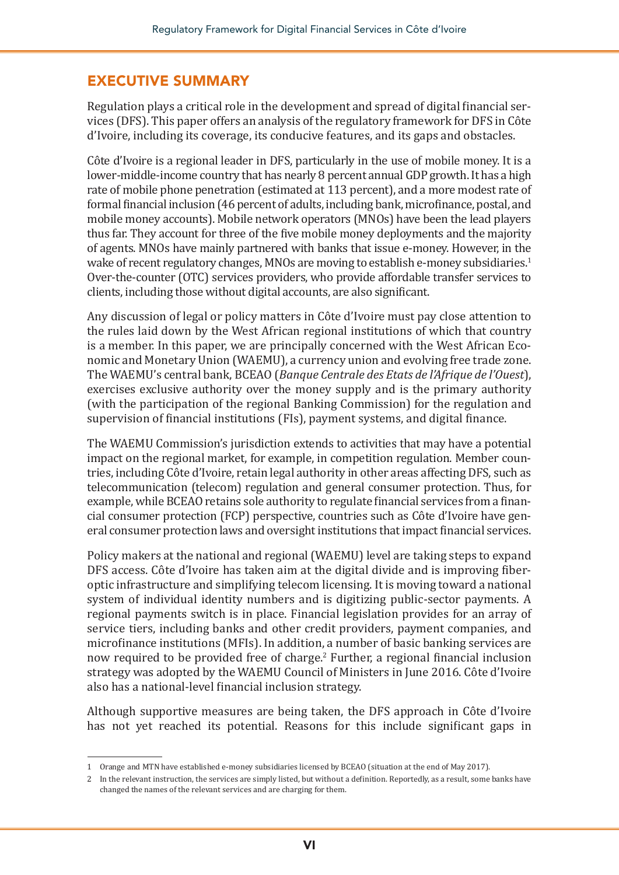#### EXECUTIVE SUMMARY

Regulation plays a critical role in the development and spread of digital financial services (DFS). This paper offers an analysis of the regulatory framework for DFS in Côte d'Ivoire, including its coverage, its conducive features, and its gaps and obstacles.

Côte d'Ivoire is a regional leader in DFS, particularly in the use of mobile money. It is a lower-middle-income country that has nearly 8 percent annual GDP growth. It has a high rate of mobile phone penetration (estimated at 113 percent), and a more modest rate of formal financial inclusion (46 percent of adults, including bank, microfinance, postal, and mobile money accounts). Mobile network operators (MNOs) have been the lead players thus far. They account for three of the five mobile money deployments and the majority of agents. MNOs have mainly partnered with banks that issue e-money. However, in the wake of recent regulatory changes, MNOs are moving to establish e-money subsidiaries.<sup>1</sup> Over-the-counter (OTC) services providers, who provide affordable transfer services to clients, including those without digital accounts, are also significant.

Any discussion of legal or policy matters in Côte d'Ivoire must pay close attention to the rules laid down by the West African regional institutions of which that country is a member. In this paper, we are principally concerned with the West African Economic and Monetary Union (WAEMU), a currency union and evolving free trade zone. The WAEMU's central bank, BCEAO (*Banque Centrale des Etats de l'Afrique de l'Ouest*), exercises exclusive authority over the money supply and is the primary authority (with the participation of the regional Banking Commission) for the regulation and supervision of financial institutions (FIs), payment systems, and digital finance.

The WAEMU Commission's jurisdiction extends to activities that may have a potential impact on the regional market, for example, in competition regulation. Member countries, including Côte d'Ivoire, retain legal authority in other areas affecting DFS, such as telecommunication (telecom) regulation and general consumer protection. Thus, for example, while BCEAO retains sole authority to regulate financial services from a financial consumer protection (FCP) perspective, countries such as Côte d'Ivoire have general consumer protection laws and oversight institutions that impact financial services.

Policy makers at the national and regional (WAEMU) level are taking steps to expand DFS access. Côte d'Ivoire has taken aim at the digital divide and is improving fiberoptic infrastructure and simplifying telecom licensing. It is moving toward a national system of individual identity numbers and is digitizing public-sector payments. A regional payments switch is in place. Financial legislation provides for an array of service tiers, including banks and other credit providers, payment companies, and microfinance institutions (MFIs). In addition, a number of basic banking services are now required to be provided free of charge.2 Further, a regional financial inclusion strategy was adopted by the WAEMU Council of Ministers in June 2016. Côte d'Ivoire also has a national-level financial inclusion strategy.

Although supportive measures are being taken, the DFS approach in Côte d'Ivoire has not yet reached its potential. Reasons for this include significant gaps in

<sup>1</sup> Orange and MTN have established e-money subsidiaries licensed by BCEAO (situation at the end of May 2017).

<sup>2</sup> In the relevant instruction, the services are simply listed, but without a definition. Reportedly, as a result, some banks have changed the names of the relevant services and are charging for them.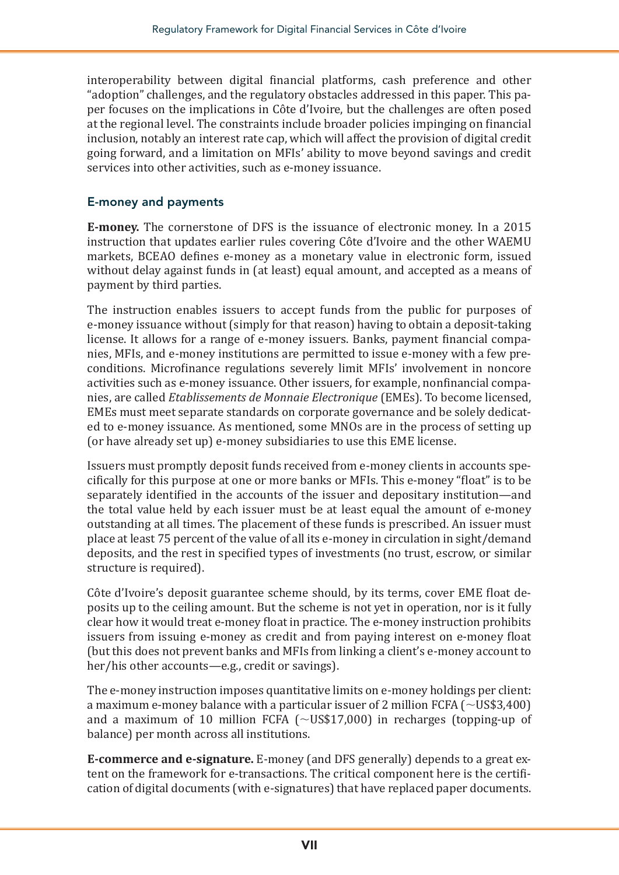interoperability between digital financial platforms, cash preference and other "adoption" challenges, and the regulatory obstacles addressed in this paper. This paper focuses on the implications in Côte d'Ivoire, but the challenges are often posed at the regional level. The constraints include broader policies impinging on financial inclusion, notably an interest rate cap, which will affect the provision of digital credit going forward, and a limitation on MFIs' ability to move beyond savings and credit services into other activities, such as e-money issuance.

#### E-money and payments

**E-money.** The cornerstone of DFS is the issuance of electronic money. In a 2015 instruction that updates earlier rules covering Côte d'Ivoire and the other WAEMU markets, BCEAO defines e-money as a monetary value in electronic form, issued without delay against funds in (at least) equal amount, and accepted as a means of payment by third parties.

The instruction enables issuers to accept funds from the public for purposes of e-money issuance without (simply for that reason) having to obtain a deposit-taking license. It allows for a range of e-money issuers. Banks, payment financial companies, MFIs, and e-money institutions are permitted to issue e-money with a few preconditions. Microfinance regulations severely limit MFIs' involvement in noncore activities such as e-money issuance. Other issuers, for example, nonfinancial companies, are called *Etablissements de Monnaie Electronique* (EMEs). To become licensed, EMEs must meet separate standards on corporate governance and be solely dedicated to e-money issuance. As mentioned, some MNOs are in the process of setting up (or have already set up) e-money subsidiaries to use this EME license.

Issuers must promptly deposit funds received from e-money clients in accounts specifically for this purpose at one or more banks or MFIs. This e-money "float" is to be separately identified in the accounts of the issuer and depositary institution—and the total value held by each issuer must be at least equal the amount of e-money outstanding at all times. The placement of these funds is prescribed. An issuer must place at least 75 percent of the value of all its e-money in circulation in sight/demand deposits, and the rest in specified types of investments (no trust, escrow, or similar structure is required).

Côte d'Ivoire's deposit guarantee scheme should, by its terms, cover EME float deposits up to the ceiling amount. But the scheme is not yet in operation, nor is it fully clear how it would treat e-money float in practice. The e-money instruction prohibits issuers from issuing e-money as credit and from paying interest on e-money float (but this does not prevent banks and MFIs from linking a client's e-money account to her/his other accounts—e.g., credit or savings).

The e-money instruction imposes quantitative limits on e-money holdings per client: a maximum e-money balance with a particular issuer of 2 million FCFA ( $\sim$ US\$3,400) and a maximum of 10 million FCFA ( $\sim$ US\$17,000) in recharges (topping-up of balance) per month across all institutions.

**E-commerce and e-signature.** E-money (and DFS generally) depends to a great extent on the framework for e-transactions. The critical component here is the certification of digital documents (with e-signatures) that have replaced paper documents.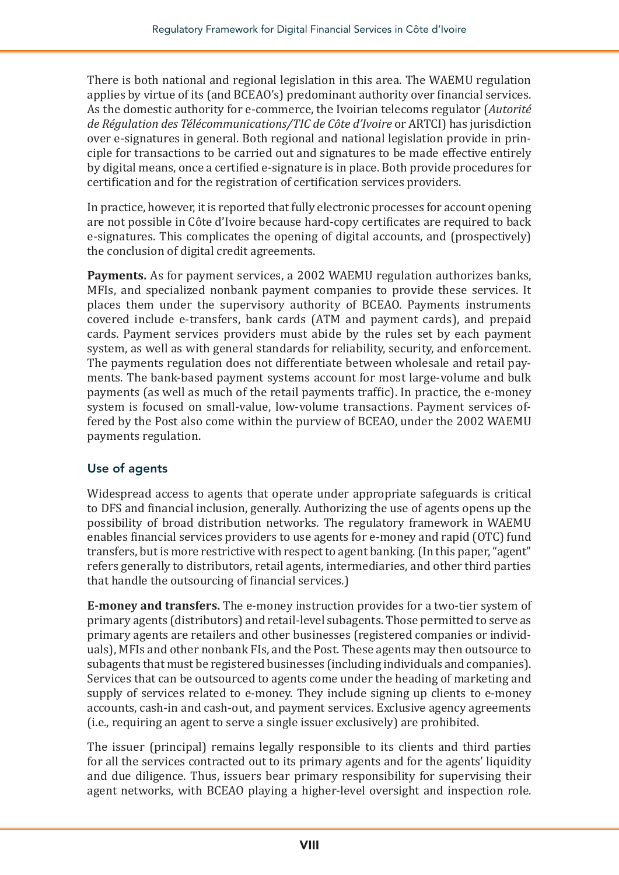There is both national and regional legislation in this area. The WAEMU regulation applies by virtue of its (and BCEAO's) predominant authority over financial services. As the domestic authority for e-commerce, the Ivoirian telecoms regulator (*Autorité de Régulation des Télécommunications/TIC de Côte d'Ivoire* or ARTCI) has jurisdiction over e-signatures in general. Both regional and national legislation provide in principle for transactions to be carried out and signatures to be made effective entirely by digital means, once a certified e-signature is in place. Both provide procedures for certification and for the registration of certification services providers.

In practice, however, it is reported that fully electronic processes for account opening are not possible in Côte d'Ivoire because hard-copy certificates are required to back e-signatures. This complicates the opening of digital accounts, and (prospectively) the conclusion of digital credit agreements.

**Payments.** As for payment services, a 2002 WAEMU regulation authorizes banks, MFIs, and specialized nonbank payment companies to provide these services. It places them under the supervisory authority of BCEAO. Payments instruments covered include e-transfers, bank cards (ATM and payment cards), and prepaid cards. Payment services providers must abide by the rules set by each payment system, as well as with general standards for reliability, security, and enforcement. The payments regulation does not differentiate between wholesale and retail payments. The bank-based payment systems account for most large-volume and bulk payments (as well as much of the retail payments traffic). In practice, the e-money system is focused on small-value, low-volume transactions. Payment services offered by the Post also come within the purview of BCEAO, under the 2002 WAEMU payments regulation.

#### Use of agents

Widespread access to agents that operate under appropriate safeguards is critical to DFS and financial inclusion, generally. Authorizing the use of agents opens up the possibility of broad distribution networks. The regulatory framework in WAEMU enables financial services providers to use agents for e-money and rapid (OTC) fund transfers, but is more restrictive with respect to agent banking. (In this paper, "agent" refers generally to distributors, retail agents, intermediaries, and other third parties that handle the outsourcing of financial services.)

**E-money and transfers.** The e-money instruction provides for a two-tier system of primary agents (distributors) and retail-level subagents. Those permitted to serve as primary agents are retailers and other businesses (registered companies or individuals), MFIs and other nonbank FIs, and the Post. These agents may then outsource to subagents that must be registered businesses (including individuals and companies). Services that can be outsourced to agents come under the heading of marketing and supply of services related to e-money. They include signing up clients to e-money accounts, cash-in and cash-out, and payment services. Exclusive agency agreements (i.e., requiring an agent to serve a single issuer exclusively) are prohibited.

The issuer (principal) remains legally responsible to its clients and third parties for all the services contracted out to its primary agents and for the agents' liquidity and due diligence. Thus, issuers bear primary responsibility for supervising their agent networks, with BCEAO playing a higher-level oversight and inspection role.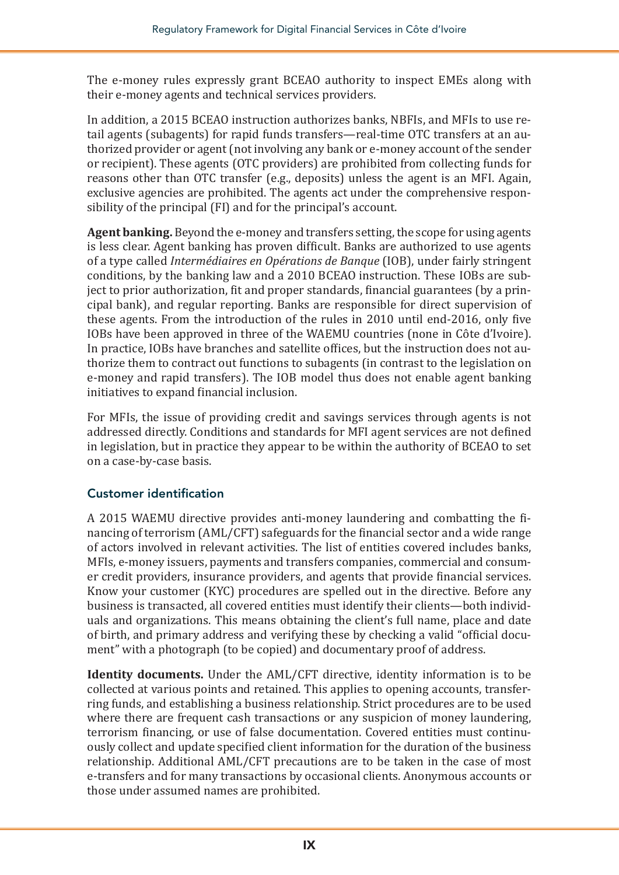The e-money rules expressly grant BCEAO authority to inspect EMEs along with their e-money agents and technical services providers.

In addition, a 2015 BCEAO instruction authorizes banks, NBFIs, and MFIs to use retail agents (subagents) for rapid funds transfers—real-time OTC transfers at an authorized provider or agent (not involving any bank or e-money account of the sender or recipient). These agents (OTC providers) are prohibited from collecting funds for reasons other than OTC transfer (e.g., deposits) unless the agent is an MFI. Again, exclusive agencies are prohibited. The agents act under the comprehensive responsibility of the principal (FI) and for the principal's account.

**Agent banking.** Beyond the e-money and transfers setting, the scope for using agents is less clear. Agent banking has proven difficult. Banks are authorized to use agents of a type called *Intermédiaires en Opérations de Banque* (IOB), under fairly stringent conditions, by the banking law and a 2010 BCEAO instruction. These IOBs are subject to prior authorization, fit and proper standards, financial guarantees (by a principal bank), and regular reporting. Banks are responsible for direct supervision of these agents. From the introduction of the rules in 2010 until end-2016, only five IOBs have been approved in three of the WAEMU countries (none in Côte d'Ivoire). In practice, IOBs have branches and satellite offices, but the instruction does not authorize them to contract out functions to subagents (in contrast to the legislation on e-money and rapid transfers). The IOB model thus does not enable agent banking initiatives to expand financial inclusion.

For MFIs, the issue of providing credit and savings services through agents is not addressed directly. Conditions and standards for MFI agent services are not defined in legislation, but in practice they appear to be within the authority of BCEAO to set on a case-by-case basis.

#### Customer identification

A 2015 WAEMU directive provides anti-money laundering and combatting the financing of terrorism (AML/CFT) safeguards for the financial sector and a wide range of actors involved in relevant activities. The list of entities covered includes banks, MFIs, e-money issuers, payments and transfers companies, commercial and consumer credit providers, insurance providers, and agents that provide financial services. Know your customer (KYC) procedures are spelled out in the directive. Before any business is transacted, all covered entities must identify their clients—both individuals and organizations. This means obtaining the client's full name, place and date of birth, and primary address and verifying these by checking a valid "official document" with a photograph (to be copied) and documentary proof of address.

**Identity documents.** Under the AML/CFT directive, identity information is to be collected at various points and retained. This applies to opening accounts, transferring funds, and establishing a business relationship. Strict procedures are to be used where there are frequent cash transactions or any suspicion of money laundering, terrorism financing, or use of false documentation. Covered entities must continuously collect and update specified client information for the duration of the business relationship. Additional AML/CFT precautions are to be taken in the case of most e-transfers and for many transactions by occasional clients. Anonymous accounts or those under assumed names are prohibited.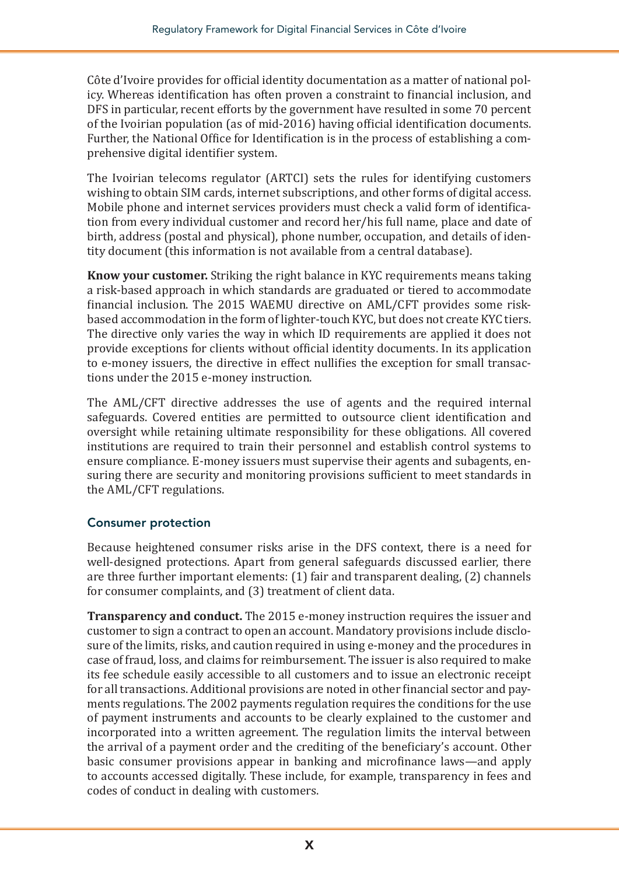Côte d'Ivoire provides for official identity documentation as a matter of national policy. Whereas identification has often proven a constraint to financial inclusion, and DFS in particular, recent efforts by the government have resulted in some 70 percent of the Ivoirian population (as of mid-2016) having official identification documents. Further, the National Office for Identification is in the process of establishing a comprehensive digital identifier system.

The Ivoirian telecoms regulator (ARTCI) sets the rules for identifying customers wishing to obtain SIM cards, internet subscriptions, and other forms of digital access. Mobile phone and internet services providers must check a valid form of identification from every individual customer and record her/his full name, place and date of birth, address (postal and physical), phone number, occupation, and details of identity document (this information is not available from a central database).

**Know your customer.** Striking the right balance in KYC requirements means taking a risk-based approach in which standards are graduated or tiered to accommodate financial inclusion. The 2015 WAEMU directive on AML/CFT provides some riskbased accommodation in the form of lighter-touch KYC, but does not create KYC tiers. The directive only varies the way in which ID requirements are applied it does not provide exceptions for clients without official identity documents. In its application to e-money issuers, the directive in effect nullifies the exception for small transactions under the 2015 e-money instruction.

The AML/CFT directive addresses the use of agents and the required internal safeguards. Covered entities are permitted to outsource client identification and oversight while retaining ultimate responsibility for these obligations. All covered institutions are required to train their personnel and establish control systems to ensure compliance. E-money issuers must supervise their agents and subagents, ensuring there are security and monitoring provisions sufficient to meet standards in the AML/CFT regulations.

#### Consumer protection

Because heightened consumer risks arise in the DFS context, there is a need for well-designed protections. Apart from general safeguards discussed earlier, there are three further important elements: (1) fair and transparent dealing, (2) channels for consumer complaints, and (3) treatment of client data.

**Transparency and conduct.** The 2015 e-money instruction requires the issuer and customer to sign a contract to open an account. Mandatory provisions include disclosure of the limits, risks, and caution required in using e-money and the procedures in case of fraud, loss, and claims for reimbursement. The issuer is also required to make its fee schedule easily accessible to all customers and to issue an electronic receipt for all transactions. Additional provisions are noted in other financial sector and payments regulations. The 2002 payments regulation requires the conditions for the use of payment instruments and accounts to be clearly explained to the customer and incorporated into a written agreement. The regulation limits the interval between the arrival of a payment order and the crediting of the beneficiary's account. Other basic consumer provisions appear in banking and microfinance laws—and apply to accounts accessed digitally. These include, for example, transparency in fees and codes of conduct in dealing with customers.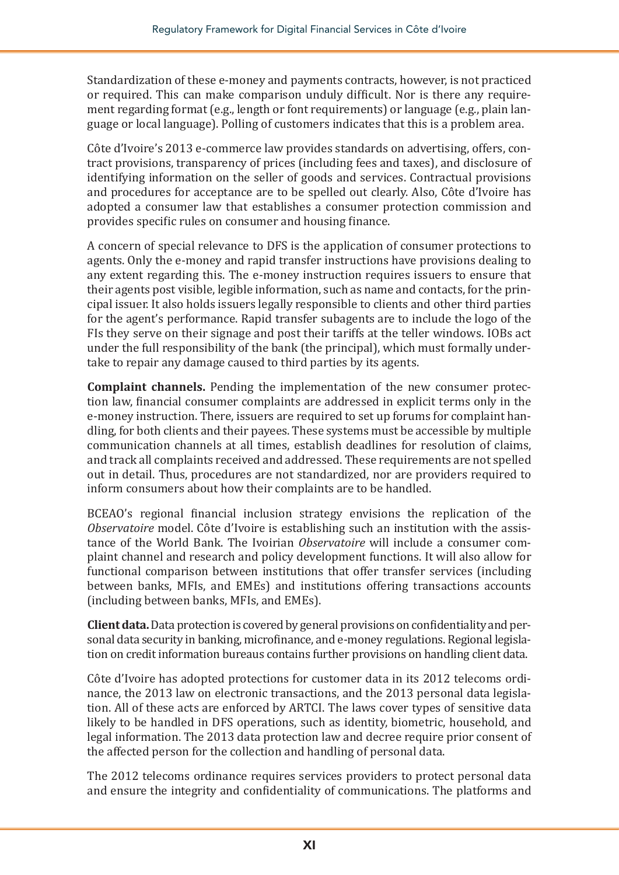Standardization of these e-money and payments contracts, however, is not practiced or required. This can make comparison unduly difficult. Nor is there any requirement regarding format (e.g., length or font requirements) or language (e.g., plain language or local language). Polling of customers indicates that this is a problem area.

Côte d'Ivoire's 2013 e-commerce law provides standards on advertising, offers, contract provisions, transparency of prices (including fees and taxes), and disclosure of identifying information on the seller of goods and services. Contractual provisions and procedures for acceptance are to be spelled out clearly. Also, Côte d'Ivoire has adopted a consumer law that establishes a consumer protection commission and provides specific rules on consumer and housing finance.

A concern of special relevance to DFS is the application of consumer protections to agents. Only the e-money and rapid transfer instructions have provisions dealing to any extent regarding this. The e-money instruction requires issuers to ensure that their agents post visible, legible information, such as name and contacts, for the principal issuer. It also holds issuers legally responsible to clients and other third parties for the agent's performance. Rapid transfer subagents are to include the logo of the FIs they serve on their signage and post their tariffs at the teller windows. IOBs act under the full responsibility of the bank (the principal), which must formally undertake to repair any damage caused to third parties by its agents.

**Complaint channels.** Pending the implementation of the new consumer protection law, financial consumer complaints are addressed in explicit terms only in the e-money instruction. There, issuers are required to set up forums for complaint handling, for both clients and their payees. These systems must be accessible by multiple communication channels at all times, establish deadlines for resolution of claims, and track all complaints received and addressed. These requirements are not spelled out in detail. Thus, procedures are not standardized, nor are providers required to inform consumers about how their complaints are to be handled.

BCEAO's regional financial inclusion strategy envisions the replication of the *Observatoire* model. Côte d'Ivoire is establishing such an institution with the assistance of the World Bank. The Ivoirian *Observatoire* will include a consumer complaint channel and research and policy development functions. It will also allow for functional comparison between institutions that offer transfer services (including between banks, MFIs, and EMEs) and institutions offering transactions accounts (including between banks, MFIs, and EMEs).

**Client data.**Data protection is covered by general provisions on confidentiality and personal data security in banking, microfinance, and e-money regulations. Regional legislation on credit information bureaus contains further provisions on handling client data.

Côte d'Ivoire has adopted protections for customer data in its 2012 telecoms ordinance, the 2013 law on electronic transactions, and the 2013 personal data legislation. All of these acts are enforced by ARTCI. The laws cover types of sensitive data likely to be handled in DFS operations, such as identity, biometric, household, and legal information. The 2013 data protection law and decree require prior consent of the affected person for the collection and handling of personal data.

The 2012 telecoms ordinance requires services providers to protect personal data and ensure the integrity and confidentiality of communications. The platforms and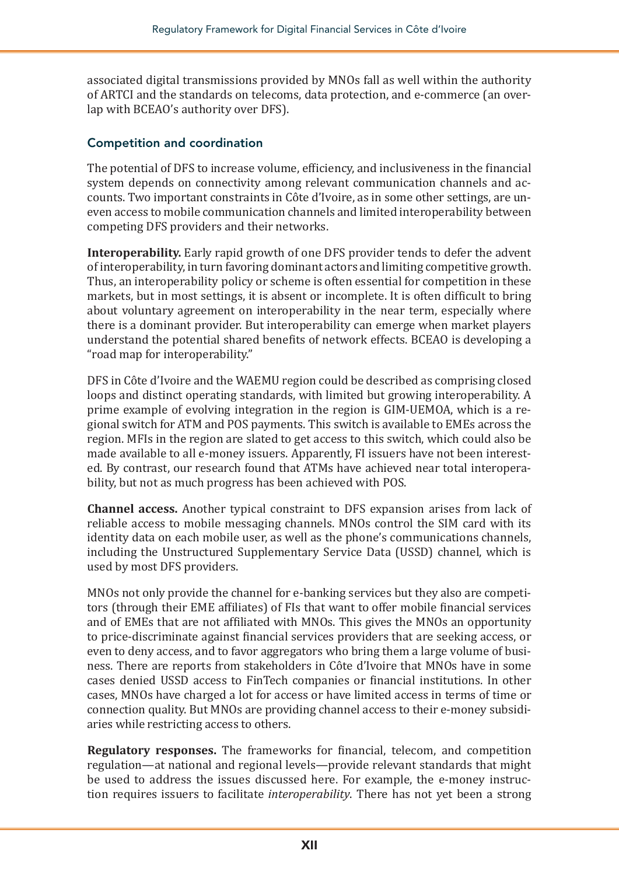associated digital transmissions provided by MNOs fall as well within the authority of ARTCI and the standards on telecoms, data protection, and e-commerce (an overlap with BCEAO's authority over DFS).

#### Competition and coordination

The potential of DFS to increase volume, efficiency, and inclusiveness in the financial system depends on connectivity among relevant communication channels and accounts. Two important constraints in Côte d'Ivoire, as in some other settings, are uneven access to mobile communication channels and limited interoperability between competing DFS providers and their networks.

**Interoperability.** Early rapid growth of one DFS provider tends to defer the advent of interoperability, in turn favoring dominant actors and limiting competitive growth. Thus, an interoperability policy or scheme is often essential for competition in these markets, but in most settings, it is absent or incomplete. It is often difficult to bring about voluntary agreement on interoperability in the near term, especially where there is a dominant provider. But interoperability can emerge when market players understand the potential shared benefits of network effects. BCEAO is developing a "road map for interoperability."

DFS in Côte d'Ivoire and the WAEMU region could be described as comprising closed loops and distinct operating standards, with limited but growing interoperability. A prime example of evolving integration in the region is GIM-UEMOA, which is a regional switch for ATM and POS payments. This switch is available to EMEs across the region. MFIs in the region are slated to get access to this switch, which could also be made available to all e-money issuers. Apparently, FI issuers have not been interested. By contrast, our research found that ATMs have achieved near total interoperability, but not as much progress has been achieved with POS.

**Channel access.** Another typical constraint to DFS expansion arises from lack of reliable access to mobile messaging channels. MNOs control the SIM card with its identity data on each mobile user, as well as the phone's communications channels, including the Unstructured Supplementary Service Data (USSD) channel, which is used by most DFS providers.

MNOs not only provide the channel for e-banking services but they also are competitors (through their EME affiliates) of FIs that want to offer mobile financial services and of EMEs that are not affiliated with MNOs. This gives the MNOs an opportunity to price-discriminate against financial services providers that are seeking access, or even to deny access, and to favor aggregators who bring them a large volume of business. There are reports from stakeholders in Côte d'Ivoire that MNOs have in some cases denied USSD access to FinTech companies or financial institutions. In other cases, MNOs have charged a lot for access or have limited access in terms of time or connection quality. But MNOs are providing channel access to their e-money subsidiaries while restricting access to others.

**Regulatory responses.** The frameworks for financial, telecom, and competition regulation—at national and regional levels—provide relevant standards that might be used to address the issues discussed here. For example, the e-money instruction requires issuers to facilitate *interoperability*. There has not yet been a strong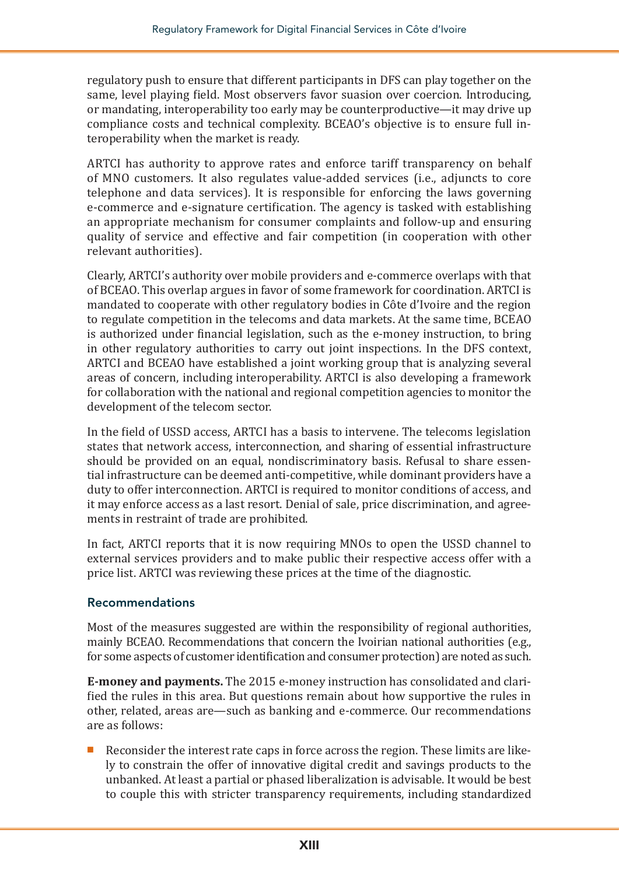regulatory push to ensure that different participants in DFS can play together on the same, level playing field. Most observers favor suasion over coercion. Introducing, or mandating, interoperability too early may be counterproductive—it may drive up compliance costs and technical complexity. BCEAO's objective is to ensure full interoperability when the market is ready.

ARTCI has authority to approve rates and enforce tariff transparency on behalf of MNO customers. It also regulates value-added services (i.e., adjuncts to core telephone and data services). It is responsible for enforcing the laws governing e-commerce and e-signature certification. The agency is tasked with establishing an appropriate mechanism for consumer complaints and follow-up and ensuring quality of service and effective and fair competition (in cooperation with other relevant authorities).

Clearly, ARTCI's authority over mobile providers and e-commerce overlaps with that of BCEAO. This overlap argues in favor of some framework for coordination. ARTCI is mandated to cooperate with other regulatory bodies in Côte d'Ivoire and the region to regulate competition in the telecoms and data markets. At the same time, BCEAO is authorized under financial legislation, such as the e-money instruction, to bring in other regulatory authorities to carry out joint inspections. In the DFS context, ARTCI and BCEAO have established a joint working group that is analyzing several areas of concern, including interoperability. ARTCI is also developing a framework for collaboration with the national and regional competition agencies to monitor the development of the telecom sector.

In the field of USSD access, ARTCI has a basis to intervene. The telecoms legislation states that network access, interconnection, and sharing of essential infrastructure should be provided on an equal, nondiscriminatory basis. Refusal to share essential infrastructure can be deemed anti-competitive, while dominant providers have a duty to offer interconnection. ARTCI is required to monitor conditions of access, and it may enforce access as a last resort. Denial of sale, price discrimination, and agreements in restraint of trade are prohibited.

In fact, ARTCI reports that it is now requiring MNOs to open the USSD channel to external services providers and to make public their respective access offer with a price list. ARTCI was reviewing these prices at the time of the diagnostic.

#### Recommendations

Most of the measures suggested are within the responsibility of regional authorities, mainly BCEAO. Recommendations that concern the Ivoirian national authorities (e.g., for some aspects of customer identification and consumer protection) are noted as such.

**E-money and payments.** The 2015 e-money instruction has consolidated and clarified the rules in this area. But questions remain about how supportive the rules in other, related, areas are—such as banking and e-commerce. Our recommendations are as follows:

Reconsider the interest rate caps in force across the region. These limits are likely to constrain the offer of innovative digital credit and savings products to the unbanked. At least a partial or phased liberalization is advisable. It would be best to couple this with stricter transparency requirements, including standardized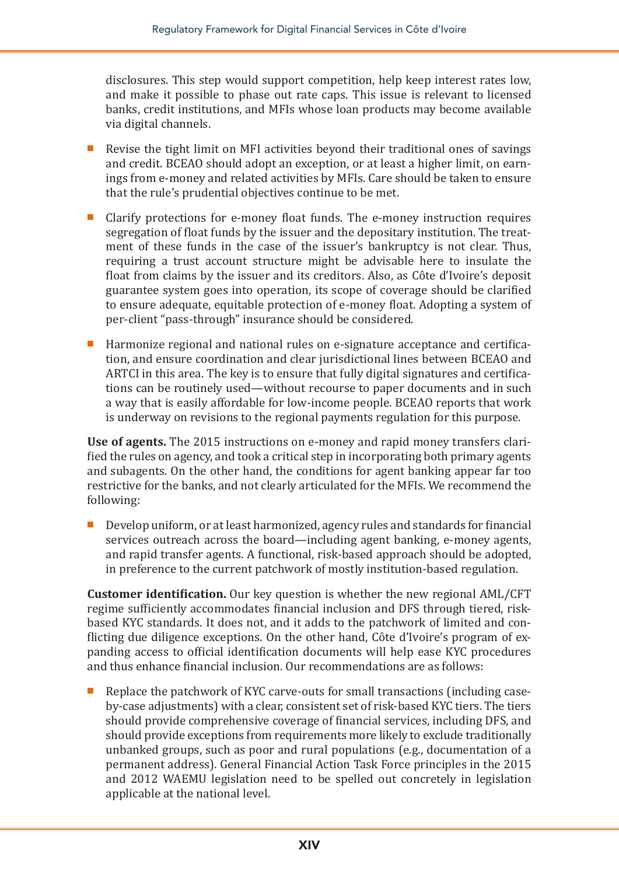disclosures. This step would support competition, help keep interest rates low, and make it possible to phase out rate caps. This issue is relevant to licensed banks, credit institutions, and MFIs whose loan products may become available via digital channels.

- Revise the tight limit on MFI activities beyond their traditional ones of savings and credit. BCEAO should adopt an exception, or at least a higher limit, on earnings from e-money and related activities by MFIs. Care should be taken to ensure that the rule's prudential objectives continue to be met.
- Clarify protections for e-money float funds. The e-money instruction requires segregation of float funds by the issuer and the depositary institution. The treatment of these funds in the case of the issuer's bankruptcy is not clear. Thus, requiring a trust account structure might be advisable here to insulate the float from claims by the issuer and its creditors. Also, as Côte d'Ivoire's deposit guarantee system goes into operation, its scope of coverage should be clarified to ensure adequate, equitable protection of e-money float. Adopting a system of per-client "pass-through" insurance should be considered.
- Harmonize regional and national rules on e-signature acceptance and certification, and ensure coordination and clear jurisdictional lines between BCEAO and ARTCI in this area. The key is to ensure that fully digital signatures and certifications can be routinely used—without recourse to paper documents and in such a way that is easily affordable for low-income people. BCEAO reports that work is underway on revisions to the regional payments regulation for this purpose.

**Use of agents.** The 2015 instructions on e-money and rapid money transfers clarified the rules on agency, and took a critical step in incorporating both primary agents and subagents. On the other hand, the conditions for agent banking appear far too restrictive for the banks, and not clearly articulated for the MFIs. We recommend the following:

Develop uniform, or at least harmonized, agency rules and standards for financial services outreach across the board—including agent banking, e-money agents, and rapid transfer agents. A functional, risk-based approach should be adopted, in preference to the current patchwork of mostly institution-based regulation.

**Customer identification.** Our key question is whether the new regional AML/CFT regime sufficiently accommodates financial inclusion and DFS through tiered, riskbased KYC standards. It does not, and it adds to the patchwork of limited and conflicting due diligence exceptions. On the other hand, Côte d'Ivoire's program of expanding access to official identification documents will help ease KYC procedures and thus enhance financial inclusion. Our recommendations are as follows:

Replace the patchwork of KYC carve-outs for small transactions (including caseby-case adjustments) with a clear, consistent set of risk-based KYC tiers. The tiers should provide comprehensive coverage of financial services, including DFS, and should provide exceptions from requirements more likely to exclude traditionally unbanked groups, such as poor and rural populations (e.g., documentation of a permanent address). General Financial Action Task Force principles in the 2015 and 2012 WAEMU legislation need to be spelled out concretely in legislation applicable at the national level.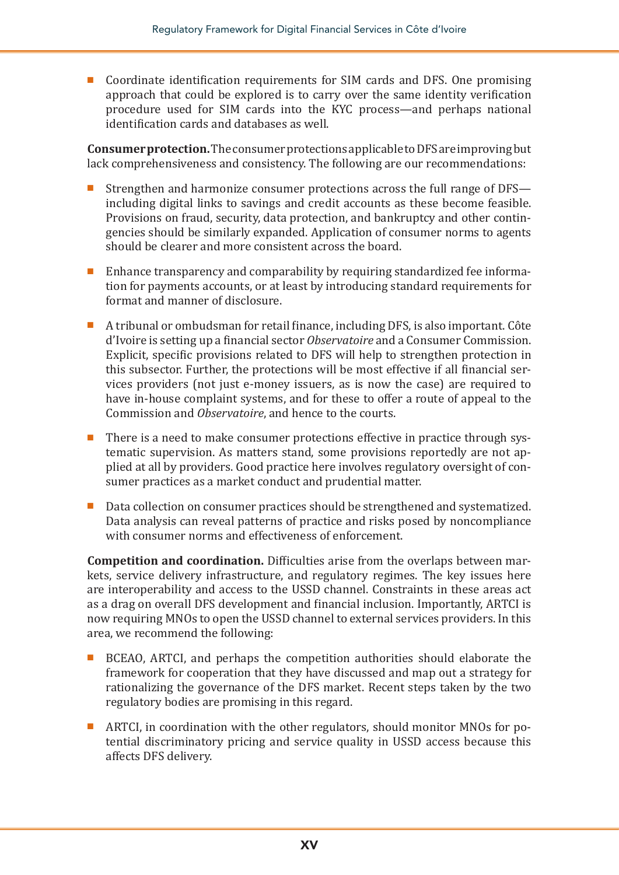■ Coordinate identification requirements for SIM cards and DFS. One promising approach that could be explored is to carry over the same identity verification procedure used for SIM cards into the KYC process—and perhaps national identification cards and databases as well.

**Consumer protection.** The consumer protections applicable to DFS are improving but lack comprehensiveness and consistency. The following are our recommendations:

- Strengthen and harmonize consumer protections across the full range of DFS including digital links to savings and credit accounts as these become feasible. Provisions on fraud, security, data protection, and bankruptcy and other contingencies should be similarly expanded. Application of consumer norms to agents should be clearer and more consistent across the board.
- Enhance transparency and comparability by requiring standardized fee information for payments accounts, or at least by introducing standard requirements for format and manner of disclosure.
- A tribunal or ombudsman for retail finance, including DFS, is also important. Côte d'Ivoire is setting up a financial sector *Observatoire* and a Consumer Commission. Explicit, specific provisions related to DFS will help to strengthen protection in this subsector. Further, the protections will be most effective if all financial services providers (not just e-money issuers, as is now the case) are required to have in-house complaint systems, and for these to offer a route of appeal to the Commission and *Observatoire*, and hence to the courts.
- There is a need to make consumer protections effective in practice through systematic supervision. As matters stand, some provisions reportedly are not applied at all by providers. Good practice here involves regulatory oversight of consumer practices as a market conduct and prudential matter.
- Data collection on consumer practices should be strengthened and systematized. Data analysis can reveal patterns of practice and risks posed by noncompliance with consumer norms and effectiveness of enforcement.

**Competition and coordination.** Difficulties arise from the overlaps between markets, service delivery infrastructure, and regulatory regimes. The key issues here are interoperability and access to the USSD channel. Constraints in these areas act as a drag on overall DFS development and financial inclusion. Importantly, ARTCI is now requiring MNOs to open the USSD channel to external services providers. In this area, we recommend the following:

- BCEAO, ARTCI, and perhaps the competition authorities should elaborate the framework for cooperation that they have discussed and map out a strategy for rationalizing the governance of the DFS market. Recent steps taken by the two regulatory bodies are promising in this regard.
- ARTCI, in coordination with the other regulators, should monitor MNOs for potential discriminatory pricing and service quality in USSD access because this affects DFS delivery.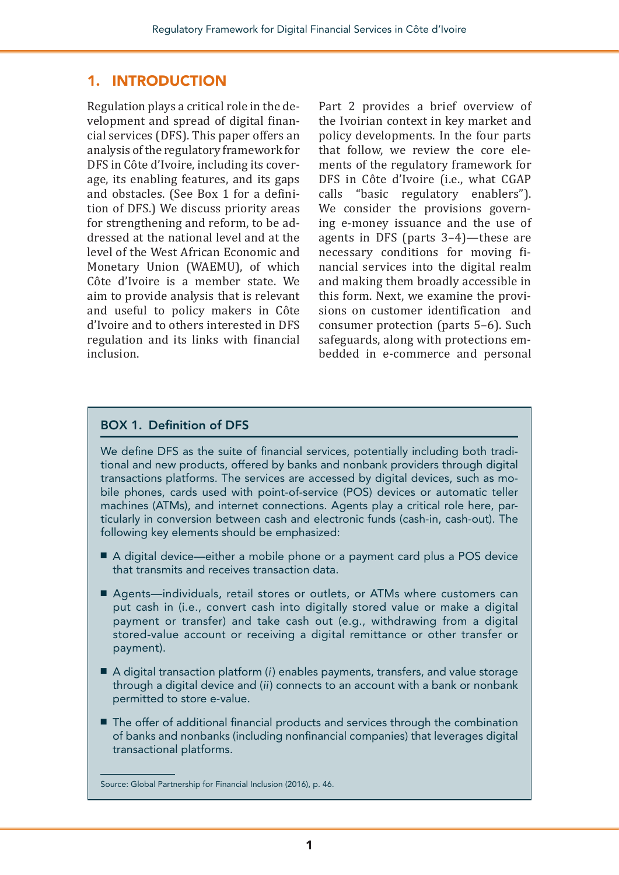#### 1. INTRODUCTION

Regulation plays a critical role in the development and spread of digital financial services (DFS). This paper offers an analysis of the regulatory framework for DFS in Côte d'Ivoire, including its coverage, its enabling features, and its gaps and obstacles. (See Box 1 for a definition of DFS.) We discuss priority areas for strengthening and reform, to be addressed at the national level and at the level of the West African Economic and Monetary Union (WAEMU), of which Côte d'Ivoire is a member state. We aim to provide analysis that is relevant and useful to policy makers in Côte d'Ivoire and to others interested in DFS regulation and its links with financial inclusion.

Part 2 provides a brief overview of the Ivoirian context in key market and policy developments. In the four parts that follow, we review the core elements of the regulatory framework for DFS in Côte d'Ivoire (i.e., what CGAP calls "basic regulatory enablers"). We consider the provisions governing e-money issuance and the use of agents in DFS (parts 3–4)—these are necessary conditions for moving financial services into the digital realm and making them broadly accessible in this form. Next, we examine the provisions on customer identification and consumer protection (parts 5–6). Such safeguards, along with protections embedded in e-commerce and personal

#### BOX 1. Definition of DFS

We define DFS as the suite of financial services, potentially including both traditional and new products, offered by banks and nonbank providers through digital transactions platforms. The services are accessed by digital devices, such as mobile phones, cards used with point-of-service (POS) devices or automatic teller machines (ATMs), and internet connections. Agents play a critical role here, particularly in conversion between cash and electronic funds (cash-in, cash-out). The following key elements should be emphasized:

- A digital device—either a mobile phone or a payment card plus a POS device that transmits and receives transaction data.
- Agents—individuals, retail stores or outlets, or ATMs where customers can put cash in (i.e., convert cash into digitally stored value or make a digital payment or transfer) and take cash out (e.g., withdrawing from a digital stored-value account or receiving a digital remittance or other transfer or payment).
- A digital transaction platform (*i*) enables payments, transfers, and value storage through a digital device and (*ii*) connects to an account with a bank or nonbank permitted to store e-value.
- The offer of additional financial products and services through the combination of banks and nonbanks (including nonfinancial companies) that leverages digital transactional platforms.

Source: Global Partnership for Financial Inclusion (2016), p. 46.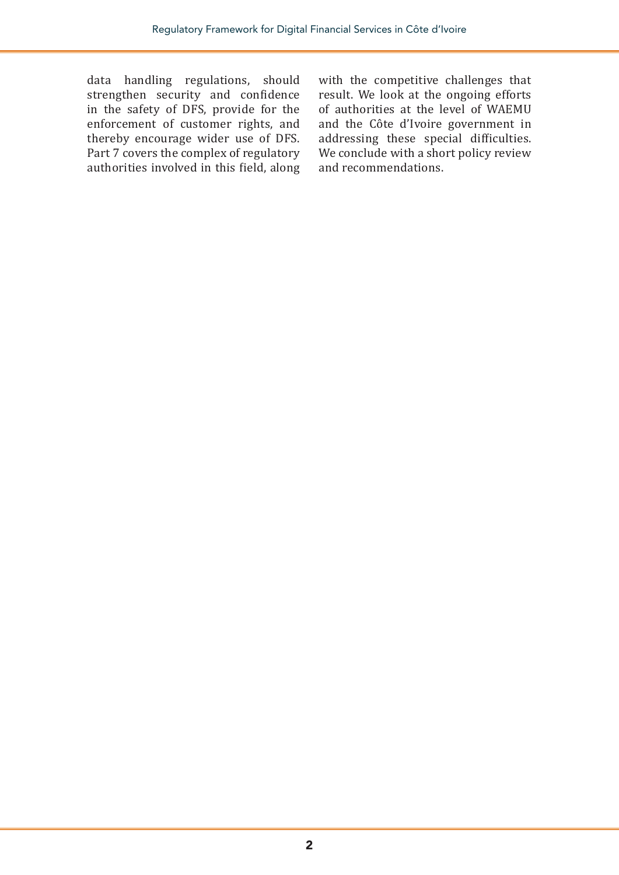data handling regulations, should strengthen security and confidence in the safety of DFS, provide for the enforcement of customer rights, and thereby encourage wider use of DFS. Part 7 covers the complex of regulatory authorities involved in this field, along

with the competitive challenges that result. We look at the ongoing efforts of authorities at the level of WAEMU and the Côte d'Ivoire government in addressing these special difficulties. We conclude with a short policy review and recommendations.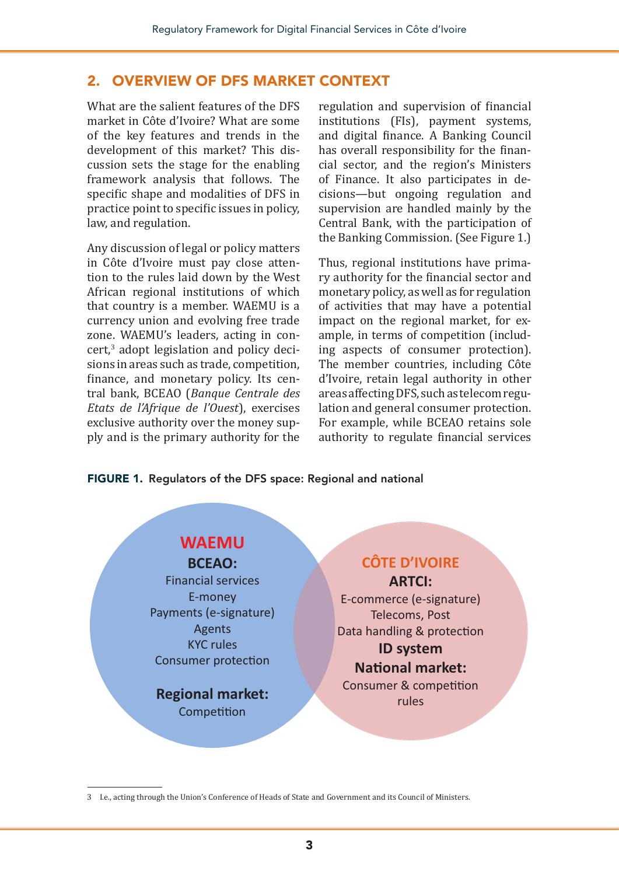#### 2. OVERVIEW OF DFS MARKET CONTEXT

What are the salient features of the DFS market in Côte d'Ivoire? What are some of the key features and trends in the development of this market? This discussion sets the stage for the enabling framework analysis that follows. The specific shape and modalities of DFS in practice point to specific issues in policy, law, and regulation.

Any discussion of legal or policy matters in Côte d'Ivoire must pay close attention to the rules laid down by the West African regional institutions of which that country is a member. WAEMU is a currency union and evolving free trade zone. WAEMU's leaders, acting in concert,<sup>3</sup> adopt legislation and policy decisions in areas such as trade, competition, finance, and monetary policy. Its central bank, BCEAO (*Banque Centrale des Etats de l'Afrique de l'Ouest*), exercises exclusive authority over the money supply and is the primary authority for the

regulation and supervision of financial institutions (FIs), payment systems, and digital finance. A Banking Council has overall responsibility for the financial sector, and the region's Ministers of Finance. It also participates in decisions—but ongoing regulation and supervision are handled mainly by the Central Bank, with the participation of the Banking Commission. (See Figure 1.)

Thus, regional institutions have primary authority for the financial sector and monetary policy, as well as for regulation of activities that may have a potential impact on the regional market, for example, in terms of competition (including aspects of consumer protection). The member countries, including Côte d'Ivoire, retain legal authority in other areas affecting DFS, such as telecom regulation and general consumer protection. For example, while BCEAO retains sole authority to regulate financial services

FIGURE 1. Regulators of the DFS space: Regional and national

#### **WAEMU BCEAO:** Financial services E-money Payments (e-signature) Agents KYC rules Consumer protection **Regional market:** Competition **CÔTE D'IVOIRE ARTCI:** E-commerce (e-signature) Telecoms, Post Data handling & protection **ID system National market:** Consumer & competition rules

3 I.e., acting through the Union's Conference of Heads of State and Government and its Council of Ministers.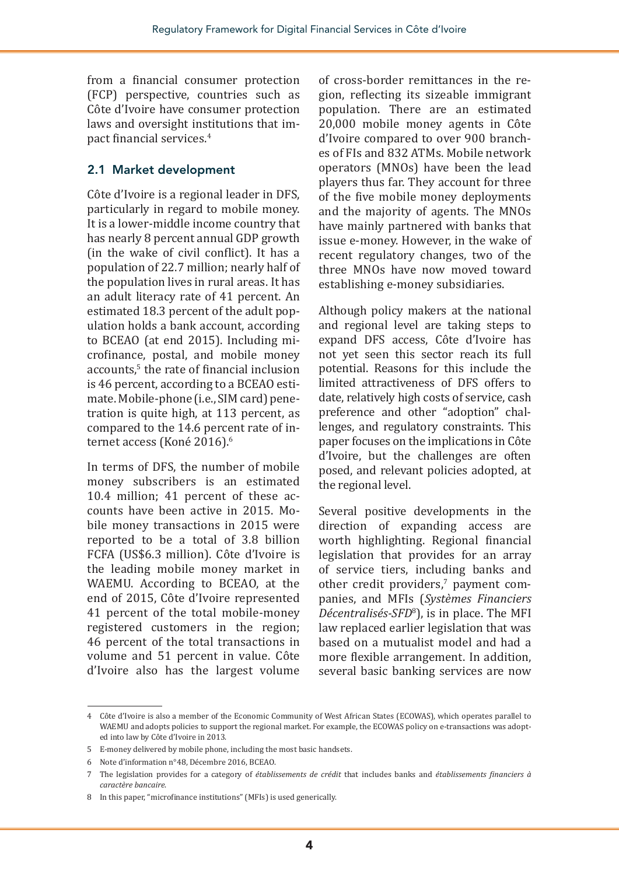from a financial consumer protection (FCP) perspective, countries such as Côte d'Ivoire have consumer protection laws and oversight institutions that impact financial services.<sup>4</sup>

#### 2.1 Market development

Côte d'Ivoire is a regional leader in DFS, particularly in regard to mobile money. It is a lower-middle income country that has nearly 8 percent annual GDP growth (in the wake of civil conflict). It has a population of 22.7 million; nearly half of the population lives in rural areas. It has an adult literacy rate of 41 percent. An estimated 18.3 percent of the adult population holds a bank account, according to BCEAO (at end 2015). Including microfinance, postal, and mobile money accounts,<sup>5</sup> the rate of financial inclusion is 46 percent, according to a BCEAO estimate. Mobile-phone (i.e., SIM card) penetration is quite high, at 113 percent, as compared to the 14.6 percent rate of internet access (Koné 2016).<sup>6</sup>

In terms of DFS, the number of mobile money subscribers is an estimated 10.4 million; 41 percent of these accounts have been active in 2015. Mobile money transactions in 2015 were reported to be a total of 3.8 billion FCFA (US\$6.3 million). Côte d'Ivoire is the leading mobile money market in WAEMU. According to BCEAO, at the end of 2015, Côte d'Ivoire represented 41 percent of the total mobile-money registered customers in the region; 46 percent of the total transactions in volume and 51 percent in value. Côte d'Ivoire also has the largest volume of cross-border remittances in the region, reflecting its sizeable immigrant population. There are an estimated 20,000 mobile money agents in Côte d'Ivoire compared to over 900 branches of FIs and 832 ATMs. Mobile network operators (MNOs) have been the lead players thus far. They account for three of the five mobile money deployments and the majority of agents. The MNOs have mainly partnered with banks that issue e-money. However, in the wake of recent regulatory changes, two of the three MNOs have now moved toward establishing e-money subsidiaries.

Although policy makers at the national and regional level are taking steps to expand DFS access, Côte d'Ivoire has not yet seen this sector reach its full potential. Reasons for this include the limited attractiveness of DFS offers to date, relatively high costs of service, cash preference and other "adoption" challenges, and regulatory constraints. This paper focuses on the implications in Côte d'Ivoire, but the challenges are often posed, and relevant policies adopted, at the regional level.

Several positive developments in the direction of expanding access are worth highlighting. Regional financial legislation that provides for an array of service tiers, including banks and other credit providers, $\theta$  payment companies, and MFIs (*Systèmes Financiers Décentralisés-SFD*<sup>8</sup> ), is in place. The MFI law replaced earlier legislation that was based on a mutualist model and had a more flexible arrangement. In addition, several basic banking services are now

<sup>4</sup> Côte d'Ivoire is also a member of the Economic Community of West African States (ECOWAS), which operates parallel to WAEMU and adopts policies to support the regional market. For example, the ECOWAS policy on e-transactions was adopted into law by Côte d'Ivoire in 2013.

<sup>5</sup> E-money delivered by mobile phone, including the most basic handsets.

<sup>6</sup> Note d'information n°48, Décembre 2016, BCEAO.

<sup>7</sup> The legislation provides for a category of *établissements de crédit* that includes banks and *établissements financiers à caractère bancaire*.

<sup>8</sup> In this paper, "microfinance institutions" (MFIs) is used generically.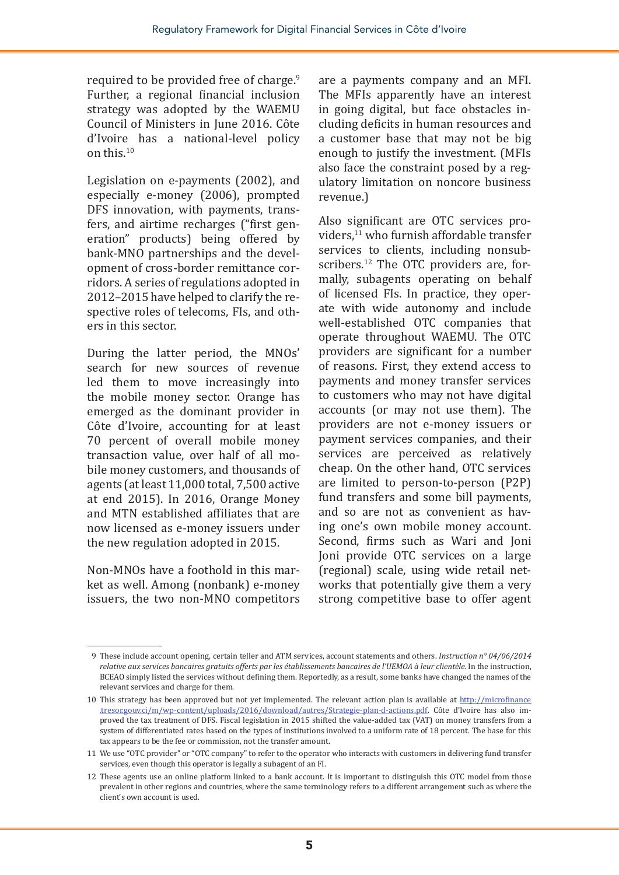required to be provided free of charge.<sup>9</sup> Further, a regional financial inclusion strategy was adopted by the WAEMU Council of Ministers in June 2016. Côte d'Ivoire has a national-level policy on this.<sup>10</sup>

Legislation on e-payments (2002), and especially e-money (2006), prompted DFS innovation, with payments, transfers, and airtime recharges ("first generation" products) being offered by bank-MNO partnerships and the development of cross-border remittance corridors. A series of regulations adopted in 2012–2015 have helped to clarify the respective roles of telecoms, FIs, and others in this sector.

During the latter period, the MNOs' search for new sources of revenue led them to move increasingly into the mobile money sector. Orange has emerged as the dominant provider in Côte d'Ivoire, accounting for at least 70 percent of overall mobile money transaction value, over half of all mobile money customers, and thousands of agents (at least 11,000 total, 7,500 active at end 2015). In 2016, Orange Money and MTN established affiliates that are now licensed as e-money issuers under the new regulation adopted in 2015.

Non-MNOs have a foothold in this market as well. Among (nonbank) e-money issuers, the two non-MNO competitors are a payments company and an MFI. The MFIs apparently have an interest in going digital, but face obstacles including deficits in human resources and a customer base that may not be big enough to justify the investment. (MFIs also face the constraint posed by a regulatory limitation on noncore business revenue.)

Also significant are OTC services providers,11 who furnish affordable transfer services to clients, including nonsubscribers.<sup>12</sup> The OTC providers are, formally, subagents operating on behalf of licensed FIs. In practice, they operate with wide autonomy and include well-established OTC companies that operate throughout WAEMU. The OTC providers are significant for a number of reasons. First, they extend access to payments and money transfer services to customers who may not have digital accounts (or may not use them). The providers are not e-money issuers or payment services companies, and their services are perceived as relatively cheap. On the other hand, OTC services are limited to person-to-person (P2P) fund transfers and some bill payments, and so are not as convenient as having one's own mobile money account. Second, firms such as Wari and Joni Joni provide OTC services on a large (regional) scale, using wide retail networks that potentially give them a very strong competitive base to offer agent

<sup>9</sup> These include account opening, certain teller and ATM services, account statements and others. *Instruction n° 04/06/2014 relative aux services bancaires gratuits offerts par les établissements bancaires de l'UEMOA à leur clientèle.* In the instruction, BCEAO simply listed the services without defining them. Reportedly, as a result, some banks have changed the names of the relevant services and charge for them.

<sup>10</sup> This strategy has been approved but not yet implemented. The relevant action plan is available at [http://microfinance](http://microfinance.tresor.gouv.ci/m/wp-content/uploads/2016/download/autres/Strategie-plan-d-actions.pdf) [.tresor.gouv.ci/m/wp-content/uploads/2016/download/autres/Strategie-plan-d-actions.pdf.](http://microfinance.tresor.gouv.ci/m/wp-content/uploads/2016/download/autres/Strategie-plan-d-actions.pdf) Côte d'Ivoire has also improved the tax treatment of DFS. Fiscal legislation in 2015 shifted the value-added tax (VAT) on money transfers from a system of differentiated rates based on the types of institutions involved to a uniform rate of 18 percent. The base for this tax appears to be the fee or commission, not the transfer amount.

<sup>11</sup> We use "OTC provider" or "OTC company" to refer to the operator who interacts with customers in delivering fund transfer services, even though this operator is legally a subagent of an FI.

<sup>12</sup> These agents use an online platform linked to a bank account. It is important to distinguish this OTC model from those prevalent in other regions and countries, where the same terminology refers to a different arrangement such as where the client's own account is used.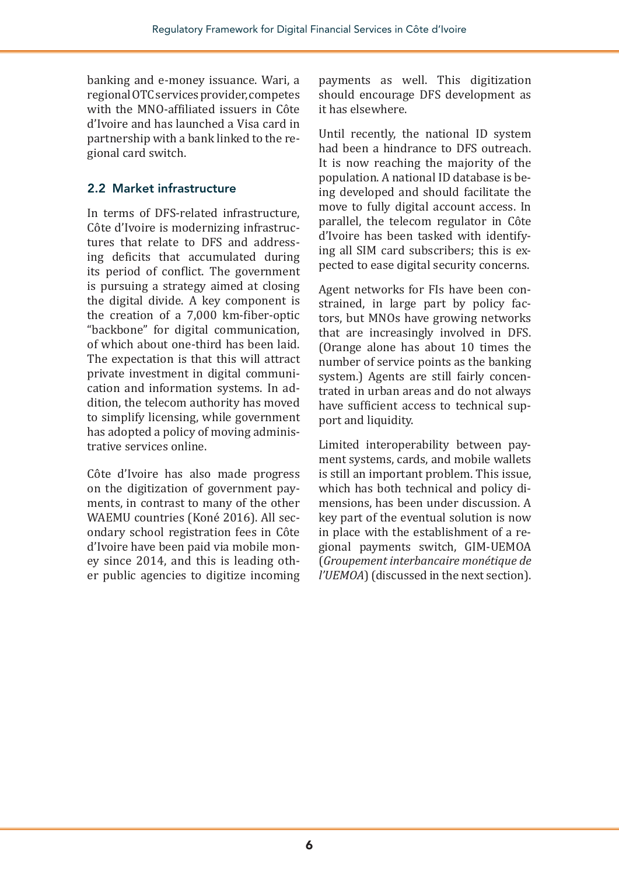banking and e-money issuance. Wari, a regional OTC services provider, competes with the MNO-affiliated issuers in Côte d'Ivoire and has launched a Visa card in partnership with a bank linked to the regional card switch.

#### 2.2 Market infrastructure

In terms of DFS-related infrastructure, Côte d'Ivoire is modernizing infrastructures that relate to DFS and addressing deficits that accumulated during its period of conflict. The government is pursuing a strategy aimed at closing the digital divide. A key component is the creation of a 7,000 km-fiber-optic "backbone" for digital communication, of which about one-third has been laid. The expectation is that this will attract private investment in digital communication and information systems. In addition, the telecom authority has moved to simplify licensing, while government has adopted a policy of moving administrative services online.

Côte d'Ivoire has also made progress on the digitization of government payments, in contrast to many of the other WAEMU countries (Koné 2016). All secondary school registration fees in Côte d'Ivoire have been paid via mobile money since 2014, and this is leading other public agencies to digitize incoming

payments as well. This digitization should encourage DFS development as it has elsewhere.

Until recently, the national ID system had been a hindrance to DFS outreach. It is now reaching the majority of the population. A national ID database is being developed and should facilitate the move to fully digital account access. In parallel, the telecom regulator in Côte d'Ivoire has been tasked with identifying all SIM card subscribers; this is expected to ease digital security concerns.

Agent networks for FIs have been constrained, in large part by policy factors, but MNOs have growing networks that are increasingly involved in DFS. (Orange alone has about 10 times the number of service points as the banking system.) Agents are still fairly concentrated in urban areas and do not always have sufficient access to technical support and liquidity.

Limited interoperability between payment systems, cards, and mobile wallets is still an important problem. This issue, which has both technical and policy dimensions, has been under discussion. A key part of the eventual solution is now in place with the establishment of a regional payments switch, GIM-UEMOA (*Groupement interbancaire monétique de l'UEMOA*) (discussed in the next section).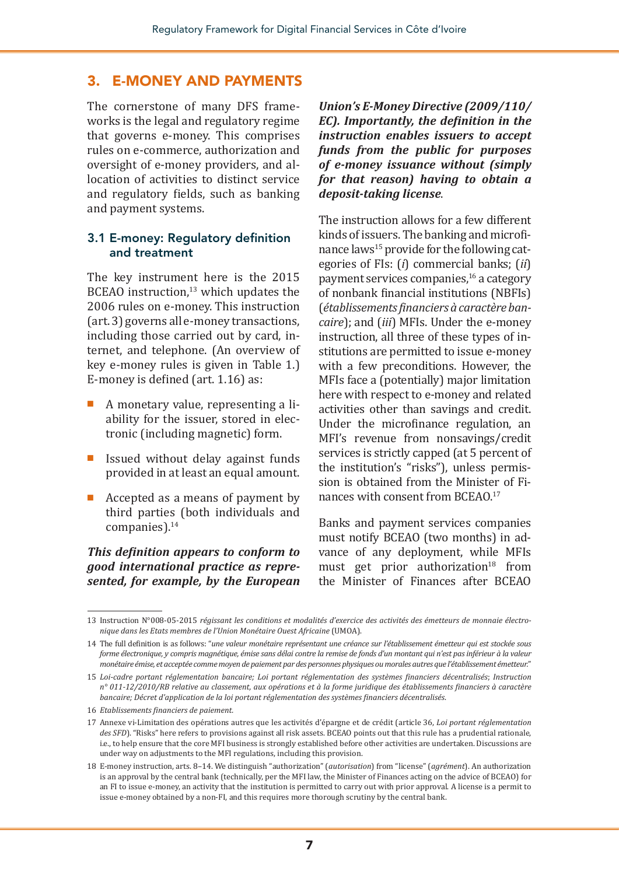#### 3. E-MONEY AND PAYMENTS

The cornerstone of many DFS frameworks is the legal and regulatory regime that governs e-money. This comprises rules on e-commerce, authorization and oversight of e-money providers, and allocation of activities to distinct service and regulatory fields, such as banking and payment systems.

#### 3.1 E-money: Regulatory definition and treatment

The key instrument here is the 2015 BCEAO instruction, $13$  which updates the 2006 rules on e-money. This instruction (art. 3) governs all e-money transactions, including those carried out by card, internet, and telephone. (An overview of key e-money rules is given in Table 1.) E-money is defined (art. 1.16) as:

- A monetary value, representing a liability for the issuer, stored in electronic (including magnetic) form.
- Issued without delay against funds provided in at least an equal amount.
- Accepted as a means of payment by third parties (both individuals and companies).<sup>14</sup>

#### *This definition appears to conform to good international practice as represented, for example, by the European*

*Union's E-Money Directive (2009/110/ EC). Importantly, the definition in the instruction enables issuers to accept funds from the public for purposes of e-money issuance without (simply for that reason) having to obtain a deposit-taking license*.

The instruction allows for a few different kinds of issuers. The banking and microfinance laws<sup>15</sup> provide for the following categories of FIs: (*i*) commercial banks; (*ii*) payment services companies,16 a category of nonbank financial institutions (NBFIs) (*établissements financiers à caractère bancaire*); and (*iii*) MFIs. Under the e-money instruction, all three of these types of institutions are permitted to issue e-money with a few preconditions. However, the MFIs face a (potentially) major limitation here with respect to e-money and related activities other than savings and credit. Under the microfinance regulation, an MFI's revenue from nonsavings/credit services is strictly capped (at 5 percent of the institution's "risks"), unless permission is obtained from the Minister of Finances with consent from BCEAO.17

Banks and payment services companies must notify BCEAO (two months) in advance of any deployment, while MFIs must get prior authorization $18$  from the Minister of Finances after BCEAO

<sup>13</sup> Instruction N°008-05-2015 *régissant les conditions et modalités d'exercice des activités des émetteurs de monnaie électronique dans les Etats membres de l'Union Monétaire Ouest Africaine* (UMOA).

<sup>14</sup> The full definition is as follows: "*une valeur monétaire représentant une créance sur l'établissement émetteur qui est stockée sous forme électronique, y compris magnétique, émise sans délai contre la remise de fonds d'un montant qui n'est pas inférieur à la valeur monétaire émise, et acceptée comme moyen de paiement par des personnes physiques ou morales autres que l'établissement émetteur.*"

<sup>15</sup> *Loi-cadre portant réglementation bancaire; Loi portant réglementation des systèmes financiers décentralisés*; *Instruction n° 011-12/2010/RB relative au classement, aux opérations et à la forme juridique des établissements financiers à caractère bancaire; Décret d'application de la loi portant réglementation des systèmes financiers décentralisés*.

<sup>16</sup> *Etablissements financiers de paiement.*

<sup>17</sup> Annexe vi-Limitation des opérations autres que les activités d'épargne et de crédit (article 36, *Loi portant réglementation*  des SFD). "Risks" here refers to provisions against all risk assets. BCEAO points out that this rule has a prudential rationale, i.e., to help ensure that the core MFI business is strongly established before other activities are undertaken. Discussions are under way on adjustments to the MFI regulations, including this provision.

<sup>18</sup> E-money instruction, arts. 8–14. We distinguish "authorization" (*autorisation*) from "license" (*agrément*). An authorization is an approval by the central bank (technically, per the MFI law, the Minister of Finances acting on the advice of BCEAO) for an FI to issue e-money, an activity that the institution is permitted to carry out with prior approval. A license is a permit to issue e-money obtained by a non-FI, and this requires more thorough scrutiny by the central bank.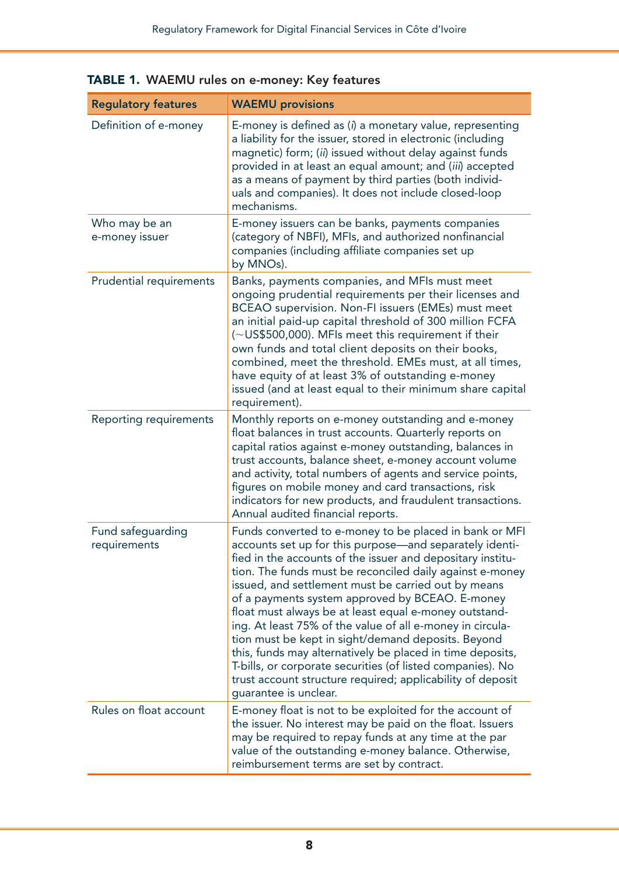| <b>Regulatory features</b>        | <b>WAEMU provisions</b>                                                                                                                                                                                                                                                                                                                                                                                                                                                                                                                                                                                                                                                                                                                             |
|-----------------------------------|-----------------------------------------------------------------------------------------------------------------------------------------------------------------------------------------------------------------------------------------------------------------------------------------------------------------------------------------------------------------------------------------------------------------------------------------------------------------------------------------------------------------------------------------------------------------------------------------------------------------------------------------------------------------------------------------------------------------------------------------------------|
| Definition of e-money             | E-money is defined as (i) a monetary value, representing<br>a liability for the issuer, stored in electronic (including<br>magnetic) form; (ii) issued without delay against funds<br>provided in at least an equal amount; and (iii) accepted<br>as a means of payment by third parties (both individ-<br>uals and companies). It does not include closed-loop<br>mechanisms.                                                                                                                                                                                                                                                                                                                                                                      |
| Who may be an<br>e-money issuer   | E-money issuers can be banks, payments companies<br>(category of NBFI), MFIs, and authorized nonfinancial<br>companies (including affiliate companies set up<br>by MNOs).                                                                                                                                                                                                                                                                                                                                                                                                                                                                                                                                                                           |
| Prudential requirements           | Banks, payments companies, and MFIs must meet<br>ongoing prudential requirements per their licenses and<br>BCEAO supervision. Non-FI issuers (EMEs) must meet<br>an initial paid-up capital threshold of 300 million FCFA<br>(~US\$500,000). MFIs meet this requirement if their<br>own funds and total client deposits on their books,<br>combined, meet the threshold. EMEs must, at all times,<br>have equity of at least 3% of outstanding e-money<br>issued (and at least equal to their minimum share capital<br>requirement).                                                                                                                                                                                                                |
| <b>Reporting requirements</b>     | Monthly reports on e-money outstanding and e-money<br>float balances in trust accounts. Quarterly reports on<br>capital ratios against e-money outstanding, balances in<br>trust accounts, balance sheet, e-money account volume<br>and activity, total numbers of agents and service points,<br>figures on mobile money and card transactions, risk<br>indicators for new products, and fraudulent transactions.<br>Annual audited financial reports.                                                                                                                                                                                                                                                                                              |
| Fund safeguarding<br>requirements | Funds converted to e-money to be placed in bank or MFI<br>accounts set up for this purpose-and separately identi-<br>fied in the accounts of the issuer and depositary institu-<br>tion. The funds must be reconciled daily against e-money<br>issued, and settlement must be carried out by means<br>of a payments system approved by BCEAO. E-money<br>float must always be at least equal e-money outstand-<br>ing. At least 75% of the value of all e-money in circula-<br>tion must be kept in sight/demand deposits. Beyond<br>this, funds may alternatively be placed in time deposits,<br>T-bills, or corporate securities (of listed companies). No<br>trust account structure required; applicability of deposit<br>guarantee is unclear. |
| Rules on float account            | E-money float is not to be exploited for the account of<br>the issuer. No interest may be paid on the float. Issuers<br>may be required to repay funds at any time at the par<br>value of the outstanding e-money balance. Otherwise,<br>reimbursement terms are set by contract.                                                                                                                                                                                                                                                                                                                                                                                                                                                                   |

#### TABLE 1. WAEMU rules on e-money: Key features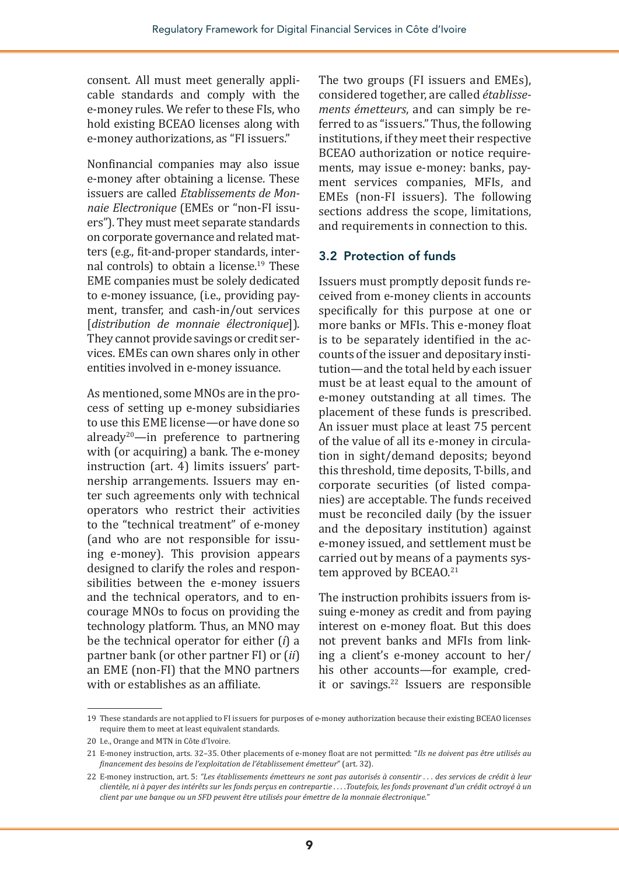consent. All must meet generally applicable standards and comply with the e-money rules. We refer to these FIs, who hold existing BCEAO licenses along with e-money authorizations, as "FI issuers."

Nonfinancial companies may also issue e-money after obtaining a license. These issuers are called *Etablissements de Monnaie Electronique* (EMEs or "non-FI issuers"). They must meet separate standards on corporate governance and related matters (e.g., fit-and-proper standards, internal controls) to obtain a license.19 These EME companies must be solely dedicated to e-money issuance, (i.e., providing payment, transfer, and cash-in/out services [*distribution de monnaie électronique*]). They cannot provide savings or credit services. EMEs can own shares only in other entities involved in e-money issuance.

As mentioned, some MNOs are in the process of setting up e-money subsidiaries to use this EME license—or have done so already<sup>20</sup>—in preference to partnering with (or acquiring) a bank. The e-money instruction (art. 4) limits issuers' partnership arrangements. Issuers may enter such agreements only with technical operators who restrict their activities to the "technical treatment" of e-money (and who are not responsible for issuing e-money). This provision appears designed to clarify the roles and responsibilities between the e-money issuers and the technical operators, and to encourage MNOs to focus on providing the technology platform. Thus, an MNO may be the technical operator for either (*i*) a partner bank (or other partner FI) or (*ii*) an EME (non-FI) that the MNO partners with or establishes as an affiliate.

The two groups (FI issuers and EMEs), considered together, are called *établissements émetteurs*, and can simply be referred to as "issuers." Thus, the following institutions, if they meet their respective BCEAO authorization or notice requirements, may issue e-money: banks, payment services companies, MFIs, and EMEs (non-FI issuers). The following sections address the scope, limitations, and requirements in connection to this.

#### 3.2 Protection of funds

Issuers must promptly deposit funds received from e-money clients in accounts specifically for this purpose at one or more banks or MFIs. This e-money float is to be separately identified in the accounts of the issuer and depositary institution—and the total held by each issuer must be at least equal to the amount of e-money outstanding at all times. The placement of these funds is prescribed. An issuer must place at least 75 percent of the value of all its e-money in circulation in sight/demand deposits; beyond this threshold, time deposits, T-bills, and corporate securities (of listed companies) are acceptable. The funds received must be reconciled daily (by the issuer and the depositary institution) against e-money issued, and settlement must be carried out by means of a payments system approved by BCEA0.<sup>21</sup>

The instruction prohibits issuers from issuing e-money as credit and from paying interest on e-money float. But this does not prevent banks and MFIs from linking a client's e-money account to her/ his other accounts—for example, credit or savings.<sup>22</sup> Issuers are responsible

<sup>19</sup> These standards are not applied to FI issuers for purposes of e-money authorization because their existing BCEAO licenses require them to meet at least equivalent standards.

<sup>20</sup> I.e., Orange and MTN in Côte d'Ivoire.

<sup>21</sup> E-money instruction, arts. 32–35. Other placements of e-money float are not permitted: "*Ils ne doivent pas être utilisés au financement des besoins de l'exploitation de l'établissement émetteur*" (art. 32).

<sup>22</sup> E-money instruction, art. 5: *"Les établissements émetteurs ne sont pas autorisés à consentir . . . des services de crédit à leur clientèle, ni à payer des intérêts sur les fonds perçus en contrepartie . . . .Toutefois, les fonds provenant d'un crédit octroyé à un client par une banque ou un SFD peuvent être utilisés pour émettre de la monnaie électronique."*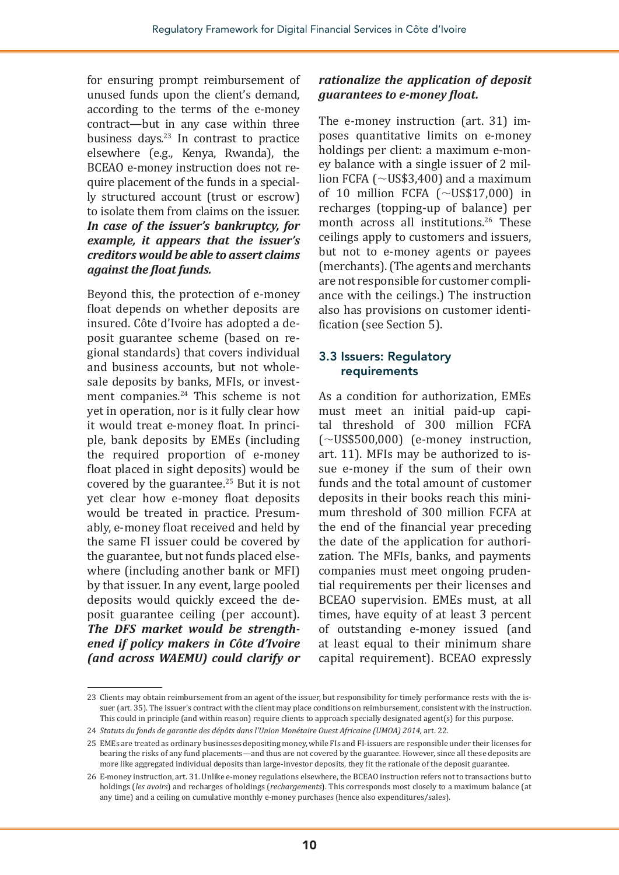for ensuring prompt reimbursement of unused funds upon the client's demand, according to the terms of the e-money contract—but in any case within three business days.23 In contrast to practice elsewhere (e.g., Kenya, Rwanda), the BCEAO e-money instruction does not require placement of the funds in a specially structured account (trust or escrow) to isolate them from claims on the issuer. *In case of the issuer's bankruptcy, for example, it appears that the issuer's creditors would be able to assert claims against the float funds.*

Beyond this, the protection of e-money float depends on whether deposits are insured. Côte d'Ivoire has adopted a deposit guarantee scheme (based on regional standards) that covers individual and business accounts, but not wholesale deposits by banks, MFIs, or investment companies.<sup>24</sup> This scheme is not yet in operation, nor is it fully clear how it would treat e-money float. In principle, bank deposits by EMEs (including the required proportion of e-money float placed in sight deposits) would be covered by the guarantee.25 But it is not yet clear how e-money float deposits would be treated in practice. Presumably, e-money float received and held by the same FI issuer could be covered by the guarantee, but not funds placed elsewhere (including another bank or MFI) by that issuer. In any event, large pooled deposits would quickly exceed the deposit guarantee ceiling (per account). *The DFS market would be strengthened if policy makers in Côte d'Ivoire (and across WAEMU) could clarify or* 

#### *rationalize the application of deposit guarantees to e-money float.*

The e-money instruction (art. 31) imposes quantitative limits on e-money holdings per client: a maximum e-money balance with a single issuer of 2 million FCFA ( $\sim$ US\$3,400) and a maximum of 10 million FCFA  $(\sim USS17,000)$  in recharges (topping-up of balance) per month across all institutions.<sup>26</sup> These ceilings apply to customers and issuers, but not to e-money agents or payees (merchants). (The agents and merchants are not responsible for customer compliance with the ceilings.) The instruction also has provisions on customer identification (see Section 5).

#### 3.3 Issuers: Regulatory requirements

As a condition for authorization, EMEs must meet an initial paid-up capital threshold of 300 million FCFA  $(\sim U$ S\$500,000) (e-money instruction, art. 11). MFIs may be authorized to issue e-money if the sum of their own funds and the total amount of customer deposits in their books reach this minimum threshold of 300 million FCFA at the end of the financial year preceding the date of the application for authorization. The MFIs, banks, and payments companies must meet ongoing prudential requirements per their licenses and BCEAO supervision. EMEs must, at all times, have equity of at least 3 percent of outstanding e-money issued (and at least equal to their minimum share capital requirement). BCEAO expressly

<sup>23</sup> Clients may obtain reimbursement from an agent of the issuer, but responsibility for timely performance rests with the issuer (art. 35). The issuer's contract with the client may place conditions on reimbursement, consistent with the instruction. This could in principle (and within reason) require clients to approach specially designated agent(s) for this purpose.

<sup>24</sup> *Statuts du fonds de garantie des dépôts dans l'Union Monétaire Ouest Africaine (UMOA) 2014,* art. 22.

<sup>25</sup> EMEs are treated as ordinary businesses depositing money, while FIs and FI-issuers are responsible under their licenses for bearing the risks of any fund placements—and thus are not covered by the guarantee. However, since all these deposits are more like aggregated individual deposits than large-investor deposits, they fit the rationale of the deposit guarantee.

<sup>26</sup> E-money instruction, art. 31. Unlike e-money regulations elsewhere, the BCEAO instruction refers not to transactions but to holdings (*les avoirs*) and recharges of holdings (*rechargements*). This corresponds most closely to a maximum balance (at any time) and a ceiling on cumulative monthly e-money purchases (hence also expenditures/sales).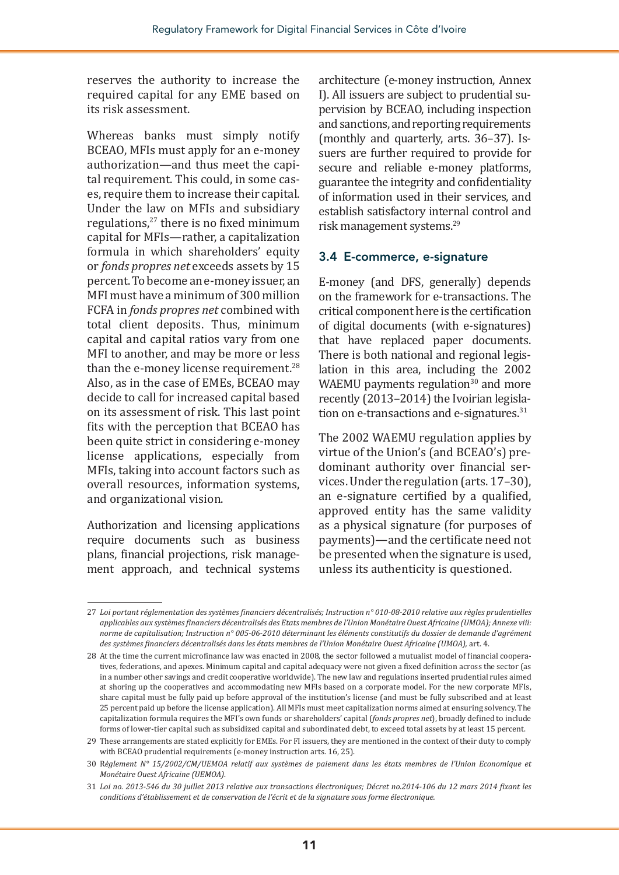reserves the authority to increase the required capital for any EME based on its risk assessment.

Whereas banks must simply notify BCEAO, MFIs must apply for an e-money authorization—and thus meet the capital requirement. This could, in some cases, require them to increase their capital. Under the law on MFIs and subsidiary regulations,<sup>27</sup> there is no fixed minimum capital for MFIs—rather, a capitalization formula in which shareholders' equity or *fonds propres net* exceeds assets by 15 percent. To become an e-money issuer, an MFI must have a minimum of 300 million FCFA in *fonds propres net* combined with total client deposits. Thus, minimum capital and capital ratios vary from one MFI to another, and may be more or less than the e-money license requirement.<sup>28</sup> Also, as in the case of EMEs, BCEAO may decide to call for increased capital based on its assessment of risk. This last point fits with the perception that BCEAO has been quite strict in considering e-money license applications, especially from MFIs, taking into account factors such as overall resources, information systems, and organizational vision.

Authorization and licensing applications require documents such as business plans, financial projections, risk management approach, and technical systems

architecture (e-money instruction, Annex I). All issuers are subject to prudential supervision by BCEAO, including inspection and sanctions, and reporting requirements (monthly and quarterly, arts. 36–37). Issuers are further required to provide for secure and reliable e-money platforms, guarantee the integrity and confidentiality of information used in their services, and establish satisfactory internal control and risk management systems.29

#### 3.4 E-commerce, e-signature

E-money (and DFS, generally) depends on the framework for e-transactions. The critical component here is the certification of digital documents (with e-signatures) that have replaced paper documents. There is both national and regional legislation in this area, including the 2002 WAEMU payments regulation $30$  and more recently (2013–2014) the Ivoirian legislation on e-transactions and e-signatures.<sup>31</sup>

The 2002 WAEMU regulation applies by virtue of the Union's (and BCEAO's) predominant authority over financial services. Under the regulation (arts. 17–30), an e-signature certified by a qualified, approved entity has the same validity as a physical signature (for purposes of payments)—and the certificate need not be presented when the signature is used, unless its authenticity is questioned.

<sup>27</sup> *Loi portant réglementation des systèmes financiers décentralisés; Instruction n° 010-08-2010 relative aux règles prudentielles applicables aux systèmes financiers décentralisés des Etats membres de l'Union Monétaire Ouest Africaine (UMOA); Annexe viii: norme de capitalisation; Instruction n° 005-06-2010 déterminant les éléments constitutifs du dossier de demande d'agrément des systèmes financiers décentralisés dans les états membres de l'Union Monétaire Ouest Africaine (UMOA),* art. 4.

<sup>28</sup> At the time the current microfinance law was enacted in 2008, the sector followed a mutualist model of financial cooperatives, federations, and apexes. Minimum capital and capital adequacy were not given a fixed definition across the sector (as in a number other savings and credit cooperative worldwide). The new law and regulations inserted prudential rules aimed at shoring up the cooperatives and accommodating new MFIs based on a corporate model. For the new corporate MFIs, share capital must be fully paid up before approval of the institution's license (and must be fully subscribed and at least 25 percent paid up before the license application). All MFIs must meet capitalization norms aimed at ensuring solvency. The capitalization formula requires the MFI's own funds or shareholders' capital (*fonds propres net*), broadly defined to include forms of lower-tier capital such as subsidized capital and subordinated debt, to exceed total assets by at least 15 percent.

<sup>29</sup> These arrangements are stated explicitly for EMEs. For FI issuers, they are mentioned in the context of their duty to comply with BCEAO prudential requirements (e-money instruction arts. 16, 25).

<sup>30</sup> R*èglement N° 15/2002/CM/UEMOA relatif aux systèmes de paiement dans les états membres de l'Union Economique et Monétaire Ouest Africaine (UEMOA)*.

<sup>31</sup> *Loi no. 2013-546 du 30 juillet 2013 relative aux transactions électroniques; Décret no.2014-106 du 12 mars 2014 fixant les conditions d'établissement et de conservation de l'écrit et de la signature sous forme électronique.*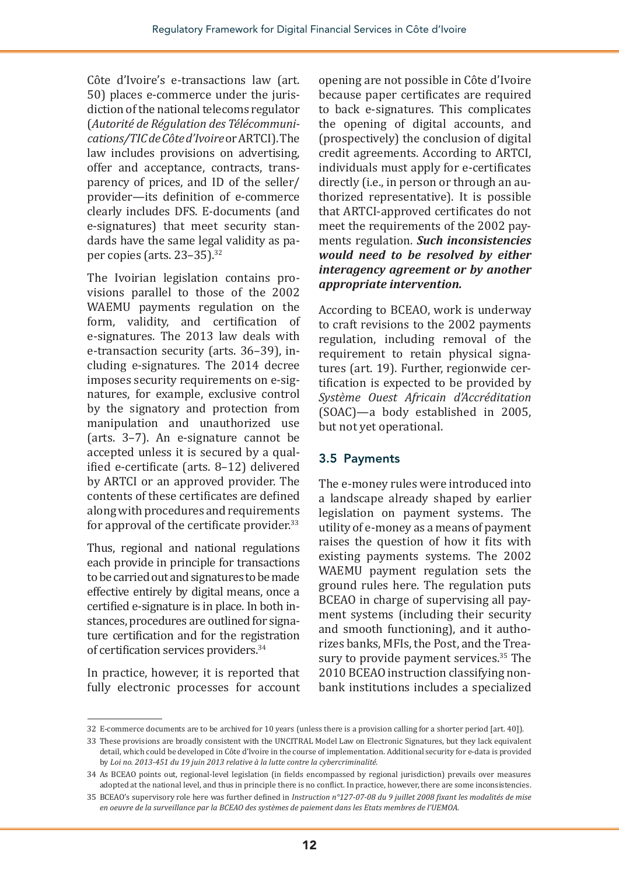Côte d'Ivoire's e-transactions law (art. 50) places e-commerce under the jurisdiction of the national telecoms regulator (*Autorité de Régulation des Télécommunications/TIC de Côte d'Ivoire* or ARTCI). The law includes provisions on advertising, offer and acceptance, contracts, transparency of prices, and ID of the seller/ provider—its definition of e-commerce clearly includes DFS. E-documents (and e-signatures) that meet security standards have the same legal validity as paper copies (arts. 23-35).<sup>32</sup>

The Ivoirian legislation contains provisions parallel to those of the 2002 WAEMU payments regulation on the form, validity, and certification of e-signatures. The 2013 law deals with e-transaction security (arts. 36–39), including e-signatures. The 2014 decree imposes security requirements on e-signatures, for example, exclusive control by the signatory and protection from manipulation and unauthorized use (arts. 3–7). An e-signature cannot be accepted unless it is secured by a qualified e-certificate (arts. 8–12) delivered by ARTCI or an approved provider. The contents of these certificates are defined along with procedures and requirements for approval of the certificate provider.<sup>33</sup>

Thus, regional and national regulations each provide in principle for transactions to be carried out and signatures to be made effective entirely by digital means, once a certified e-signature is in place. In both instances, procedures are outlined for signature certification and for the registration of certification services providers.<sup>34</sup>

In practice, however, it is reported that fully electronic processes for account opening are not possible in Côte d'Ivoire because paper certificates are required to back e-signatures. This complicates the opening of digital accounts, and (prospectively) the conclusion of digital credit agreements. According to ARTCI, individuals must apply for e-certificates directly (i.e., in person or through an authorized representative). It is possible that ARTCI-approved certificates do not meet the requirements of the 2002 payments regulation. *Such inconsistencies would need to be resolved by either interagency agreement or by another appropriate intervention.*

According to BCEAO, work is underway to craft revisions to the 2002 payments regulation, including removal of the requirement to retain physical signatures (art. 19). Further, regionwide certification is expected to be provided by *Système Ouest Africain d'Accréditation* (SOAC)—a body established in 2005, but not yet operational.

#### 3.5 Payments

The e-money rules were introduced into a landscape already shaped by earlier legislation on payment systems. The utility of e-money as a means of payment raises the question of how it fits with existing payments systems. The 2002 WAEMU payment regulation sets the ground rules here. The regulation puts BCEAO in charge of supervising all payment systems (including their security and smooth functioning), and it authorizes banks, MFIs, the Post, and the Treasury to provide payment services.<sup>35</sup> The 2010 BCEAO instruction classifying nonbank institutions includes a specialized

<sup>32</sup> E-commerce documents are to be archived for 10 years (unless there is a provision calling for a shorter period [art. 40]).

<sup>33</sup> These provisions are broadly consistent with the UNCITRAL Model Law on Electronic Signatures, but they lack equivalent detail, which could be developed in Côte d'Ivoire in the course of implementation. Additional security for e-data is provided by *Loi no. 2013-451 du 19 juin 2013 relative à la lutte contre la cybercriminalité.*

<sup>34</sup> As BCEAO points out, regional-level legislation (in fields encompassed by regional jurisdiction) prevails over measures adopted at the national level, and thus in principle there is no conflict. In practice, however, there are some inconsistencies.

<sup>35</sup> BCEAO's supervisory role here was further defined in *Instruction n°127-07-08 du 9 juillet 2008 fixant les modalités de mise en oeuvre de la surveillance par la BCEAO des systèmes de paiement dans les Etats membres de l'UEMOA.*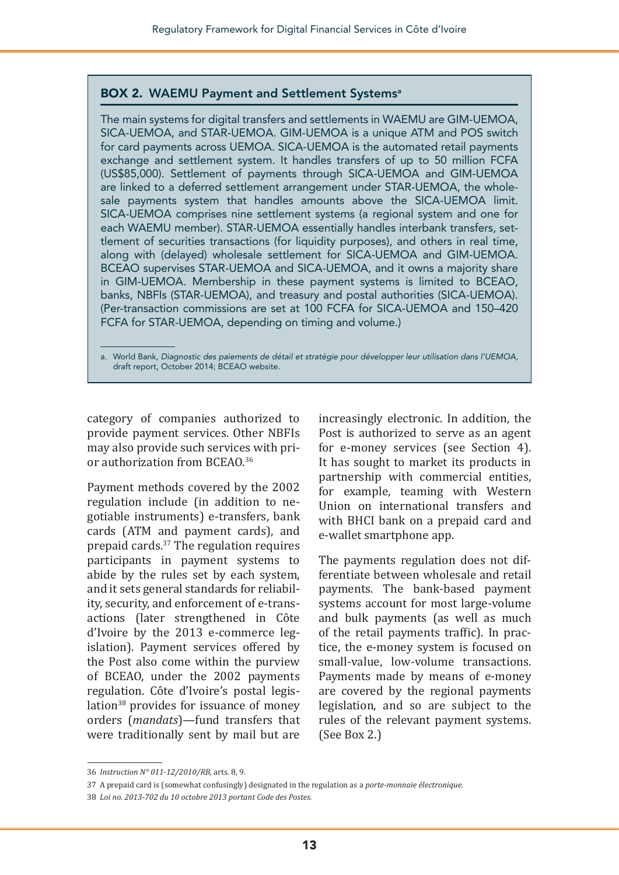#### BOX 2. WAEMU Payment and Settlement Systems<sup>a</sup>

The main systems for digital transfers and settlements in WAEMU are GIM-UEMOA, SICA-UEMOA, and STAR-UEMOA. GIM-UEMOA is a unique ATM and POS switch for card payments across UEMOA. SICA-UEMOA is the automated retail payments exchange and settlement system. It handles transfers of up to 50 million FCFA (US\$85,000). Settlement of payments through SICA-UEMOA and GIM-UEMOA are linked to a deferred settlement arrangement under STAR-UEMOA, the wholesale payments system that handles amounts above the SICA-UEMOA limit. SICA-UEMOA comprises nine settlement systems (a regional system and one for each WAEMU member). STAR-UEMOA essentially handles interbank transfers, settlement of securities transactions (for liquidity purposes), and others in real time, along with (delayed) wholesale settlement for SICA-UEMOA and GIM-UEMOA. BCEAO supervises STAR-UEMOA and SICA-UEMOA, and it owns a majority share in GIM-UEMOA. Membership in these payment systems is limited to BCEAO, banks, NBFIs (STAR-UEMOA), and treasury and postal authorities (SICA-UEMOA). (Per-transaction commissions are set at 100 FCFA for SICA-UEMOA and 150–420 FCFA for STAR-UEMOA, depending on timing and volume.)

a. World Bank, *Diagnostic des paiements de détail et stratégie pour développer leur utilisation dans l'UEMOA*, draft report, October 2014; BCEAO website.

category of companies authorized to provide payment services. Other NBFIs may also provide such services with prior authorization from BCEAO.<sup>36</sup>

Payment methods covered by the 2002 regulation include (in addition to negotiable instruments) e-transfers, bank cards (ATM and payment cards), and prepaid cards.37 The regulation requires participants in payment systems to abide by the rules set by each system, and it sets general standards for reliability, security, and enforcement of e-transactions (later strengthened in Côte d'Ivoire by the 2013 e-commerce legislation). Payment services offered by the Post also come within the purview of BCEAO, under the 2002 payments regulation. Côte d'Ivoire's postal legislation<sup>38</sup> provides for issuance of money orders (*mandats*)—fund transfers that were traditionally sent by mail but are

increasingly electronic. In addition, the Post is authorized to serve as an agent for e-money services (see Section 4). It has sought to market its products in partnership with commercial entities, for example, teaming with Western Union on international transfers and with BHCI bank on a prepaid card and e-wallet smartphone app.

The payments regulation does not differentiate between wholesale and retail payments. The bank-based payment systems account for most large-volume and bulk payments (as well as much of the retail payments traffic). In practice, the e-money system is focused on small-value, low-volume transactions. Payments made by means of e-money are covered by the regional payments legislation, and so are subject to the rules of the relevant payment systems. (See Box 2.)

<sup>36</sup> *Instruction N° 011-12/2010/RB,* arts. 8, 9.

<sup>37</sup> A prepaid card is (somewhat confusingly) designated in the regulation as a *porte-monnaie électronique.*

<sup>38</sup> *Loi no. 2013-702 du 10 octobre 2013 portant Code des Postes*.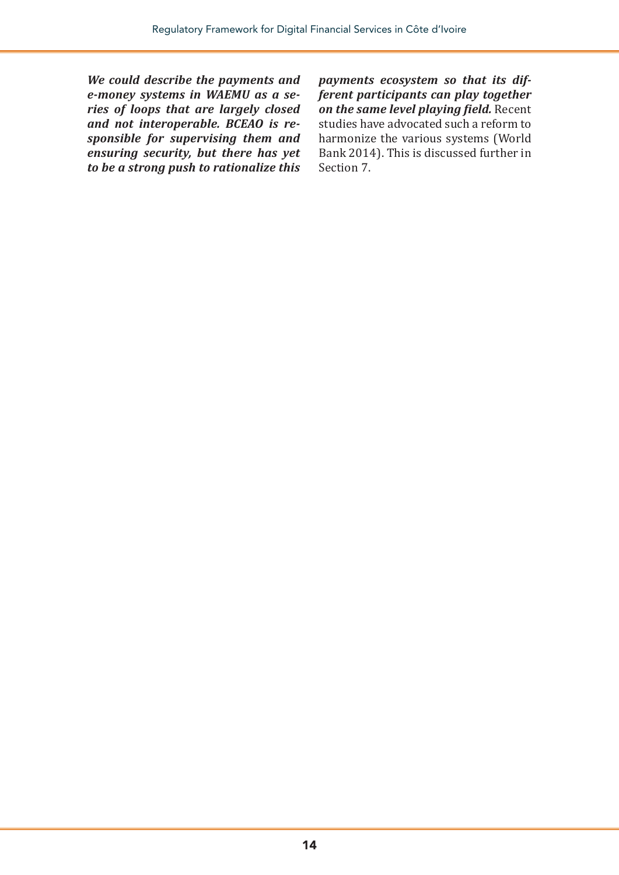*We could describe the payments and e-money systems in WAEMU as a series of loops that are largely closed and not interoperable. BCEAO is responsible for supervising them and ensuring security, but there has yet to be a strong push to rationalize this*  *payments ecosystem so that its different participants can play together on the same level playing field.* Recent studies have advocated such a reform to harmonize the various systems (World Bank 2014). This is discussed further in Section 7.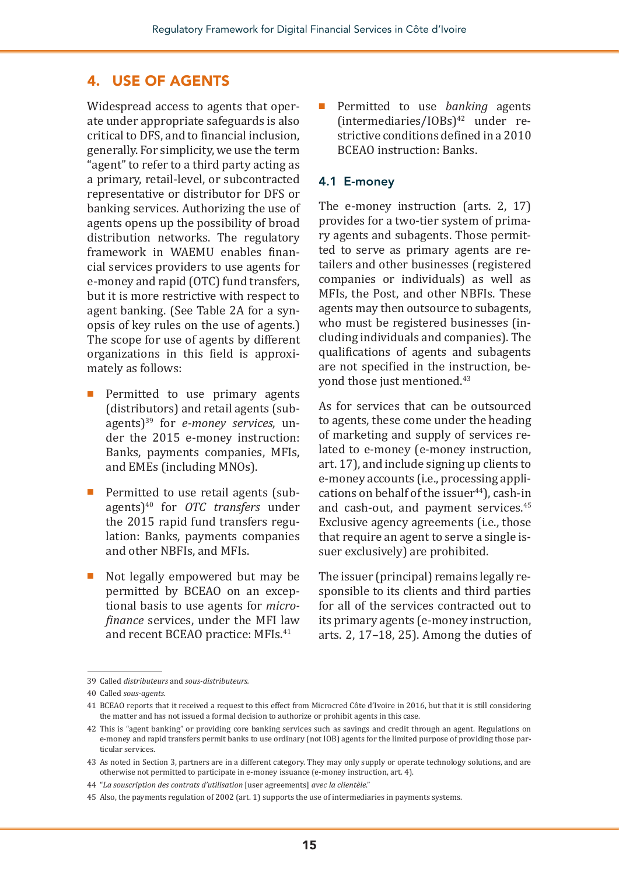#### 4. USE OF AGENTS

Widespread access to agents that operate under appropriate safeguards is also critical to DFS, and to financial inclusion, generally. For simplicity, we use the term "agent" to refer to a third party acting as a primary, retail-level, or subcontracted representative or distributor for DFS or banking services. Authorizing the use of agents opens up the possibility of broad distribution networks. The regulatory framework in WAEMU enables financial services providers to use agents for e-money and rapid (OTC) fund transfers, but it is more restrictive with respect to agent banking. (See Table 2A for a synopsis of key rules on the use of agents.) The scope for use of agents by different organizations in this field is approximately as follows:

- Permitted to use primary agents (distributors) and retail agents (subagents)39 for *e-money services*, under the 2015 e-money instruction: Banks, payments companies, MFIs, and EMEs (including MNOs).
- Permitted to use retail agents (subagents)40 for *OTC transfers* under the 2015 rapid fund transfers regulation: Banks, payments companies and other NBFIs, and MFIs.
- Not legally empowered but may be permitted by BCEAO on an exceptional basis to use agents for *microfinance* services, under the MFI law and recent BCEAO practice: MFIs.<sup>41</sup>

Permitted to use *banking* agents (intermediaries/IOBs)42 under restrictive conditions defined in a 2010 BCEAO instruction: Banks.

#### 4.1 E-money

The e-money instruction (arts. 2, 17) provides for a two-tier system of primary agents and subagents. Those permitted to serve as primary agents are retailers and other businesses (registered companies or individuals) as well as MFIs, the Post, and other NBFIs. These agents may then outsource to subagents, who must be registered businesses (including individuals and companies). The qualifications of agents and subagents are not specified in the instruction, beyond those just mentioned.<sup>43</sup>

As for services that can be outsourced to agents, these come under the heading of marketing and supply of services related to e-money (e-money instruction, art. 17), and include signing up clients to e-money accounts (i.e., processing applications on behalf of the issuer $44$ , cash-in and cash-out, and payment services.<sup>45</sup> Exclusive agency agreements (i.e., those that require an agent to serve a single issuer exclusively) are prohibited.

The issuer (principal) remains legally responsible to its clients and third parties for all of the services contracted out to its primary agents (e-money instruction, arts. 2, 17–18, 25). Among the duties of

<sup>39</sup> Called *distributeurs* and *sous-distributeurs.*

<sup>40</sup> Called *sous-agents.*

<sup>41</sup> BCEAO reports that it received a request to this effect from Microcred Côte d'Ivoire in 2016, but that it is still considering the matter and has not issued a formal decision to authorize or prohibit agents in this case.

<sup>42</sup> This is "agent banking" or providing core banking services such as savings and credit through an agent. Regulations on e-money and rapid transfers permit banks to use ordinary (not IOB) agents for the limited purpose of providing those particular services.

<sup>43</sup> As noted in Section 3, partners are in a different category. They may only supply or operate technology solutions, and are otherwise not permitted to participate in e-money issuance (e-money instruction, art. 4).

<sup>44</sup> "*La souscription des contrats d'utilisation* [user agreements] *avec la clientèle*."

<sup>45</sup> Also, the payments regulation of 2002 (art. 1) supports the use of intermediaries in payments systems.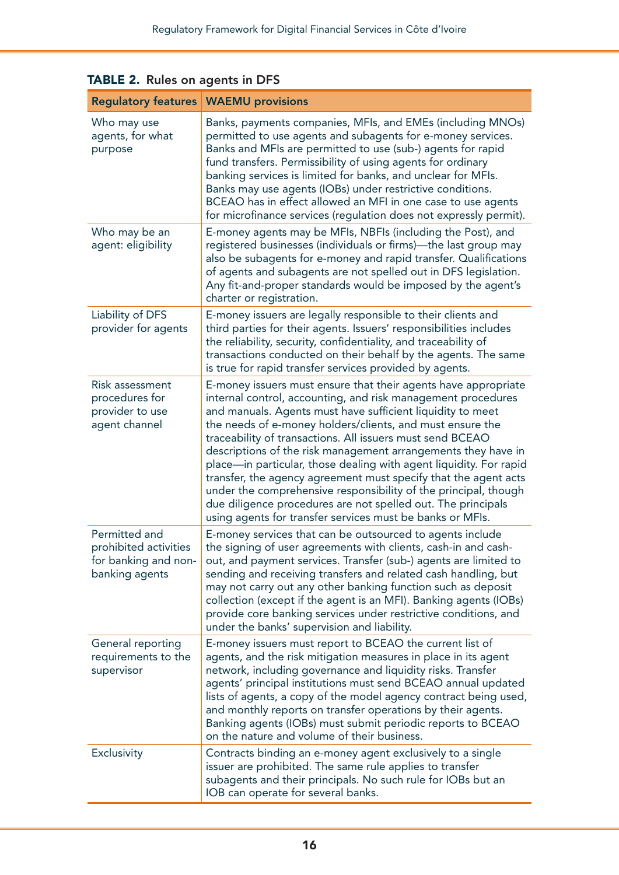|                                                                                  | <b>Regulatory features   WAEMU provisions</b>                                                                                                                                                                                                                                                                                                                                                                                                                                                                                                                                                                                                                                                                                    |
|----------------------------------------------------------------------------------|----------------------------------------------------------------------------------------------------------------------------------------------------------------------------------------------------------------------------------------------------------------------------------------------------------------------------------------------------------------------------------------------------------------------------------------------------------------------------------------------------------------------------------------------------------------------------------------------------------------------------------------------------------------------------------------------------------------------------------|
| Who may use<br>agents, for what<br>purpose                                       | Banks, payments companies, MFIs, and EMEs (including MNOs)<br>permitted to use agents and subagents for e-money services.<br>Banks and MFIs are permitted to use (sub-) agents for rapid<br>fund transfers. Permissibility of using agents for ordinary<br>banking services is limited for banks, and unclear for MFIs.<br>Banks may use agents (IOBs) under restrictive conditions.<br>BCEAO has in effect allowed an MFI in one case to use agents<br>for microfinance services (regulation does not expressly permit).                                                                                                                                                                                                        |
| Who may be an<br>agent: eligibility                                              | E-money agents may be MFIs, NBFIs (including the Post), and<br>registered businesses (individuals or firms)—the last group may<br>also be subagents for e-money and rapid transfer. Qualifications<br>of agents and subagents are not spelled out in DFS legislation.<br>Any fit-and-proper standards would be imposed by the agent's<br>charter or registration.                                                                                                                                                                                                                                                                                                                                                                |
| Liability of DFS<br>provider for agents                                          | E-money issuers are legally responsible to their clients and<br>third parties for their agents. Issuers' responsibilities includes<br>the reliability, security, confidentiality, and traceability of<br>transactions conducted on their behalf by the agents. The same<br>is true for rapid transfer services provided by agents.                                                                                                                                                                                                                                                                                                                                                                                               |
| Risk assessment<br>procedures for<br>provider to use<br>agent channel            | E-money issuers must ensure that their agents have appropriate<br>internal control, accounting, and risk management procedures<br>and manuals. Agents must have sufficient liquidity to meet<br>the needs of e-money holders/clients, and must ensure the<br>traceability of transactions. All issuers must send BCEAO<br>descriptions of the risk management arrangements they have in<br>place-in particular, those dealing with agent liquidity. For rapid<br>transfer, the agency agreement must specify that the agent acts<br>under the comprehensive responsibility of the principal, though<br>due diligence procedures are not spelled out. The principals<br>using agents for transfer services must be banks or MFIs. |
| Permitted and<br>prohibited activities<br>for banking and non-<br>banking agents | E-money services that can be outsourced to agents include<br>the signing of user agreements with clients, cash-in and cash-<br>out, and payment services. Transfer (sub-) agents are limited to<br>sending and receiving transfers and related cash handling, but<br>may not carry out any other banking function such as deposit<br>collection (except if the agent is an MFI). Banking agents (IOBs)<br>provide core banking services under restrictive conditions, and<br>under the banks' supervision and liability.                                                                                                                                                                                                         |
| General reporting<br>requirements to the<br>supervisor                           | E-money issuers must report to BCEAO the current list of<br>agents, and the risk mitigation measures in place in its agent<br>network, including governance and liquidity risks. Transfer<br>agents' principal institutions must send BCEAO annual updated<br>lists of agents, a copy of the model agency contract being used,<br>and monthly reports on transfer operations by their agents.<br>Banking agents (IOBs) must submit periodic reports to BCEAO<br>on the nature and volume of their business.                                                                                                                                                                                                                      |
| Exclusivity                                                                      | Contracts binding an e-money agent exclusively to a single<br>issuer are prohibited. The same rule applies to transfer<br>subagents and their principals. No such rule for IOBs but an<br>IOB can operate for several banks.                                                                                                                                                                                                                                                                                                                                                                                                                                                                                                     |

TABLE 2. Rules on agents in DFS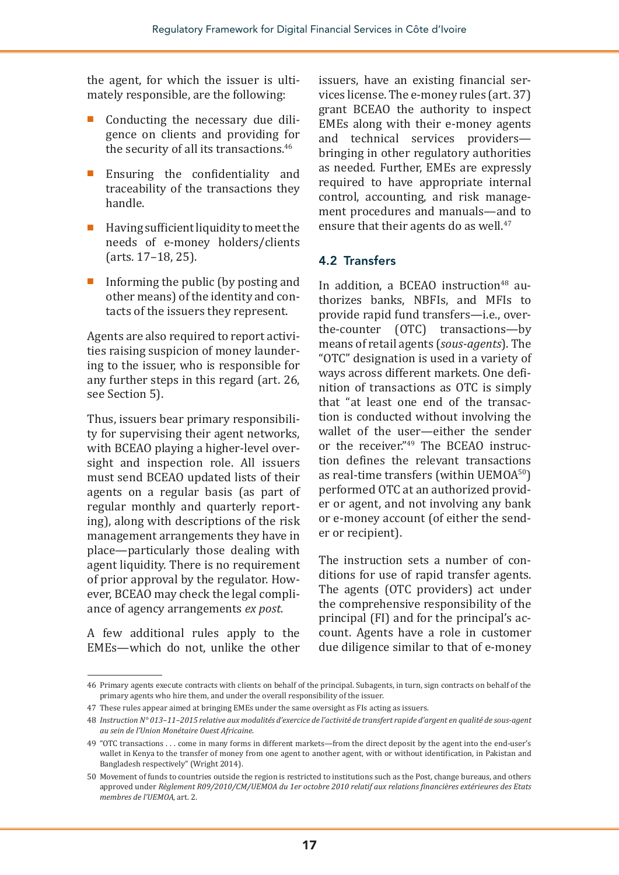the agent, for which the issuer is ultimately responsible, are the following:

- Conducting the necessary due diligence on clients and providing for the security of all its transactions.<sup>46</sup>
- Ensuring the confidentiality and traceability of the transactions they handle.
- Having sufficient liquidity to meet the needs of e-money holders/clients (arts. 17–18, 25).
- Informing the public (by posting and other means) of the identity and contacts of the issuers they represent.

Agents are also required to report activities raising suspicion of money laundering to the issuer, who is responsible for any further steps in this regard (art. 26, see Section 5).

Thus, issuers bear primary responsibility for supervising their agent networks, with BCEAO playing a higher-level oversight and inspection role. All issuers must send BCEAO updated lists of their agents on a regular basis (as part of regular monthly and quarterly reporting), along with descriptions of the risk management arrangements they have in place—particularly those dealing with agent liquidity. There is no requirement of prior approval by the regulator. However, BCEAO may check the legal compliance of agency arrangements *ex post.*

A few additional rules apply to the EMEs—which do not, unlike the other issuers, have an existing financial services license. The e-money rules (art. 37) grant BCEAO the authority to inspect EMEs along with their e-money agents and technical services providers bringing in other regulatory authorities as needed. Further, EMEs are expressly required to have appropriate internal control, accounting, and risk management procedures and manuals—and to ensure that their agents do as well.<sup>47</sup>

#### 4.2 Transfers

In addition, a BCEAO instruction<sup>48</sup> authorizes banks, NBFIs, and MFIs to provide rapid fund transfers—i.e., overthe-counter (OTC) transactions—by means of retail agents (*sous-agents*). The "OTC" designation is used in a variety of ways across different markets. One definition of transactions as OTC is simply that "at least one end of the transaction is conducted without involving the wallet of the user—either the sender or the receiver."49 The BCEAO instruction defines the relevant transactions as real-time transfers (within UEMOA50) performed OTC at an authorized provider or agent, and not involving any bank or e-money account (of either the sender or recipient).

The instruction sets a number of conditions for use of rapid transfer agents. The agents (OTC providers) act under the comprehensive responsibility of the principal (FI) and for the principal's account. Agents have a role in customer due diligence similar to that of e-money

<sup>46</sup> Primary agents execute contracts with clients on behalf of the principal. Subagents, in turn, sign contracts on behalf of the primary agents who hire them, and under the overall responsibility of the issuer.

<sup>47</sup> These rules appear aimed at bringing EMEs under the same oversight as FIs acting as issuers.

<sup>48</sup> *Instruction N° 013–11–2015 relative aux modalités d'exercice de l'activité de transfert rapide d'argent en qualité de sous-agent au sein de l'Union Monétaire Ouest Africaine*.

<sup>49 &</sup>quot;OTC transactions . . . come in many forms in different markets—from the direct deposit by the agent into the end-user's wallet in Kenya to the transfer of money from one agent to another agent, with or without identification, in Pakistan and Bangladesh respectively" (Wright 2014).

<sup>50</sup> Movement of funds to countries outside the region is restricted to institutions such as the Post, change bureaus, and others approved under *Règlement R09/2010/CM/UEMOA du 1er octobre 2010 relatif aux relations financières extérieures des Etats membres de l'UEMOA*, art. 2.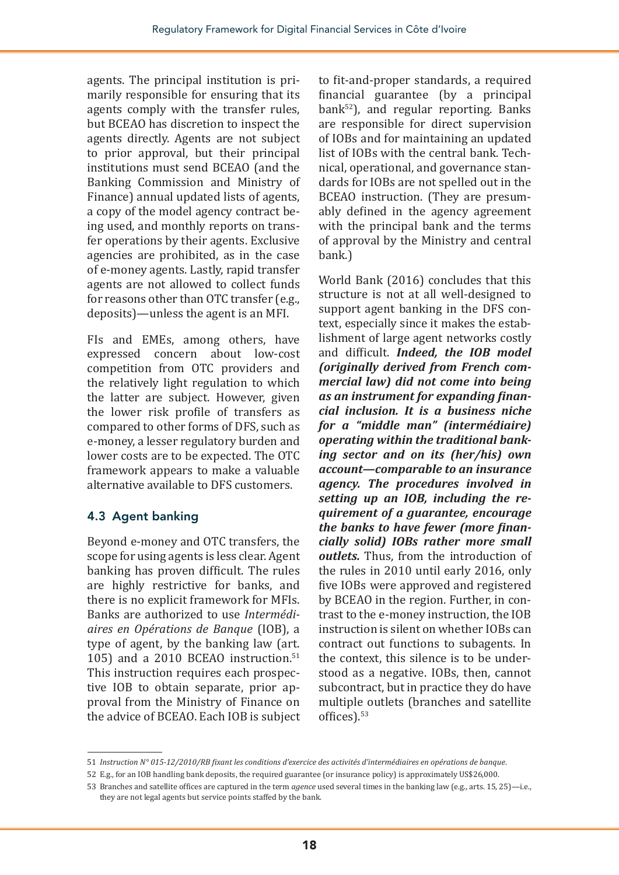agents. The principal institution is primarily responsible for ensuring that its agents comply with the transfer rules, but BCEAO has discretion to inspect the agents directly. Agents are not subject to prior approval, but their principal institutions must send BCEAO (and the Banking Commission and Ministry of Finance) annual updated lists of agents, a copy of the model agency contract being used, and monthly reports on transfer operations by their agents. Exclusive agencies are prohibited, as in the case of e-money agents. Lastly, rapid transfer agents are not allowed to collect funds for reasons other than OTC transfer (e.g., deposits)—unless the agent is an MFI.

FIs and EMEs, among others, have expressed concern about low-cost competition from OTC providers and the relatively light regulation to which the latter are subject. However, given the lower risk profile of transfers as compared to other forms of DFS, such as e-money, a lesser regulatory burden and lower costs are to be expected. The OTC framework appears to make a valuable alternative available to DFS customers.

#### 4.3 Agent banking

Beyond e-money and OTC transfers, the scope for using agents is less clear. Agent banking has proven difficult. The rules are highly restrictive for banks, and there is no explicit framework for MFIs. Banks are authorized to use *Intermédiaires en Opérations de Banque* (IOB), a type of agent, by the banking law (art. 105) and a 2010 BCEAO instruction.<sup>51</sup> This instruction requires each prospective IOB to obtain separate, prior approval from the Ministry of Finance on the advice of BCEAO. Each IOB is subject

to fit-and-proper standards, a required financial guarantee (by a principal  $bank<sup>52</sup>$ ), and regular reporting. Banks are responsible for direct supervision of IOBs and for maintaining an updated list of IOBs with the central bank. Technical, operational, and governance standards for IOBs are not spelled out in the BCEAO instruction. (They are presumably defined in the agency agreement with the principal bank and the terms of approval by the Ministry and central bank.)

World Bank (2016) concludes that this structure is not at all well-designed to support agent banking in the DFS context, especially since it makes the establishment of large agent networks costly and difficult. *Indeed, the IOB model (originally derived from French commercial law) did not come into being as an instrument for expanding financial inclusion. It is a business niche for a "middle man" (intermédiaire) operating within the traditional banking sector and on its (her/his) own account—comparable to an insurance agency. The procedures involved in setting up an IOB, including the requirement of a guarantee, encourage the banks to have fewer (more financially solid) IOBs rather more small outlets.* Thus, from the introduction of the rules in 2010 until early 2016, only five IOBs were approved and registered by BCEAO in the region. Further, in contrast to the e-money instruction, the IOB instruction is silent on whether IOBs can contract out functions to subagents. In the context, this silence is to be understood as a negative. IOBs, then, cannot subcontract, but in practice they do have multiple outlets (branches and satellite offices).<sup>53</sup>

<sup>51</sup> *Instruction N° 015-12/2010/RB fixant les conditions d'exercice des activités d'intermédiaires en opérations de banque*.

<sup>52</sup> E.g., for an IOB handling bank deposits, the required guarantee (or insurance policy) is approximately US\$26,000.

<sup>53</sup> Branches and satellite offices are captured in the term *agence* used several times in the banking law (e.g., arts. 15, 25)—i.e., they are not legal agents but service points staffed by the bank.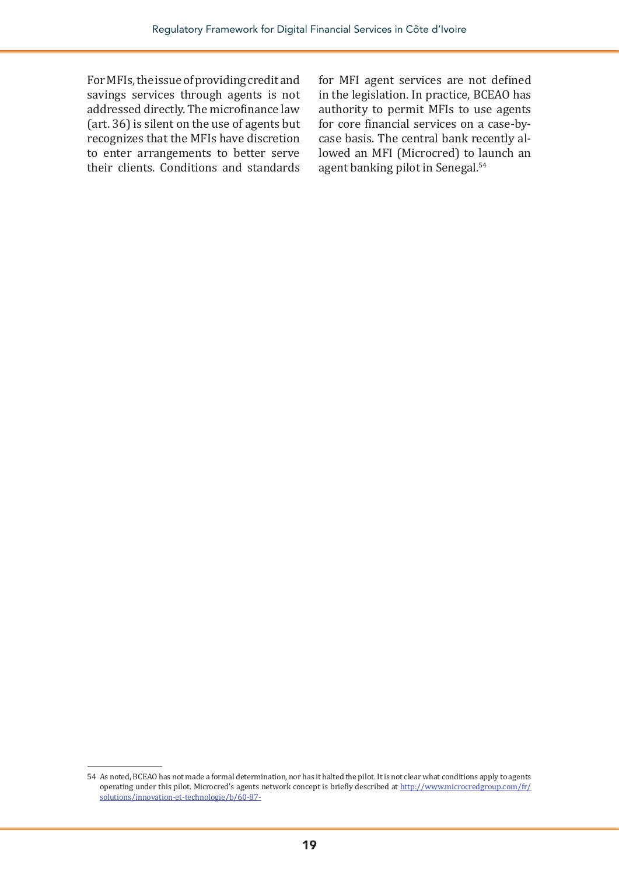For MFIs, the issue of providing credit and savings services through agents is not addressed directly. The microfinance law (art. 36) is silent on the use of agents but recognizes that the MFIs have discretion to enter arrangements to better serve their clients. Conditions and standards

for MFI agent services are not defined in the legislation. In practice, BCEAO has authority to permit MFIs to use agents for core financial services on a case-bycase basis. The central bank recently allowed an MFI (Microcred) to launch an agent banking pilot in Senegal.54

<sup>54</sup> As noted, BCEAO has not made a formal determination, nor has it halted the pilot. It is not clear what conditions apply to agents operating under this pilot. Microcred's agents network concept is briefly described at [http://www.microcredgroup.com/fr/](http://www.microcredgroup.com/fr/solutions/innovation-et-technologie/b/60-87-) [solutions/innovation-et-technologie/b/60-87-](http://www.microcredgroup.com/fr/solutions/innovation-et-technologie/b/60-87-)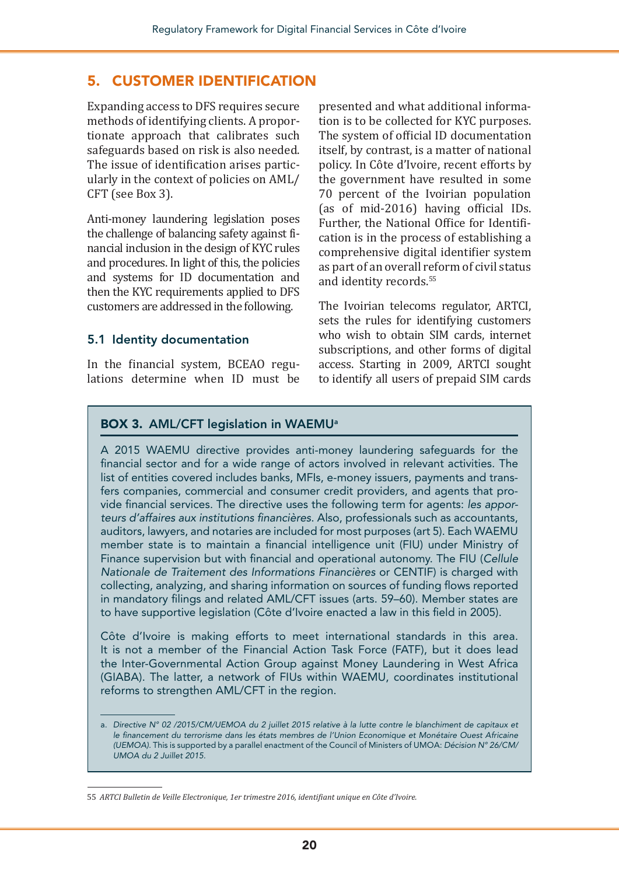#### 5. CUSTOMER IDENTIFICATION

Expanding access to DFS requires secure methods of identifying clients. A proportionate approach that calibrates such safeguards based on risk is also needed. The issue of identification arises particularly in the context of policies on AML/ CFT (see Box 3).

Anti-money laundering legislation poses the challenge of balancing safety against financial inclusion in the design of KYC rules and procedures. In light of this, the policies and systems for ID documentation and then the KYC requirements applied to DFS customers are addressed in the following.

#### 5.1 Identity documentation

In the financial system, BCEAO regulations determine when ID must be

presented and what additional information is to be collected for KYC purposes. The system of official ID documentation itself, by contrast, is a matter of national policy. In Côte d'Ivoire, recent efforts by the government have resulted in some 70 percent of the Ivoirian population (as of mid-2016) having official IDs. Further, the National Office for Identification is in the process of establishing a comprehensive digital identifier system as part of an overall reform of civil status and identity records.<sup>55</sup>

The Ivoirian telecoms regulator, ARTCI, sets the rules for identifying customers who wish to obtain SIM cards, internet subscriptions, and other forms of digital access. Starting in 2009, ARTCI sought to identify all users of prepaid SIM cards

#### BOX 3. AML/CFT legislation in WAEMU<sup>a</sup>

A 2015 WAEMU directive provides anti-money laundering safeguards for the financial sector and for a wide range of actors involved in relevant activities. The list of entities covered includes banks, MFIs, e-money issuers, payments and transfers companies, commercial and consumer credit providers, and agents that provide financial services. The directive uses the following term for agents: *les apporteurs d'affaires aux institutions financières*. Also, professionals such as accountants, auditors, lawyers, and notaries are included for most purposes (art 5). Each WAEMU member state is to maintain a financial intelligence unit (FIU) under Ministry of Finance supervision but with financial and operational autonomy. The FIU (*Cellule Nationale de Traitement des Informations Financières* or CENTIF) is charged with collecting, analyzing, and sharing information on sources of funding flows reported in mandatory filings and related AML/CFT issues (arts. 59–60). Member states are to have supportive legislation (Côte d'Ivoire enacted a law in this field in 2005).

Côte d'Ivoire is making efforts to meet international standards in this area. It is not a member of the Financial Action Task Force (FATF), but it does lead the Inter-Governmental Action Group against Money Laundering in West Africa (GIABA). The latter, a network of FIUs within WAEMU, coordinates institutional reforms to strengthen AML/CFT in the region.

a. *Directive N° 02 /2015/CM/UEMOA du 2 juillet 2015 relative à la lutte contre le blanchiment de capitaux et*  le financement du terrorisme dans les états membres de l'Union Economique et Monétaire Ouest Africaine *(UEMOA).* This is supported by a parallel enactment of the Council of Ministers of UMOA: *Décision N° 26/CM/ UMOA du 2 Juillet 2015.*

<sup>55</sup> *ARTCI Bulletin de Veille Electronique, 1er trimestre 2016, identifiant unique en Côte d'Ivoire.*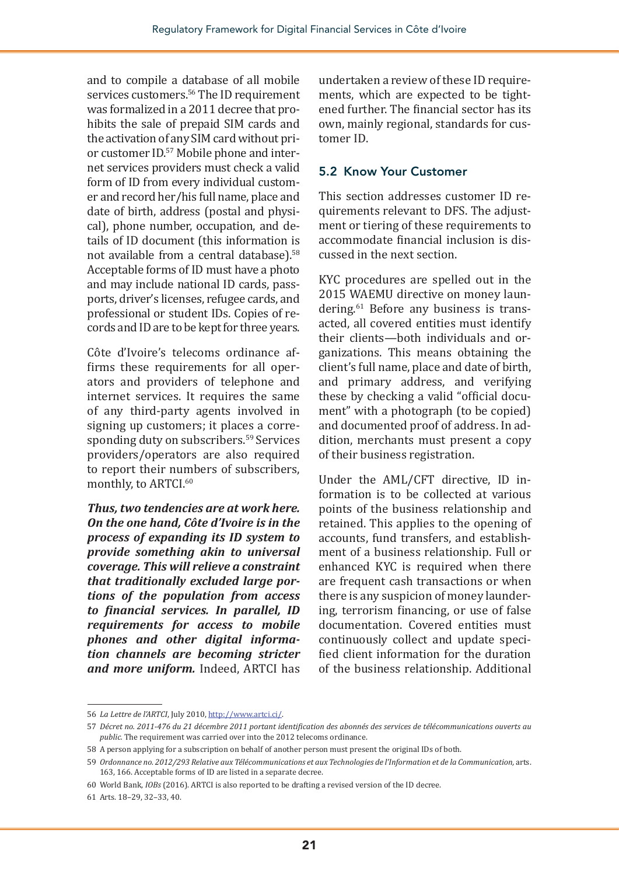and to compile a database of all mobile services customers.<sup>56</sup> The ID requirement was formalized in a 2011 decree that prohibits the sale of prepaid SIM cards and the activation of any SIM card without prior customer ID.57 Mobile phone and internet services providers must check a valid form of ID from every individual customer and record her/his full name, place and date of birth, address (postal and physical), phone number, occupation, and details of ID document (this information is not available from a central database).58 Acceptable forms of ID must have a photo and may include national ID cards, passports, driver's licenses, refugee cards, and professional or student IDs. Copies of records and ID are to be kept for three years.

Côte d'Ivoire's telecoms ordinance affirms these requirements for all operators and providers of telephone and internet services. It requires the same of any third-party agents involved in signing up customers; it places a corresponding duty on subscribers.<sup>59</sup> Services providers/operators are also required to report their numbers of subscribers, monthly, to ARTCI.<sup>60</sup>

*Thus, two tendencies are at work here. On the one hand, Côte d'Ivoire is in the process of expanding its ID system to provide something akin to universal coverage. This will relieve a constraint that traditionally excluded large portions of the population from access to financial services. In parallel, ID requirements for access to mobile phones and other digital information channels are becoming stricter and more uniform.* Indeed, ARTCI has undertaken a review of these ID requirements, which are expected to be tightened further. The financial sector has its own, mainly regional, standards for customer ID.

#### 5.2 Know Your Customer

This section addresses customer ID requirements relevant to DFS. The adjustment or tiering of these requirements to accommodate financial inclusion is discussed in the next section.

KYC procedures are spelled out in the 2015 WAEMU directive on money laundering.<sup>61</sup> Before any business is transacted, all covered entities must identify their clients—both individuals and organizations. This means obtaining the client's full name, place and date of birth, and primary address, and verifying these by checking a valid "official document" with a photograph (to be copied) and documented proof of address. In addition, merchants must present a copy of their business registration.

Under the AML/CFT directive, ID information is to be collected at various points of the business relationship and retained. This applies to the opening of accounts, fund transfers, and establishment of a business relationship. Full or enhanced KYC is required when there are frequent cash transactions or when there is any suspicion of money laundering, terrorism financing, or use of false documentation. Covered entities must continuously collect and update specified client information for the duration of the business relationship. Additional

<sup>56</sup> *La Lettre de l'ARTCI*, July 2010,<http://www.artci.ci/>.

<sup>57</sup> *Décret no. 2011-476 du 21 décembre 2011 portant identification des abonnés des services de télécommunications ouverts au public.* The requirement was carried over into the 2012 telecoms ordinance.

<sup>58</sup> A person applying for a subscription on behalf of another person must present the original IDs of both.

<sup>59</sup> *Ordonnance no. 2012/293 Relative aux Télécommunications et aux Technologies de l'Information et de la Communication,* arts. 163, 166. Acceptable forms of ID are listed in a separate decree.

<sup>60</sup> World Bank, *IOBs* (2016). ARTCI is also reported to be drafting a revised version of the ID decree.

<sup>61</sup> Arts. 18–29, 32–33, 40.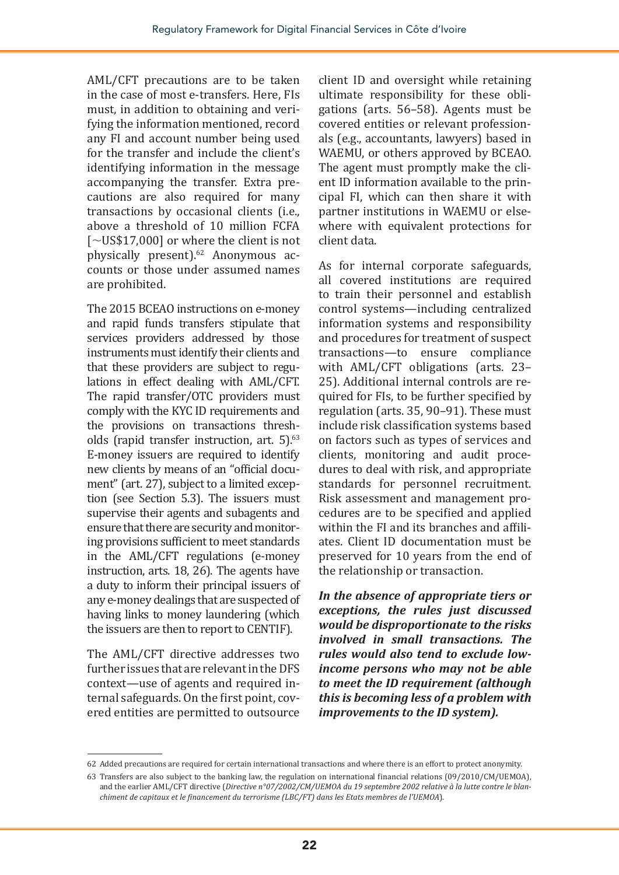AML/CFT precautions are to be taken in the case of most e-transfers. Here, FIs must, in addition to obtaining and verifying the information mentioned, record any FI and account number being used for the transfer and include the client's identifying information in the message accompanying the transfer. Extra precautions are also required for many transactions by occasional clients (i.e., above a threshold of 10 million FCFA  $\lceil \sim U S $17,000 \rceil$  or where the client is not physically present).<sup>62</sup> Anonymous accounts or those under assumed names are prohibited.

The 2015 BCEAO instructions on e-money and rapid funds transfers stipulate that services providers addressed by those instruments must identify their clients and that these providers are subject to regulations in effect dealing with AML/CFT. The rapid transfer/OTC providers must comply with the KYC ID requirements and the provisions on transactions thresholds (rapid transfer instruction, art. 5).<sup>63</sup> E-money issuers are required to identify new clients by means of an "official document" (art. 27), subject to a limited exception (see Section 5.3). The issuers must supervise their agents and subagents and ensure that there are security and monitoring provisions sufficient to meet standards in the AML/CFT regulations (e-money instruction, arts. 18, 26). The agents have a duty to inform their principal issuers of any e-money dealings that are suspected of having links to money laundering (which the issuers are then to report to CENTIF).

The AML/CFT directive addresses two further issues that are relevant in the DFS context—use of agents and required internal safeguards. On the first point, covered entities are permitted to outsource

client ID and oversight while retaining ultimate responsibility for these obligations (arts. 56–58). Agents must be covered entities or relevant professionals (e.g., accountants, lawyers) based in WAEMU, or others approved by BCEAO. The agent must promptly make the client ID information available to the principal FI, which can then share it with partner institutions in WAEMU or elsewhere with equivalent protections for client data.

As for internal corporate safeguards, all covered institutions are required to train their personnel and establish control systems—including centralized information systems and responsibility and procedures for treatment of suspect transactions—to ensure compliance with AML/CFT obligations (arts. 23– 25). Additional internal controls are required for FIs, to be further specified by regulation (arts. 35, 90–91). These must include risk classification systems based on factors such as types of services and clients, monitoring and audit procedures to deal with risk, and appropriate standards for personnel recruitment. Risk assessment and management procedures are to be specified and applied within the FI and its branches and affiliates. Client ID documentation must be preserved for 10 years from the end of the relationship or transaction.

*In the absence of appropriate tiers or exceptions, the rules just discussed would be disproportionate to the risks involved in small transactions. The rules would also tend to exclude lowincome persons who may not be able to meet the ID requirement (although this is becoming less of a problem with improvements to the ID system).*

<sup>62</sup> Added precautions are required for certain international transactions and where there is an effort to protect anonymity.

<sup>63</sup> Transfers are also subject to the banking law, the regulation on international financial relations (09/2010/CM/UEMOA), and the earlier AML/CFT directive (*Directive n°07/2002/CM/UEMOA du 19 septembre 2002 relative à la lutte contre le blanchiment de capitaux et le financement du terrorisme (LBC/FT) dans les Etats membres de l'UEMOA*).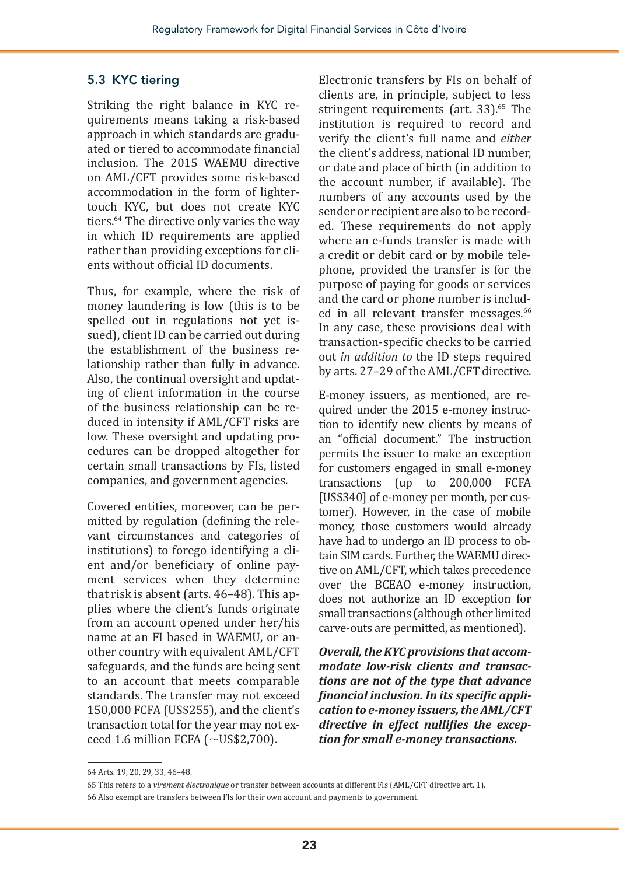#### 5.3 KYC tiering

Striking the right balance in KYC requirements means taking a risk-based approach in which standards are graduated or tiered to accommodate financial inclusion. The 2015 WAEMU directive on AML/CFT provides some risk-based accommodation in the form of lightertouch KYC, but does not create KYC tiers.64 The directive only varies the way in which ID requirements are applied rather than providing exceptions for clients without official ID documents.

Thus, for example, where the risk of money laundering is low (this is to be spelled out in regulations not yet issued), client ID can be carried out during the establishment of the business relationship rather than fully in advance. Also, the continual oversight and updating of client information in the course of the business relationship can be reduced in intensity if AML/CFT risks are low. These oversight and updating procedures can be dropped altogether for certain small transactions by FIs, listed companies, and government agencies.

Covered entities, moreover, can be permitted by regulation (defining the relevant circumstances and categories of institutions) to forego identifying a client and/or beneficiary of online payment services when they determine that risk is absent (arts. 46–48). This applies where the client's funds originate from an account opened under her/his name at an FI based in WAEMU, or another country with equivalent AML/CFT safeguards, and the funds are being sent to an account that meets comparable standards. The transfer may not exceed 150,000 FCFA (US\$255), and the client's transaction total for the year may not exceed 1.6 million FCFA ( $\sim$ US\$2,700).

Electronic transfers by FIs on behalf of clients are, in principle, subject to less stringent requirements (art. 33).<sup>65</sup> The institution is required to record and verify the client's full name and *either* the client's address, national ID number, or date and place of birth (in addition to the account number, if available). The numbers of any accounts used by the sender or recipient are also to be recorded. These requirements do not apply where an e-funds transfer is made with a credit or debit card or by mobile telephone, provided the transfer is for the purpose of paying for goods or services and the card or phone number is included in all relevant transfer messages.<sup>66</sup> In any case, these provisions deal with transaction-specific checks to be carried out *in addition to* the ID steps required by arts. 27–29 of the AML/CFT directive.

E-money issuers, as mentioned, are required under the 2015 e-money instruction to identify new clients by means of an "official document." The instruction permits the issuer to make an exception for customers engaged in small e-money transactions (up to 200,000 FCFA [US\$340] of e-money per month, per customer). However, in the case of mobile money, those customers would already have had to undergo an ID process to obtain SIM cards. Further, the WAEMU directive on AML/CFT, which takes precedence over the BCEAO e-money instruction, does not authorize an ID exception for small transactions (although other limited carve-outs are permitted, as mentioned).

*Overall, the KYC provisions that accommodate low-risk clients and transactions are not of the type that advance financial inclusion. In its specific application to e-money issuers, the AML/CFT directive in effect nullifies the exception for small e-money transactions.*

<sup>64</sup> Arts. 19, 20, 29, 33, 46–48.

<sup>65</sup> This refers to a *virement électronique* or transfer between accounts at different FIs (AML/CFT directive art. 1).

<sup>66</sup> Also exempt are transfers between FIs for their own account and payments to government.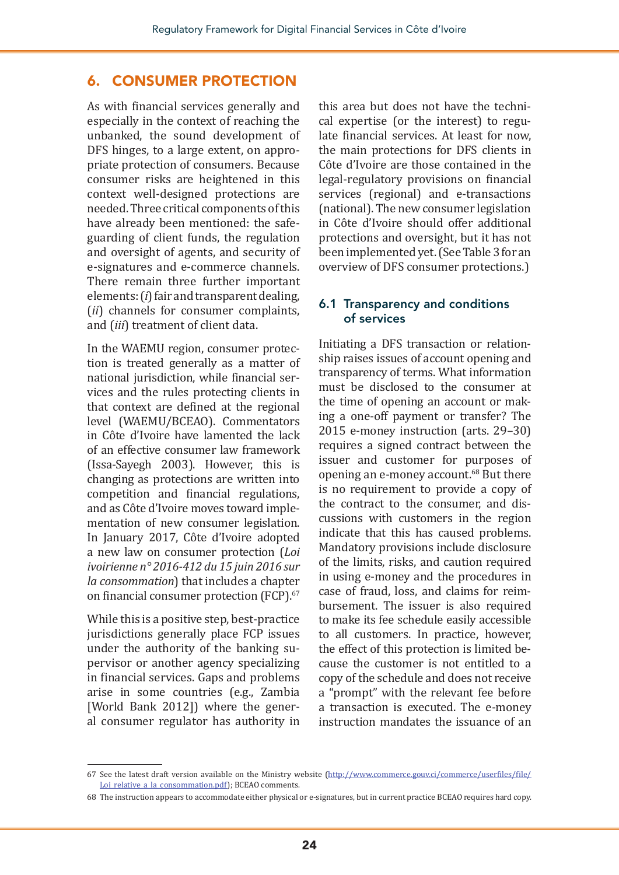#### 6. CONSUMER PROTECTION

As with financial services generally and especially in the context of reaching the unbanked, the sound development of DFS hinges, to a large extent, on appropriate protection of consumers. Because consumer risks are heightened in this context well-designed protections are needed. Three critical components of this have already been mentioned: the safeguarding of client funds, the regulation and oversight of agents, and security of e-signatures and e-commerce channels. There remain three further important elements: (*i*) fair and transparent dealing, (*ii*) channels for consumer complaints, and (*iii*) treatment of client data.

In the WAEMU region, consumer protection is treated generally as a matter of national jurisdiction, while financial services and the rules protecting clients in that context are defined at the regional level (WAEMU/BCEAO). Commentators in Côte d'Ivoire have lamented the lack of an effective consumer law framework (Issa-Sayegh 2003). However, this is changing as protections are written into competition and financial regulations, and as Côte d'Ivoire moves toward implementation of new consumer legislation. In January 2017, Côte d'Ivoire adopted a new law on consumer protection (*Loi ivoirienne n° 2016-412 du 15 juin 2016 sur la consommation*) that includes a chapter on financial consumer protection (FCP).<sup>67</sup>

While this is a positive step, best-practice jurisdictions generally place FCP issues under the authority of the banking supervisor or another agency specializing in financial services. Gaps and problems arise in some countries (e.g., Zambia [World Bank 2012]) where the general consumer regulator has authority in

this area but does not have the technical expertise (or the interest) to regulate financial services. At least for now, the main protections for DFS clients in Côte d'Ivoire are those contained in the legal-regulatory provisions on financial services (regional) and e-transactions (national). The new consumer legislation in Côte d'Ivoire should offer additional protections and oversight, but it has not been implemented yet. (See Table 3 for an overview of DFS consumer protections.)

#### 6.1 Transparency and conditions of services

Initiating a DFS transaction or relationship raises issues of account opening and transparency of terms. What information must be disclosed to the consumer at the time of opening an account or making a one-off payment or transfer? The 2015 e-money instruction (arts. 29–30) requires a signed contract between the issuer and customer for purposes of opening an e-money account.<sup>68</sup> But there is no requirement to provide a copy of the contract to the consumer, and discussions with customers in the region indicate that this has caused problems. Mandatory provisions include disclosure of the limits, risks, and caution required in using e-money and the procedures in case of fraud, loss, and claims for reimbursement. The issuer is also required to make its fee schedule easily accessible to all customers. In practice, however, the effect of this protection is limited because the customer is not entitled to a copy of the schedule and does not receive a "prompt" with the relevant fee before a transaction is executed. The e-money instruction mandates the issuance of an

<sup>67</sup> See the latest draft version available on the Ministry website ([http://www.commerce.gouv.ci/commerce/userfiles/file/](http://www.commerce.gouv.ci/commerce/userfiles/file/Loi_relative_a_la_consommation.pdf) [Loi\\_relative\\_a\\_la\\_consommation.pdf\)](http://www.commerce.gouv.ci/commerce/userfiles/file/Loi_relative_a_la_consommation.pdf); BCEAO comments.

<sup>68</sup> The instruction appears to accommodate either physical or e-signatures, but in current practice BCEAO requires hard copy.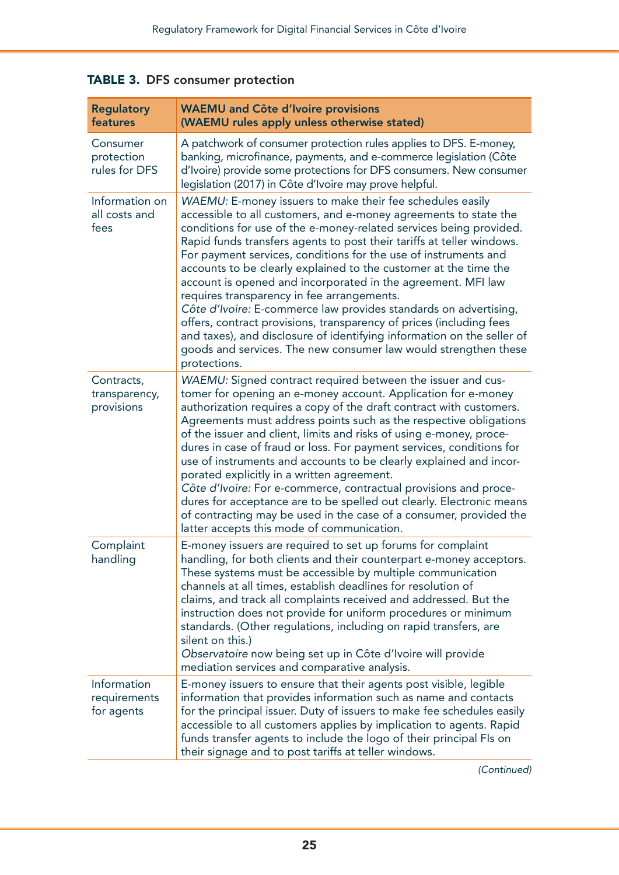| <b>Regulatory</b><br>features             | <b>WAEMU</b> and Côte d'Ivoire provisions<br>(WAEMU rules apply unless otherwise stated)                                                                                                                                                                                                                                                                                                                                                                                                                                                                                                                                                                                                                                                                                                                                                  |
|-------------------------------------------|-------------------------------------------------------------------------------------------------------------------------------------------------------------------------------------------------------------------------------------------------------------------------------------------------------------------------------------------------------------------------------------------------------------------------------------------------------------------------------------------------------------------------------------------------------------------------------------------------------------------------------------------------------------------------------------------------------------------------------------------------------------------------------------------------------------------------------------------|
| Consumer<br>protection<br>rules for DFS   | A patchwork of consumer protection rules applies to DFS. E-money,<br>banking, microfinance, payments, and e-commerce legislation (Côte<br>d'Ivoire) provide some protections for DFS consumers. New consumer<br>legislation (2017) in Côte d'Ivoire may prove helpful.                                                                                                                                                                                                                                                                                                                                                                                                                                                                                                                                                                    |
| Information on<br>all costs and<br>fees   | WAEMU: E-money issuers to make their fee schedules easily<br>accessible to all customers, and e-money agreements to state the<br>conditions for use of the e-money-related services being provided.<br>Rapid funds transfers agents to post their tariffs at teller windows.<br>For payment services, conditions for the use of instruments and<br>accounts to be clearly explained to the customer at the time the<br>account is opened and incorporated in the agreement. MFI law<br>requires transparency in fee arrangements.<br>Côte d'Ivoire: E-commerce law provides standards on advertising,<br>offers, contract provisions, transparency of prices (including fees<br>and taxes), and disclosure of identifying information on the seller of<br>goods and services. The new consumer law would strengthen these<br>protections. |
| Contracts,<br>transparency,<br>provisions | WAEMU: Signed contract required between the issuer and cus-<br>tomer for opening an e-money account. Application for e-money<br>authorization requires a copy of the draft contract with customers.<br>Agreements must address points such as the respective obligations<br>of the issuer and client, limits and risks of using e-money, proce-<br>dures in case of fraud or loss. For payment services, conditions for<br>use of instruments and accounts to be clearly explained and incor-<br>porated explicitly in a written agreement.<br>Côte d'Ivoire: For e-commerce, contractual provisions and proce-<br>dures for acceptance are to be spelled out clearly. Electronic means<br>of contracting may be used in the case of a consumer, provided the<br>latter accepts this mode of communication.                               |
| Complaint<br>handling                     | E-money issuers are required to set up forums for complaint<br>handling, for both clients and their counterpart e-money acceptors.<br>These systems must be accessible by multiple communication<br>channels at all times, establish deadlines for resolution of<br>claims, and track all complaints received and addressed. But the<br>instruction does not provide for uniform procedures or minimum<br>standards. (Other regulations, including on rapid transfers, are<br>silent on this.)<br>Observatoire now being set up in Côte d'Ivoire will provide<br>mediation services and comparative analysis.                                                                                                                                                                                                                             |
| Information<br>requirements<br>for agents | E-money issuers to ensure that their agents post visible, legible<br>information that provides information such as name and contacts<br>for the principal issuer. Duty of issuers to make fee schedules easily<br>accessible to all customers applies by implication to agents. Rapid<br>funds transfer agents to include the logo of their principal FIs on<br>their signage and to post tariffs at teller windows.                                                                                                                                                                                                                                                                                                                                                                                                                      |

TABLE 3. DFS consumer protection

*(Continued)*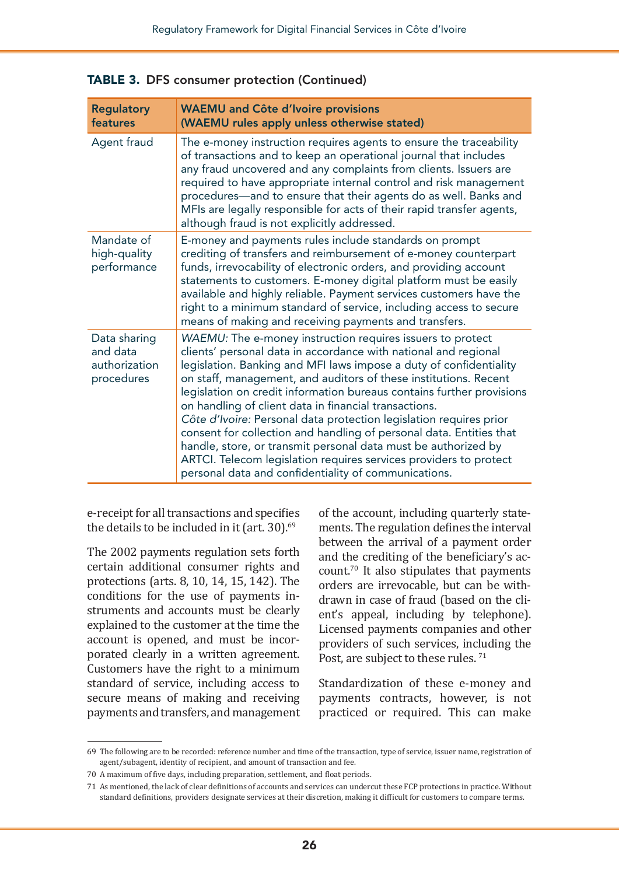| <b>Regulatory</b><br>features                           | <b>WAEMU</b> and Côte d'Ivoire provisions<br>(WAEMU rules apply unless otherwise stated)                                                                                                                                                                                                                                                                                                                                                                                                                                                                                                                                                                                                                                                              |
|---------------------------------------------------------|-------------------------------------------------------------------------------------------------------------------------------------------------------------------------------------------------------------------------------------------------------------------------------------------------------------------------------------------------------------------------------------------------------------------------------------------------------------------------------------------------------------------------------------------------------------------------------------------------------------------------------------------------------------------------------------------------------------------------------------------------------|
| Agent fraud                                             | The e-money instruction requires agents to ensure the traceability<br>of transactions and to keep an operational journal that includes<br>any fraud uncovered and any complaints from clients. Issuers are<br>required to have appropriate internal control and risk management<br>procedures—and to ensure that their agents do as well. Banks and<br>MFIs are legally responsible for acts of their rapid transfer agents,<br>although fraud is not explicitly addressed.                                                                                                                                                                                                                                                                           |
| Mandate of<br>high-quality<br>performance               | E-money and payments rules include standards on prompt<br>crediting of transfers and reimbursement of e-money counterpart<br>funds, irrevocability of electronic orders, and providing account<br>statements to customers. E-money digital platform must be easily<br>available and highly reliable. Payment services customers have the<br>right to a minimum standard of service, including access to secure<br>means of making and receiving payments and transfers.                                                                                                                                                                                                                                                                               |
| Data sharing<br>and data<br>authorization<br>procedures | WAEMU: The e-money instruction requires issuers to protect<br>clients' personal data in accordance with national and regional<br>legislation. Banking and MFI laws impose a duty of confidentiality<br>on staff, management, and auditors of these institutions. Recent<br>legislation on credit information bureaus contains further provisions<br>on handling of client data in financial transactions.<br>Côte d'Ivoire: Personal data protection legislation requires prior<br>consent for collection and handling of personal data. Entities that<br>handle, store, or transmit personal data must be authorized by<br>ARTCI. Telecom legislation requires services providers to protect<br>personal data and confidentiality of communications. |

TABLE 3. DFS consumer protection (Continued)

e-receipt for all transactions and specifies the details to be included in it (art. 30).<sup>69</sup>

The 2002 payments regulation sets forth certain additional consumer rights and protections (arts. 8, 10, 14, 15, 142). The conditions for the use of payments instruments and accounts must be clearly explained to the customer at the time the account is opened, and must be incorporated clearly in a written agreement. Customers have the right to a minimum standard of service, including access to secure means of making and receiving payments and transfers, and management

of the account, including quarterly statements. The regulation defines the interval between the arrival of a payment order and the crediting of the beneficiary's account.70 It also stipulates that payments orders are irrevocable, but can be withdrawn in case of fraud (based on the client's appeal, including by telephone). Licensed payments companies and other providers of such services, including the Post, are subject to these rules.<sup>71</sup>

Standardization of these e-money and payments contracts, however, is not practiced or required. This can make

<sup>69</sup> The following are to be recorded: reference number and time of the transaction, type of service, issuer name, registration of agent/subagent, identity of recipient, and amount of transaction and fee.

<sup>70</sup> A maximum of five days, including preparation, settlement, and float periods.

<sup>71</sup> As mentioned, the lack of clear definitions of accounts and services can undercut these FCP protections in practice. Without standard definitions, providers designate services at their discretion, making it difficult for customers to compare terms.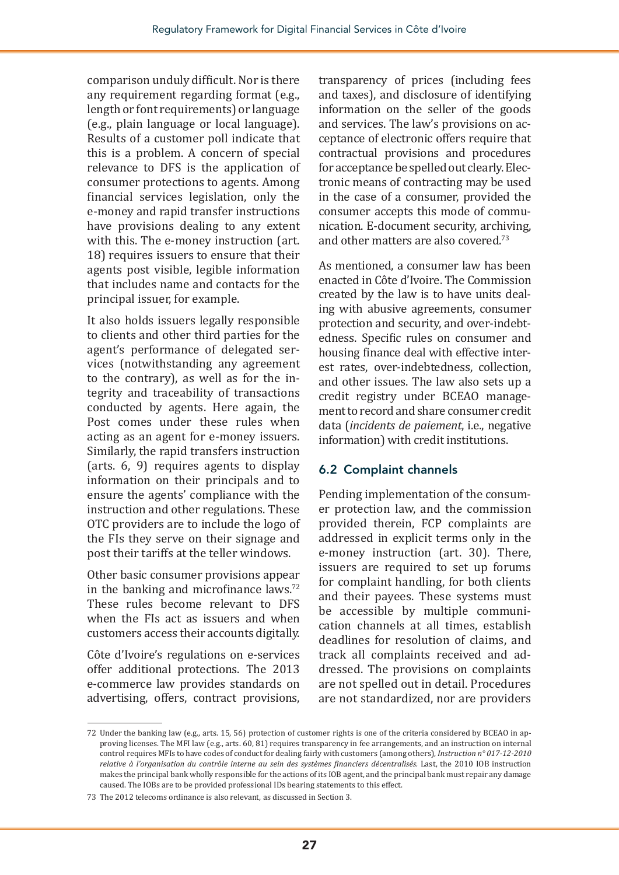comparison unduly difficult. Nor is there any requirement regarding format (e.g., length or font requirements) or language (e.g., plain language or local language). Results of a customer poll indicate that this is a problem. A concern of special relevance to DFS is the application of consumer protections to agents. Among financial services legislation, only the e-money and rapid transfer instructions have provisions dealing to any extent with this. The e-money instruction (art. 18) requires issuers to ensure that their agents post visible, legible information that includes name and contacts for the principal issuer, for example.

It also holds issuers legally responsible to clients and other third parties for the agent's performance of delegated services (notwithstanding any agreement to the contrary), as well as for the integrity and traceability of transactions conducted by agents. Here again, the Post comes under these rules when acting as an agent for e-money issuers. Similarly, the rapid transfers instruction (arts. 6, 9) requires agents to display information on their principals and to ensure the agents' compliance with the instruction and other regulations. These OTC providers are to include the logo of the FIs they serve on their signage and post their tariffs at the teller windows.

Other basic consumer provisions appear in the banking and microfinance laws.<sup>72</sup> These rules become relevant to DFS when the FIs act as issuers and when customers access their accounts digitally.

Côte d'Ivoire's regulations on e-services offer additional protections. The 2013 e-commerce law provides standards on advertising, offers, contract provisions, transparency of prices (including fees and taxes), and disclosure of identifying information on the seller of the goods and services. The law's provisions on acceptance of electronic offers require that contractual provisions and procedures for acceptance be spelled out clearly. Electronic means of contracting may be used in the case of a consumer, provided the consumer accepts this mode of communication. E-document security, archiving, and other matters are also covered.73

As mentioned, a consumer law has been enacted in Côte d'Ivoire. The Commission created by the law is to have units dealing with abusive agreements, consumer protection and security, and over-indebtedness. Specific rules on consumer and housing finance deal with effective interest rates, over-indebtedness, collection, and other issues. The law also sets up a credit registry under BCEAO management to record and share consumer credit data (*incidents de paiement*, i.e., negative information) with credit institutions.

#### 6.2 Complaint channels

Pending implementation of the consumer protection law, and the commission provided therein, FCP complaints are addressed in explicit terms only in the e-money instruction (art. 30). There, issuers are required to set up forums for complaint handling, for both clients and their payees. These systems must be accessible by multiple communication channels at all times, establish deadlines for resolution of claims, and track all complaints received and addressed. The provisions on complaints are not spelled out in detail. Procedures are not standardized, nor are providers

<sup>72</sup> Under the banking law (e.g., arts. 15, 56) protection of customer rights is one of the criteria considered by BCEAO in approving licenses. The MFI law (e.g., arts. 60, 81) requires transparency in fee arrangements, and an instruction on internal control requires MFIs to have codes of conduct for dealing fairly with customers (among others), *Instruction n° 017-12-2010 relative à l'organisation du contrôle interne au sein des systèmes financiers décentralisés.* Last, the 2010 IOB instruction makes the principal bank wholly responsible for the actions of its IOB agent, and the principal bank must repair any damage caused. The IOBs are to be provided professional IDs bearing statements to this effect.

<sup>73</sup> The 2012 telecoms ordinance is also relevant, as discussed in Section 3.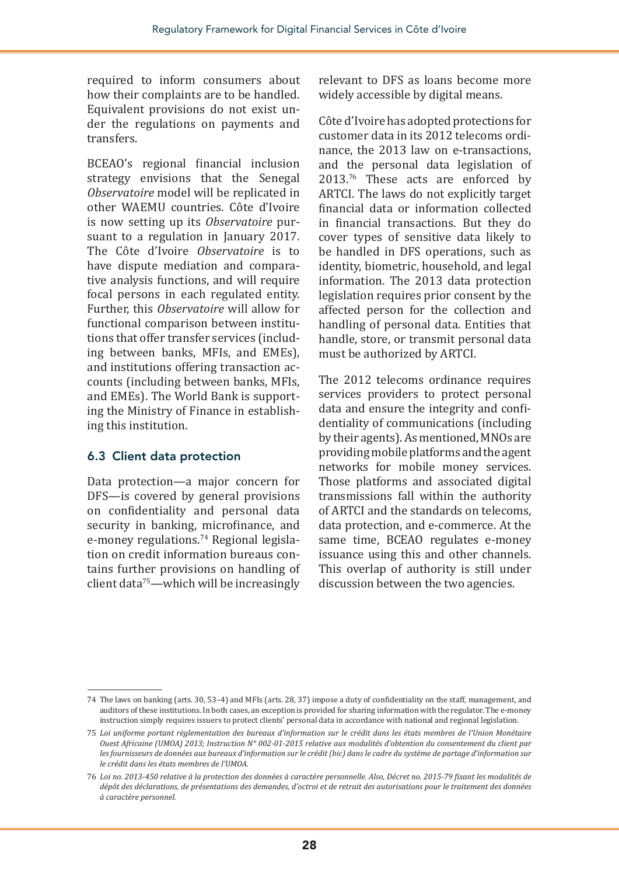required to inform consumers about how their complaints are to be handled. Equivalent provisions do not exist under the regulations on payments and transfers.

BCEAO's regional financial inclusion strategy envisions that the Senegal *Observatoire* model will be replicated in other WAEMU countries. Côte d'Ivoire is now setting up its *Observatoire* pursuant to a regulation in January 2017. The Côte d'Ivoire *Observatoire* is to have dispute mediation and comparative analysis functions, and will require focal persons in each regulated entity. Further, this *Observatoire* will allow for functional comparison between institutions that offer transfer services (including between banks, MFIs, and EMEs), and institutions offering transaction accounts (including between banks, MFIs, and EMEs). The World Bank is supporting the Ministry of Finance in establishing this institution.

#### 6.3 Client data protection

Data protection—a major concern for DFS—is covered by general provisions on confidentiality and personal data security in banking, microfinance, and e-money regulations.74 Regional legislation on credit information bureaus contains further provisions on handling of client data<sup>75</sup>—which will be increasingly

relevant to DFS as loans become more widely accessible by digital means.

Côte d'Ivoire has adopted protections for customer data in its 2012 telecoms ordinance, the 2013 law on e-transactions, and the personal data legislation of 2013.76 These acts are enforced by ARTCI. The laws do not explicitly target financial data or information collected in financial transactions. But they do cover types of sensitive data likely to be handled in DFS operations, such as identity, biometric, household, and legal information. The 2013 data protection legislation requires prior consent by the affected person for the collection and handling of personal data. Entities that handle, store, or transmit personal data must be authorized by ARTCI.

The 2012 telecoms ordinance requires services providers to protect personal data and ensure the integrity and confidentiality of communications (including by their agents). As mentioned, MNOs are providing mobile platforms and the agent networks for mobile money services. Those platforms and associated digital transmissions fall within the authority of ARTCI and the standards on telecoms, data protection, and e-commerce. At the same time, BCEAO regulates e-money issuance using this and other channels. This overlap of authority is still under discussion between the two agencies.

<sup>74</sup> The laws on banking (arts. 30, 53–4) and MFIs (arts. 28, 37) impose a duty of confidentiality on the staff, management, and auditors of these institutions. In both cases, an exception is provided for sharing information with the regulator. The e-money instruction simply requires issuers to protect clients' personal data in accordance with national and regional legislation.

<sup>75</sup> *Loi uniforme portant règlementation des bureaux d'information sur le crédit dans les états membres de l'Union Monétaire Ouest Africaine (UMOA) 2013; Instruction N° 002-01-2015 relative aux modalités d'obtention du consentement du client par les fournisseurs de données aux bureaux d'information sur le crédit (bic) dans le cadre du système de partage d'information sur le crédit dans les états membres de l'UMOA.*

<sup>76</sup> *Loi no. 2013-450 relative à la protection des données à caractère personnelle. Also, Décret no. 2015-79 fixant les modalités de dépôt des déclarations, de présentations des demandes, d'octroi et de retrait des autorisations pour le traitement des données à caractère personnel.*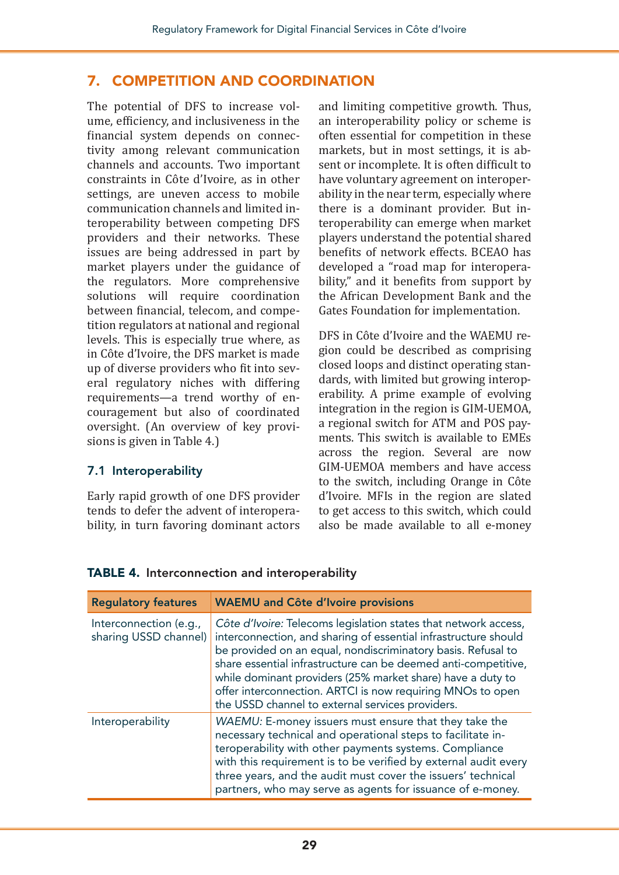#### 7. COMPETITION AND COORDINATION

The potential of DFS to increase volume, efficiency, and inclusiveness in the financial system depends on connectivity among relevant communication channels and accounts. Two important constraints in Côte d'Ivoire, as in other settings, are uneven access to mobile communication channels and limited interoperability between competing DFS providers and their networks. These issues are being addressed in part by market players under the guidance of the regulators. More comprehensive solutions will require coordination between financial, telecom, and competition regulators at national and regional levels. This is especially true where, as in Côte d'Ivoire, the DFS market is made up of diverse providers who fit into several regulatory niches with differing requirements—a trend worthy of encouragement but also of coordinated oversight. (An overview of key provisions is given in Table 4.)

#### 7.1 Interoperability

Early rapid growth of one DFS provider tends to defer the advent of interoperability, in turn favoring dominant actors

and limiting competitive growth. Thus, an interoperability policy or scheme is often essential for competition in these markets, but in most settings, it is absent or incomplete. It is often difficult to have voluntary agreement on interoperability in the near term, especially where there is a dominant provider. But interoperability can emerge when market players understand the potential shared benefits of network effects. BCEAO has developed a "road map for interoperability," and it benefits from support by the African Development Bank and the Gates Foundation for implementation.

DFS in Côte d'Ivoire and the WAEMU region could be described as comprising closed loops and distinct operating standards, with limited but growing interoperability. A prime example of evolving integration in the region is GIM-UEMOA, a regional switch for ATM and POS payments. This switch is available to EMEs across the region. Several are now GIM-UEMOA members and have access to the switch, including Orange in Côte d'Ivoire. MFIs in the region are slated to get access to this switch, which could also be made available to all e-money

| <b>Regulatory features</b>                      | <b>WAEMU and Côte d'Ivoire provisions</b>                                                                                                                                                                                                                                                                                                                                                                                                            |
|-------------------------------------------------|------------------------------------------------------------------------------------------------------------------------------------------------------------------------------------------------------------------------------------------------------------------------------------------------------------------------------------------------------------------------------------------------------------------------------------------------------|
| Interconnection (e.g.,<br>sharing USSD channel) | Côte d'Ivoire: Telecoms legislation states that network access,<br>interconnection, and sharing of essential infrastructure should<br>be provided on an equal, nondiscriminatory basis. Refusal to<br>share essential infrastructure can be deemed anti-competitive,<br>while dominant providers (25% market share) have a duty to<br>offer interconnection. ARTCI is now requiring MNOs to open<br>the USSD channel to external services providers. |
| Interoperability                                | WAEMU: E-money issuers must ensure that they take the<br>necessary technical and operational steps to facilitate in-<br>teroperability with other payments systems. Compliance<br>with this requirement is to be verified by external audit every<br>three years, and the audit must cover the issuers' technical<br>partners, who may serve as agents for issuance of e-money.                                                                      |

TABLE 4. Interconnection and interoperability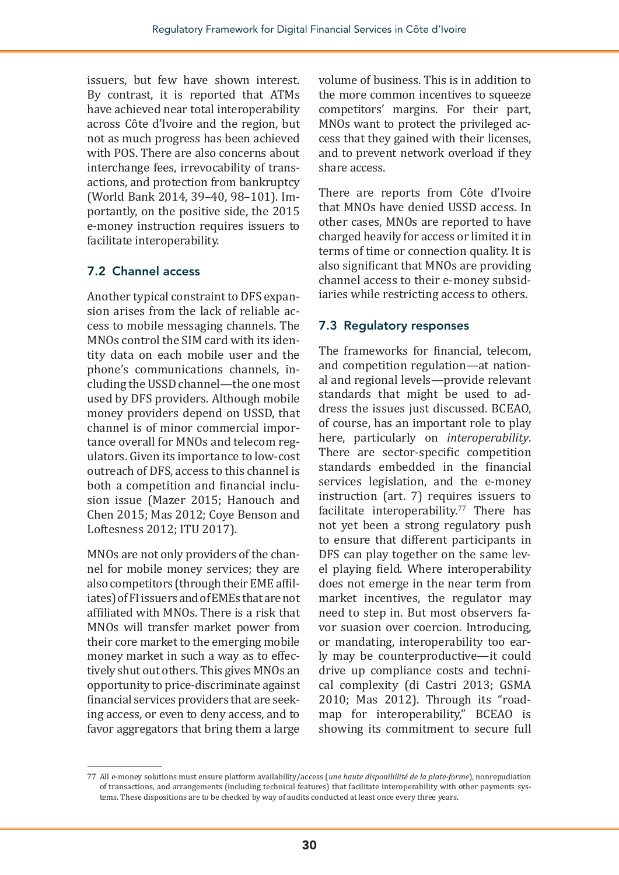issuers, but few have shown interest. By contrast, it is reported that ATMs have achieved near total interoperability across Côte d'Ivoire and the region, but not as much progress has been achieved with POS. There are also concerns about interchange fees, irrevocability of transactions, and protection from bankruptcy (World Bank 2014, 39–40, 98–101). Importantly, on the positive side, the 2015 e-money instruction requires issuers to facilitate interoperability.

#### 7.2 Channel access

Another typical constraint to DFS expansion arises from the lack of reliable access to mobile messaging channels. The MNOs control the SIM card with its identity data on each mobile user and the phone's communications channels, including the USSD channel—the one most used by DFS providers. Although mobile money providers depend on USSD, that channel is of minor commercial importance overall for MNOs and telecom regulators. Given its importance to low-cost outreach of DFS, access to this channel is both a competition and financial inclusion issue (Mazer 2015; Hanouch and Chen 2015; Mas 2012; Coye Benson and Loftesness 2012; ITU 2017).

MNOs are not only providers of the channel for mobile money services; they are also competitors (through their EME affiliates) of FI issuers and of EMEs that are not affiliated with MNOs. There is a risk that MNOs will transfer market power from their core market to the emerging mobile money market in such a way as to effectively shut out others. This gives MNOs an opportunity to price-discriminate against financial services providers that are seeking access, or even to deny access, and to favor aggregators that bring them a large

volume of business. This is in addition to the more common incentives to squeeze competitors' margins. For their part, MNOs want to protect the privileged access that they gained with their licenses, and to prevent network overload if they share access.

There are reports from Côte d'Ivoire that MNOs have denied USSD access. In other cases, MNOs are reported to have charged heavily for access or limited it in terms of time or connection quality. It is also significant that MNOs are providing channel access to their e-money subsidiaries while restricting access to others.

#### 7.3 Regulatory responses

The frameworks for financial, telecom, and competition regulation—at national and regional levels—provide relevant standards that might be used to address the issues just discussed. BCEAO, of course, has an important role to play here, particularly on *interoperability*. There are sector-specific competition standards embedded in the financial services legislation, and the e-money instruction (art. 7) requires issuers to facilitate interoperability.<sup>77</sup> There has not yet been a strong regulatory push to ensure that different participants in DFS can play together on the same level playing field. Where interoperability does not emerge in the near term from market incentives, the regulator may need to step in. But most observers favor suasion over coercion. Introducing, or mandating, interoperability too early may be counterproductive—it could drive up compliance costs and technical complexity (di Castri 2013; GSMA 2010; Mas 2012). Through its "roadmap for interoperability," BCEAO is showing its commitment to secure full

<sup>77</sup> All e-money solutions must ensure platform availability/access (*une haute disponibilité de la plate-forme*), nonrepudiation of transactions, and arrangements (including technical features) that facilitate interoperability with other payments systems. These dispositions are to be checked by way of audits conducted at least once every three years.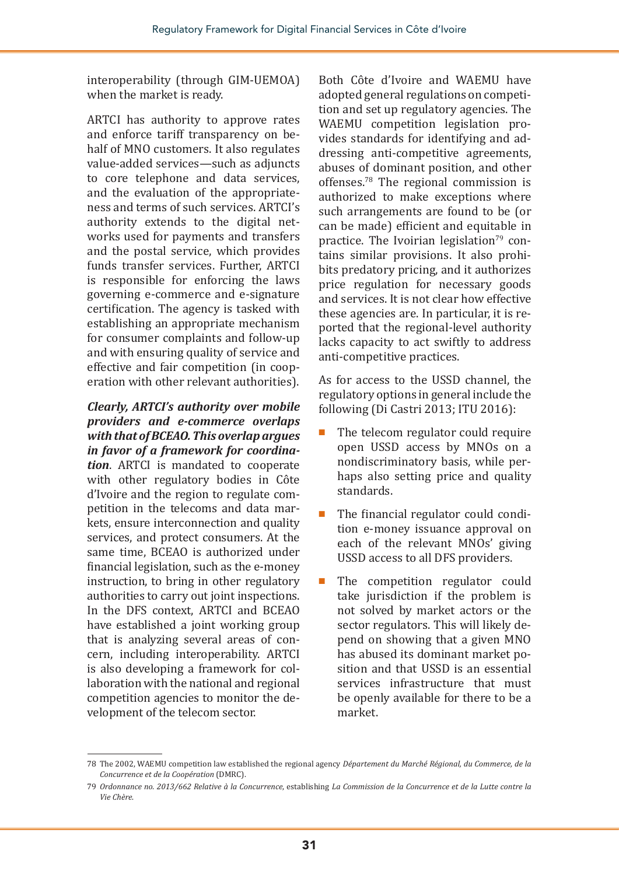interoperability (through GIM-UEMOA) when the market is ready.

ARTCI has authority to approve rates and enforce tariff transparency on behalf of MNO customers. It also regulates value-added services—such as adjuncts to core telephone and data services, and the evaluation of the appropriateness and terms of such services. ARTCI's authority extends to the digital networks used for payments and transfers and the postal service, which provides funds transfer services. Further, ARTCI is responsible for enforcing the laws governing e-commerce and e-signature certification. The agency is tasked with establishing an appropriate mechanism for consumer complaints and follow-up and with ensuring quality of service and effective and fair competition (in cooperation with other relevant authorities).

*Clearly, ARTCI's authority over mobile providers and e-commerce overlaps with that of BCEAO. This overlap argues in favor of a framework for coordination*. ARTCI is mandated to cooperate with other regulatory bodies in Côte d'Ivoire and the region to regulate competition in the telecoms and data markets, ensure interconnection and quality services, and protect consumers. At the same time, BCEAO is authorized under financial legislation, such as the e-money instruction, to bring in other regulatory authorities to carry out joint inspections. In the DFS context, ARTCI and BCEAO have established a joint working group that is analyzing several areas of concern, including interoperability. ARTCI is also developing a framework for collaboration with the national and regional competition agencies to monitor the development of the telecom sector.

Both Côte d'Ivoire and WAEMU have adopted general regulations on competition and set up regulatory agencies. The WAEMU competition legislation provides standards for identifying and addressing anti-competitive agreements, abuses of dominant position, and other offenses.78 The regional commission is authorized to make exceptions where such arrangements are found to be (or can be made) efficient and equitable in practice. The Ivoirian legislation<sup>79</sup> contains similar provisions. It also prohibits predatory pricing, and it authorizes price regulation for necessary goods and services. It is not clear how effective these agencies are. In particular, it is reported that the regional-level authority lacks capacity to act swiftly to address anti-competitive practices.

As for access to the USSD channel, the regulatory options in general include the following (Di Castri 2013; ITU 2016):

- The telecom regulator could require open USSD access by MNOs on a nondiscriminatory basis, while perhaps also setting price and quality standards.
- The financial regulator could condition e-money issuance approval on each of the relevant MNOs' giving USSD access to all DFS providers.
- The competition regulator could take jurisdiction if the problem is not solved by market actors or the sector regulators. This will likely depend on showing that a given MNO has abused its dominant market position and that USSD is an essential services infrastructure that must be openly available for there to be a market.

<sup>78</sup> The 2002, WAEMU competition law established the regional agency *Département du Marché Régional, du Commerce, de la Concurrence et de la Coopération* (DMRC).

<sup>79</sup> *Ordonnance no. 2013/662 Relative à la Concurrence*, establishing *La Commission de la Concurrence et de la Lutte contre la Vie Chère*.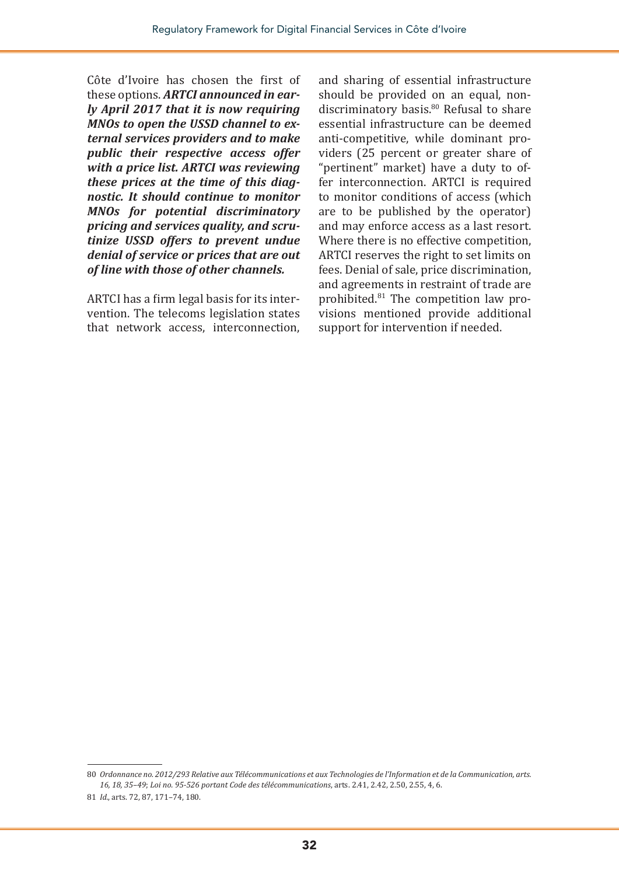Côte d'Ivoire has chosen the first of these options. *ARTCI announced in early April 2017 that it is now requiring MNOs to open the USSD channel to external services providers and to make public their respective access offer with a price list. ARTCI was reviewing these prices at the time of this diagnostic. It should continue to monitor MNOs for potential discriminatory pricing and services quality, and scrutinize USSD offers to prevent undue denial of service or prices that are out of line with those of other channels.*

ARTCI has a firm legal basis for its intervention. The telecoms legislation states that network access, interconnection,

and sharing of essential infrastructure should be provided on an equal, nondiscriminatory basis.<sup>80</sup> Refusal to share essential infrastructure can be deemed anti-competitive, while dominant providers (25 percent or greater share of "pertinent" market) have a duty to offer interconnection. ARTCI is required to monitor conditions of access (which are to be published by the operator) and may enforce access as a last resort. Where there is no effective competition, ARTCI reserves the right to set limits on fees. Denial of sale, price discrimination, and agreements in restraint of trade are prohibited.81 The competition law provisions mentioned provide additional support for intervention if needed.

<sup>80</sup> *Ordonnance no. 2012/293 Relative aux Télécommunications et aux Technologies de l'Information et de la Communication, arts. 16, 18, 35–49*; *Loi no. 95-526 portant Code des télécommunications*, arts. 2.41, 2.42, 2.50, 2.55, 4, 6.

<sup>81</sup> *Id.*, arts. 72, 87, 171–74, 180.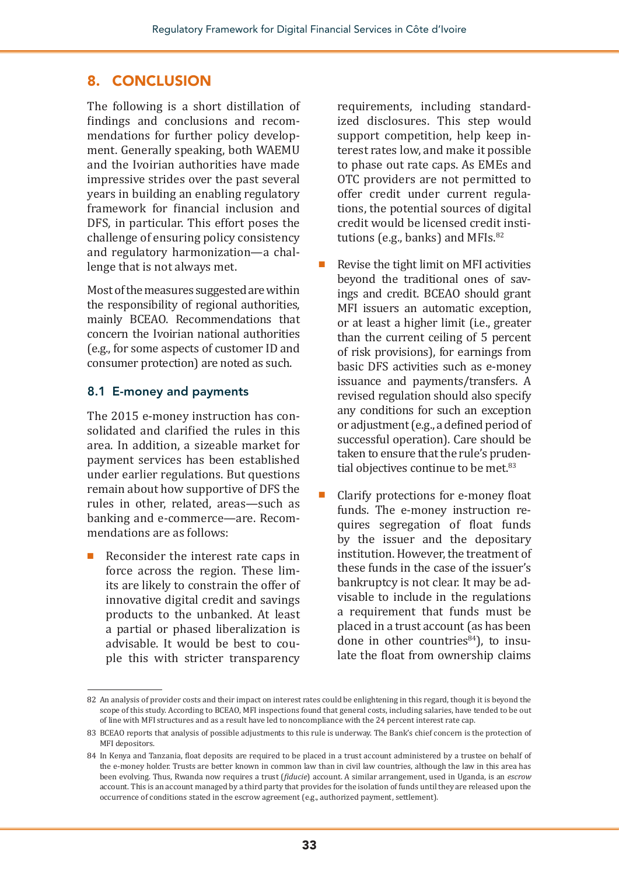#### 8. CONCLUSION

The following is a short distillation of findings and conclusions and recommendations for further policy development. Generally speaking, both WAEMU and the Ivoirian authorities have made impressive strides over the past several years in building an enabling regulatory framework for financial inclusion and DFS, in particular. This effort poses the challenge of ensuring policy consistency and regulatory harmonization—a challenge that is not always met.

Most of the measures suggested are within the responsibility of regional authorities, mainly BCEAO. Recommendations that concern the Ivoirian national authorities (e.g., for some aspects of customer ID and consumer protection) are noted as such.

#### 8.1 E-money and payments

The 2015 e-money instruction has consolidated and clarified the rules in this area. In addition, a sizeable market for payment services has been established under earlier regulations. But questions remain about how supportive of DFS the rules in other, related, areas—such as banking and e-commerce—are. Recommendations are as follows:

Reconsider the interest rate caps in force across the region. These limits are likely to constrain the offer of innovative digital credit and savings products to the unbanked. At least a partial or phased liberalization is advisable. It would be best to couple this with stricter transparency

requirements, including standardized disclosures. This step would support competition, help keep interest rates low, and make it possible to phase out rate caps. As EMEs and OTC providers are not permitted to offer credit under current regulations, the potential sources of digital credit would be licensed credit institutions (e.g., banks) and MFIs. $82$ 

- Revise the tight limit on MFI activities beyond the traditional ones of savings and credit. BCEAO should grant MFI issuers an automatic exception, or at least a higher limit (i.e., greater than the current ceiling of 5 percent of risk provisions), for earnings from basic DFS activities such as e-money issuance and payments/transfers. A revised regulation should also specify any conditions for such an exception or adjustment(e.g., a defined period of successful operation). Care should be taken to ensure that the rule's prudential objectives continue to be met.<sup>83</sup>
- Clarify protections for e-money float funds. The e-money instruction requires segregation of float funds by the issuer and the depositary institution. However, the treatment of these funds in the case of the issuer's bankruptcy is not clear. It may be advisable to include in the regulations a requirement that funds must be placed in a trust account (as has been done in other countries<sup>84</sup>), to insulate the float from ownership claims

<sup>82</sup> An analysis of provider costs and their impact on interest rates could be enlightening in this regard, though it is beyond the scope of this study. According to BCEAO, MFI inspections found that general costs, including salaries, have tended to be out of line with MFI structures and as a result have led to noncompliance with the 24 percent interest rate cap.

<sup>83</sup> BCEAO reports that analysis of possible adjustments to this rule is underway. The Bank's chief concern is the protection of MFI depositors.

<sup>84</sup> In Kenya and Tanzania, float deposits are required to be placed in a trust account administered by a trustee on behalf of the e-money holder. Trusts are better known in common law than in civil law countries, although the law in this area has been evolving. Thus, Rwanda now requires a trust (*fiducie*) account. A similar arrangement, used in Uganda, is an *escrow* account. This is an account managed by a third party that provides for the isolation of funds until they are released upon the occurrence of conditions stated in the escrow agreement (e.g., authorized payment, settlement).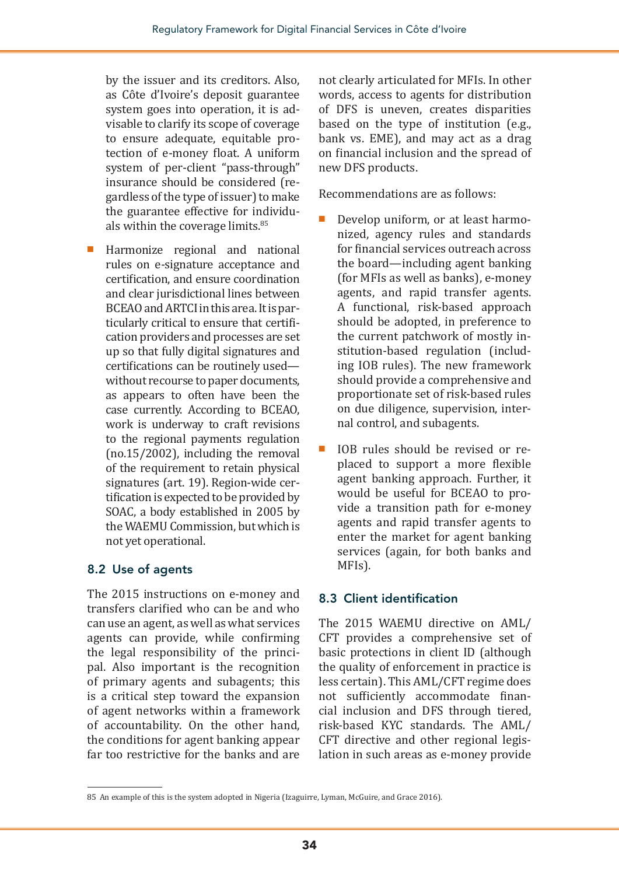by the issuer and its creditors. Also, as Côte d'Ivoire's deposit guarantee system goes into operation, it is advisable to clarify its scope of coverage to ensure adequate, equitable protection of e-money float. A uniform system of per-client "pass-through" insurance should be considered (regardless of the type of issuer) to make the guarantee effective for individuals within the coverage limits.<sup>85</sup>

■ Harmonize regional and national rules on e-signature acceptance and certification, and ensure coordination and clear jurisdictional lines between BCEAO and ARTCI in this area. It is particularly critical to ensure that certification providers and processes are set up so that fully digital signatures and certifications can be routinely used without recourse to paper documents, as appears to often have been the case currently. According to BCEAO, work is underway to craft revisions to the regional payments regulation (no.15/2002), including the removal of the requirement to retain physical signatures (art. 19). Region-wide certification is expected to be provided by SOAC, a body established in 2005 by the WAEMU Commission, but which is not yet operational.

#### 8.2 Use of agents

The 2015 instructions on e-money and transfers clarified who can be and who can use an agent, as well as what services agents can provide, while confirming the legal responsibility of the principal. Also important is the recognition of primary agents and subagents; this is a critical step toward the expansion of agent networks within a framework of accountability. On the other hand, the conditions for agent banking appear far too restrictive for the banks and are not clearly articulated for MFIs. In other words, access to agents for distribution of DFS is uneven, creates disparities based on the type of institution (e.g., bank vs. EME), and may act as a drag on financial inclusion and the spread of new DFS products.

Recommendations are as follows:

- Develop uniform, or at least harmonized, agency rules and standards for financial services outreach across the board—including agent banking (for MFIs as well as banks), e-money agents, and rapid transfer agents. A functional, risk-based approach should be adopted, in preference to the current patchwork of mostly institution-based regulation (including IOB rules). The new framework should provide a comprehensive and proportionate set of risk-based rules on due diligence, supervision, internal control, and subagents.
- IOB rules should be revised or replaced to support a more flexible agent banking approach. Further, it would be useful for BCEAO to provide a transition path for e-money agents and rapid transfer agents to enter the market for agent banking services (again, for both banks and MFIs).

#### 8.3 Client identification

The 2015 WAEMU directive on AML/ CFT provides a comprehensive set of basic protections in client ID (although the quality of enforcement in practice is less certain). This AML/CFT regime does not sufficiently accommodate financial inclusion and DFS through tiered, risk-based KYC standards. The AML/ CFT directive and other regional legislation in such areas as e-money provide

<sup>85</sup> An example of this is the system adopted in Nigeria (Izaguirre, Lyman, McGuire, and Grace 2016).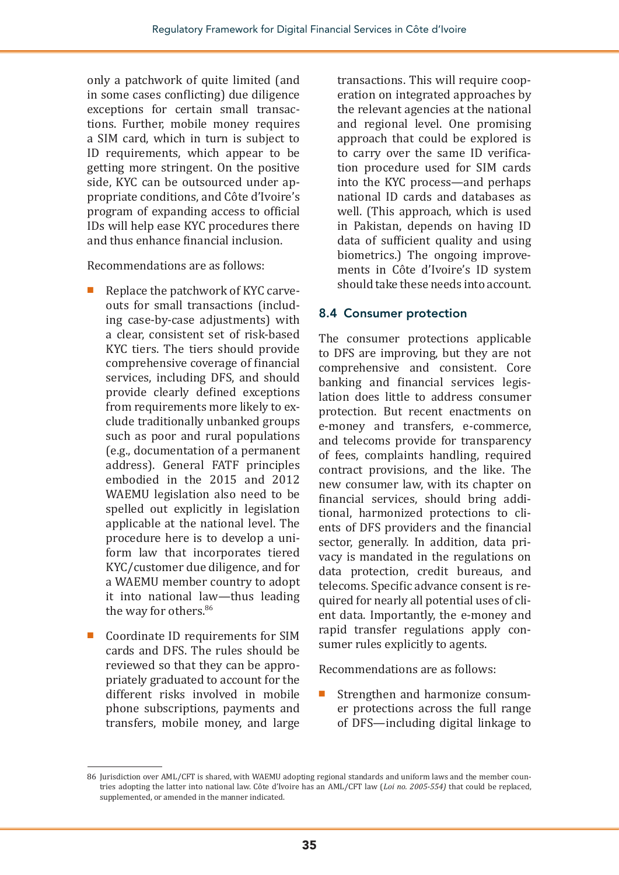only a patchwork of quite limited (and in some cases conflicting) due diligence exceptions for certain small transactions. Further, mobile money requires a SIM card, which in turn is subject to ID requirements, which appear to be getting more stringent. On the positive side, KYC can be outsourced under appropriate conditions, and Côte d'Ivoire's program of expanding access to official IDs will help ease KYC procedures there and thus enhance financial inclusion.

Recommendations are as follows:

- Replace the patchwork of KYC carveouts for small transactions (including case-by-case adjustments) with a clear, consistent set of risk-based KYC tiers. The tiers should provide comprehensive coverage of financial services, including DFS, and should provide clearly defined exceptions from requirements more likely to exclude traditionally unbanked groups such as poor and rural populations (e.g., documentation of a permanent address). General FATF principles embodied in the 2015 and 2012 WAEMU legislation also need to be spelled out explicitly in legislation applicable at the national level. The procedure here is to develop a uniform law that incorporates tiered KYC/customer due diligence, and for a WAEMU member country to adopt it into national law—thus leading the way for others.<sup>86</sup>
- Coordinate ID requirements for SIM cards and DFS. The rules should be reviewed so that they can be appropriately graduated to account for the different risks involved in mobile phone subscriptions, payments and transfers, mobile money, and large

transactions. This will require cooperation on integrated approaches by the relevant agencies at the national and regional level. One promising approach that could be explored is to carry over the same ID verification procedure used for SIM cards into the KYC process—and perhaps national ID cards and databases as well. (This approach, which is used in Pakistan, depends on having ID data of sufficient quality and using biometrics.) The ongoing improvements in Côte d'Ivoire's ID system should take these needs into account.

#### 8.4 Consumer protection

The consumer protections applicable to DFS are improving, but they are not comprehensive and consistent. Core banking and financial services legislation does little to address consumer protection. But recent enactments on e-money and transfers, e-commerce, and telecoms provide for transparency of fees, complaints handling, required contract provisions, and the like. The new consumer law, with its chapter on financial services, should bring additional, harmonized protections to clients of DFS providers and the financial sector, generally. In addition, data privacy is mandated in the regulations on data protection, credit bureaus, and telecoms. Specific advance consent is required for nearly all potential uses of client data. Importantly, the e-money and rapid transfer regulations apply consumer rules explicitly to agents.

Recommendations are as follows:

■ Strengthen and harmonize consumer protections across the full range of DFS—including digital linkage to

<sup>86</sup> Jurisdiction over AML/CFT is shared, with WAEMU adopting regional standards and uniform laws and the member countries adopting the latter into national law. Côte d'Ivoire has an AML/CFT law (*Loi no. 2005-554)* that could be replaced, supplemented, or amended in the manner indicated.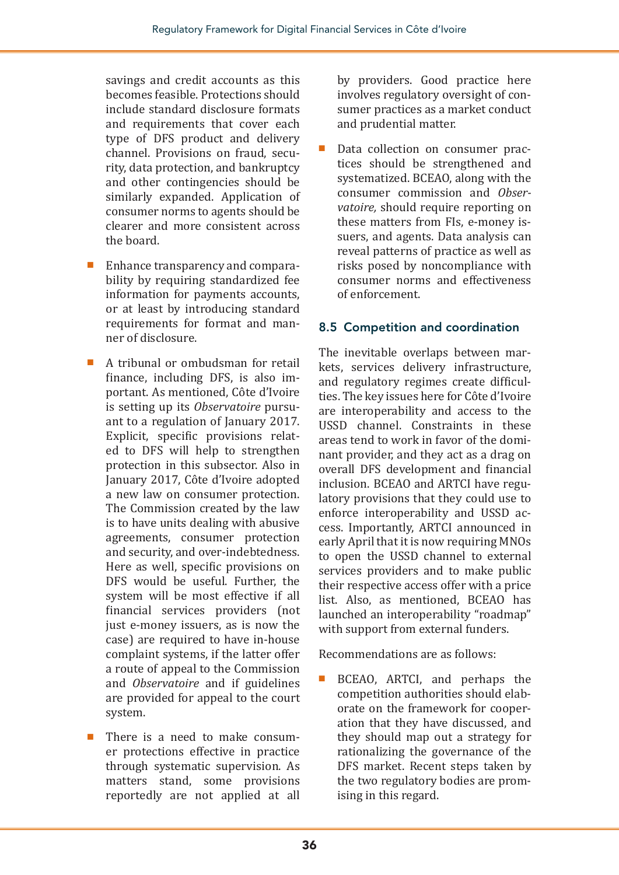savings and credit accounts as this becomes feasible. Protections should include standard disclosure formats and requirements that cover each type of DFS product and delivery channel. Provisions on fraud, security, data protection, and bankruptcy and other contingencies should be similarly expanded. Application of consumer norms to agents should be clearer and more consistent across the board.

- Enhance transparency and comparability by requiring standardized fee information for payments accounts, or at least by introducing standard requirements for format and manner of disclosure.
- A tribunal or ombudsman for retail finance, including DFS, is also important. As mentioned, Côte d'Ivoire is setting up its *Observatoire* pursuant to a regulation of January 2017. Explicit, specific provisions related to DFS will help to strengthen protection in this subsector. Also in January 2017, Côte d'Ivoire adopted a new law on consumer protection. The Commission created by the law is to have units dealing with abusive agreements, consumer protection and security, and over-indebtedness. Here as well, specific provisions on DFS would be useful. Further, the system will be most effective if all financial services providers (not just e-money issuers, as is now the case) are required to have in-house complaint systems, if the latter offer a route of appeal to the Commission and *Observatoire* and if guidelines are provided for appeal to the court system.
- There is a need to make consumer protections effective in practice through systematic supervision. As matters stand, some provisions reportedly are not applied at all

by providers. Good practice here involves regulatory oversight of consumer practices as a market conduct and prudential matter.

Data collection on consumer practices should be strengthened and systematized. BCEAO, along with the consumer commission and *Observatoire,* should require reporting on these matters from FIs, e-money issuers, and agents. Data analysis can reveal patterns of practice as well as risks posed by noncompliance with consumer norms and effectiveness of enforcement.

#### 8.5 Competition and coordination

The inevitable overlaps between markets, services delivery infrastructure, and regulatory regimes create difficulties. The key issues here for Côte d'Ivoire are interoperability and access to the USSD channel. Constraints in these areas tend to work in favor of the dominant provider, and they act as a drag on overall DFS development and financial inclusion. BCEAO and ARTCI have regulatory provisions that they could use to enforce interoperability and USSD access. Importantly, ARTCI announced in early April that it is now requiring MNOs to open the USSD channel to external services providers and to make public their respective access offer with a price list. Also, as mentioned, BCEAO has launched an interoperability "roadmap" with support from external funders.

Recommendations are as follows:

BCEAO, ARTCI, and perhaps the competition authorities should elaborate on the framework for cooperation that they have discussed, and they should map out a strategy for rationalizing the governance of the DFS market. Recent steps taken by the two regulatory bodies are promising in this regard.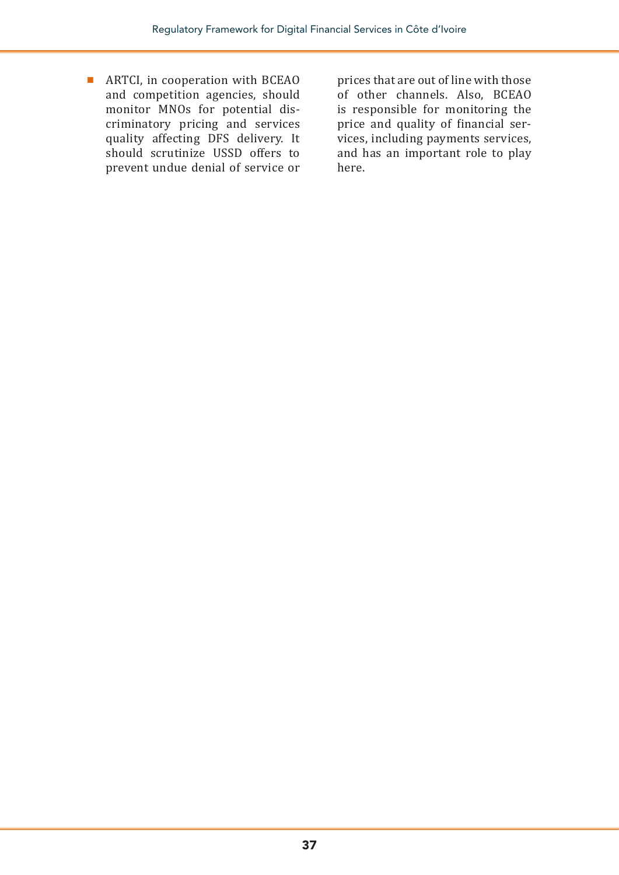■ ARTCI, in cooperation with BCEAO and competition agencies, should monitor MNOs for potential discriminatory pricing and services quality affecting DFS delivery. It should scrutinize USSD offers to prevent undue denial of service or

prices that are out of line with those of other channels. Also, BCEAO is responsible for monitoring the price and quality of financial services, including payments services, and has an important role to play here.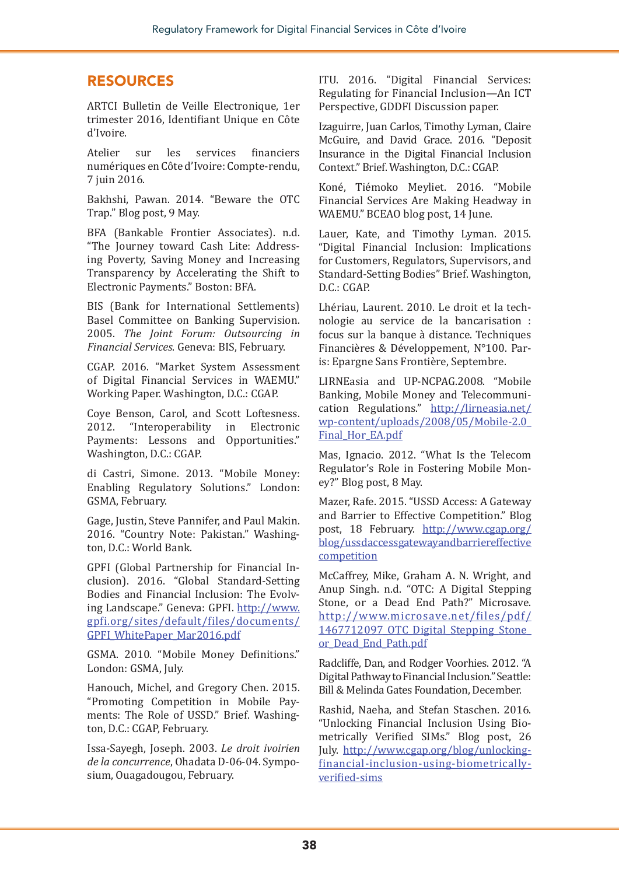#### RESOURCES

ARTCI Bulletin de Veille Electronique, 1er trimester 2016, Identifiant Unique en Côte d'Ivoire.

Atelier sur les services financiers numériques en Côte d'Ivoire: Compte-rendu, 7 juin 2016.

Bakhshi, Pawan. 2014. "Beware the OTC Trap." Blog post, 9 May.

BFA (Bankable Frontier Associates). n.d. "The Journey toward Cash Lite: Addressing Poverty, Saving Money and Increasing Transparency by Accelerating the Shift to Electronic Payments." Boston: BFA.

BIS (Bank for International Settlements) Basel Committee on Banking Supervision. 2005. *The Joint Forum: Outsourcing in Financial Services*. Geneva: BIS, February.

CGAP. 2016. "Market System Assessment of Digital Financial Services in WAEMU." Working Paper. Washington, D.C.: CGAP.

Coye Benson, Carol, and Scott Loftesness.<br>2012. "Interoperability in Electronic "Interoperability Payments: Lessons and Opportunities." Washington, D.C.: CGAP.

di Castri, Simone. 2013. "Mobile Money: Enabling Regulatory Solutions." London: GSMA, February.

Gage, Justin, Steve Pannifer, and Paul Makin. 2016. "Country Note: Pakistan." Washington, D.C.: World Bank.

GPFI (Global Partnership for Financial Inclusion). 2016. "Global Standard-Setting Bodies and Financial Inclusion: The Evolving Landscape." Geneva: GPFI. [http://www.](http://www.gpfi.org/sites/default/files/documents/GPFI_WhitePaper_Mar2016.pdf) [gpfi.org/sites/default/files/documents/](http://www.gpfi.org/sites/default/files/documents/GPFI_WhitePaper_Mar2016.pdf) [GPFI\\_WhitePaper\\_Mar2016.pdf](http://www.gpfi.org/sites/default/files/documents/GPFI_WhitePaper_Mar2016.pdf)

GSMA. 2010. "Mobile Money Definitions." London: GSMA, July.

Hanouch, Michel, and Gregory Chen. 2015. "Promoting Competition in Mobile Payments: The Role of USSD." Brief. Washington, D.C.: CGAP, February.

Issa-Sayegh, Joseph. 2003. *Le droit ivoirien de la concurrence*, Ohadata D-06-04. Symposium, Ouagadougou, February.

ITU. 2016. "Digital Financial Services: Regulating for Financial Inclusion—An ICT Perspective, GDDFI Discussion paper.

Izaguirre, Juan Carlos, Timothy Lyman, Claire McGuire, and David Grace. 2016. "Deposit Insurance in the Digital Financial Inclusion Context." Brief. Washington, D.C.: CGAP.

Koné, Tiémoko Meyliet. 2016. "Mobile Financial Services Are Making Headway in WAEMU." BCEAO blog post, 14 June.

Lauer, Kate, and Timothy Lyman. 2015. "Digital Financial Inclusion: Implications for Customers, Regulators, Supervisors, and Standard-Setting Bodies" Brief. Washington, D.C.: CGAP.

Lhériau, Laurent. 2010. Le droit et la technologie au service de la bancarisation : focus sur la banque à distance. Techniques Financières & Développement, N°100. Paris: Epargne Sans Frontière, Septembre.

LIRNEasia and UP-NCPAG.2008. "Mobile Banking, Mobile Money and Telecommunication Regulations." [http://lirneasia.net/](http://lirneasia.net/wp-content/uploads/2008/05/Mobile-2.0_Final_Hor_EA.pdf) [wp-content/uploads/2008/05/Mobile-2.0\\_](http://lirneasia.net/wp-content/uploads/2008/05/Mobile-2.0_Final_Hor_EA.pdf) [Final\\_Hor\\_EA.pdf](http://lirneasia.net/wp-content/uploads/2008/05/Mobile-2.0_Final_Hor_EA.pdf)

Mas, Ignacio. 2012. "What Is the Telecom Regulator's Role in Fostering Mobile Money?" Blog post, 8 May.

Mazer, Rafe. 2015. "USSD Access: A Gateway and Barrier to Effective Competition." Blog post, 18 February. [http://www.cgap.org/](http://www.cgap.org/blog/ussdaccessgatewayandbarriereffectivecompetition) [blog/ussdaccessgatewayandbarriereffective](http://www.cgap.org/blog/ussdaccessgatewayandbarriereffectivecompetition) [competition](http://www.cgap.org/blog/ussdaccessgatewayandbarriereffectivecompetition)

McCaffrey, Mike, Graham A. N. Wright, and Anup Singh. n.d. "OTC: A Digital Stepping Stone, or a Dead End Path?" Microsave. [http://www.microsave.net/files/pdf/](http://www.microsave.net/files/pdf/1467712097_OTC_Digital_Stepping_Stone_or_Dead_End_Path.pdf) [1467712097\\_OTC\\_Digital\\_Stepping\\_Stone\\_](http://www.microsave.net/files/pdf/1467712097_OTC_Digital_Stepping_Stone_or_Dead_End_Path.pdf) [or\\_Dead\\_End\\_Path.pdf](http://www.microsave.net/files/pdf/1467712097_OTC_Digital_Stepping_Stone_or_Dead_End_Path.pdf)

Radcliffe, Dan, and Rodger Voorhies. 2012. "A Digital Pathway to Financial Inclusion." Seattle: Bill & Melinda Gates Foundation, December.

Rashid, Naeha, and Stefan Staschen. 2016. "Unlocking Financial Inclusion Using Biometrically Verified SIMs." Blog post, 26 July. [http://www.cgap.org/blog/unlocking](http://www.cgap.org/blog/unlocking-financial-inclusion-using-biometrically-verified-sims)[financial-inclusion-using-biometrically](http://www.cgap.org/blog/unlocking-financial-inclusion-using-biometrically-verified-sims)[verified-sims](http://www.cgap.org/blog/unlocking-financial-inclusion-using-biometrically-verified-sims)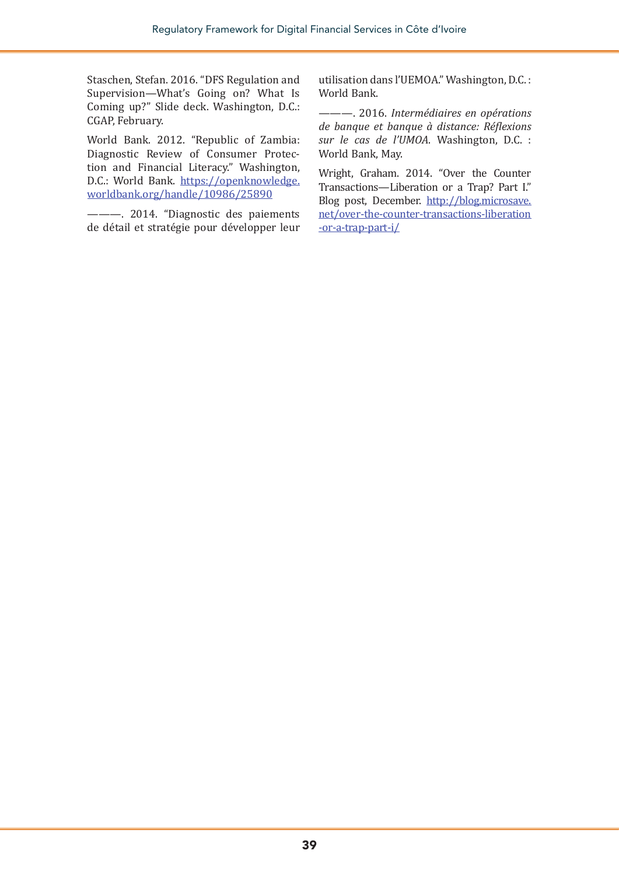Staschen, Stefan. 2016. "DFS Regulation and Supervision—What's Going on? What Is Coming up?" Slide deck. Washington, D.C.: CGAP, February.

World Bank. 2012. "Republic of Zambia: Diagnostic Review of Consumer Protection and Financial Literacy." Washington, D.C.: World Bank. [https://openknowledge.](https://openknowledge.worldbank.org/handle/10986/25890) [worldbank.org/handle/10986/25890](https://openknowledge.worldbank.org/handle/10986/25890)

———. 2014. "Diagnostic des paiements de détail et stratégie pour développer leur

utilisation dans l'UEMOA." Washington, D.C. : World Bank.

———. 2016. *Intermédiaires en opérations de banque et banque à distance: Réflexions sur le cas de l'UMOA*. Washington, D.C. : World Bank, May.

Wright, Graham. 2014. "Over the Counter Transactions—Liberation or a Trap? Part I." Blog post, December. [http://blog.microsave.](http://blog.microsave.net/over-the-counter-transactions-liberation-or-a-trap-part-i/) [net/over-the-counter-transactions-liberation](http://blog.microsave.net/over-the-counter-transactions-liberation-or-a-trap-part-i/) [-or-a-trap-part-i/](http://blog.microsave.net/over-the-counter-transactions-liberation-or-a-trap-part-i/)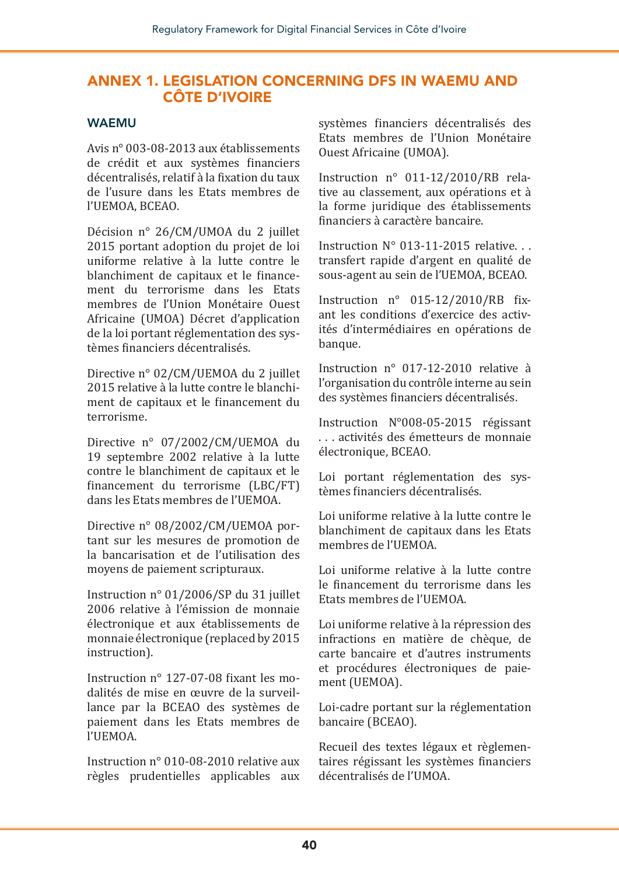#### ANNEX 1. LEGISLATION CONCERNING DFS IN WAEMU AND CÔTE D'IVOIRE

#### WAEMU

Avis n° 003-08-2013 aux établissements de crédit et aux systèmes financiers décentralisés, relatif à la fixation du taux de l'usure dans les Etats membres de l'UEMOA, BCEAO.

Décision n° 26/CM/UMOA du 2 juillet 2015 portant adoption du projet de loi uniforme relative à la lutte contre le blanchiment de capitaux et le financement du terrorisme dans les Etats membres de l'Union Monétaire Ouest Africaine (UMOA) Décret d'application de la loi portant réglementation des systèmes financiers décentralisés.

Directive n° 02/CM/UEMOA du 2 juillet 2015 relative à la lutte contre le blanchiment de capitaux et le financement du terrorisme.

Directive n° 07/2002/CM/UEMOA du 19 septembre 2002 relative à la lutte contre le blanchiment de capitaux et le financement du terrorisme (LBC/FT) dans les Etats membres de l'UEMOA.

Directive n° 08/2002/CM/UEMOA portant sur les mesures de promotion de la bancarisation et de l'utilisation des moyens de paiement scripturaux.

Instruction n° 01/2006/SP du 31 juillet 2006 relative à l'émission de monnaie électronique et aux établissements de monnaie électronique (replaced by 2015 instruction).

Instruction n° 127-07-08 fixant les modalités de mise en œuvre de la surveillance par la BCEAO des systèmes de paiement dans les Etats membres de l'UEMOA.

Instruction n° 010-08-2010 relative aux règles prudentielles applicables aux systèmes financiers décentralisés des Etats membres de l'Union Monétaire Ouest Africaine (UMOA).

Instruction n° 011-12/2010/RB relative au classement, aux opérations et à la forme juridique des établissements financiers à caractère bancaire.

Instruction N° 013-11-2015 relative. . . transfert rapide d'argent en qualité de sous-agent au sein de l'UEMOA, BCEAO.

Instruction n° 015-12/2010/RB fixant les conditions d'exercice des activités d'intermédiaires en opérations de banque.

Instruction n° 017-12-2010 relative à l'organisation du contrôle interne au sein des systèmes financiers décentralisés.

Instruction N°008-05-2015 régissant . . . activités des émetteurs de monnaie électronique, BCEAO.

Loi portant réglementation des systèmes financiers décentralisés.

Loi uniforme relative à la lutte contre le blanchiment de capitaux dans les Etats membres de l'UEMOA.

Loi uniforme relative à la lutte contre le financement du terrorisme dans les Etats membres de l'UEMOA.

Loi uniforme relative à la répression des infractions en matière de chèque, de carte bancaire et d'autres instruments et procédures électroniques de paiement (UEMOA).

Loi-cadre portant sur la réglementation bancaire (BCEAO).

Recueil des textes légaux et règlementaires régissant les systèmes financiers décentralisés de l'UMOA.